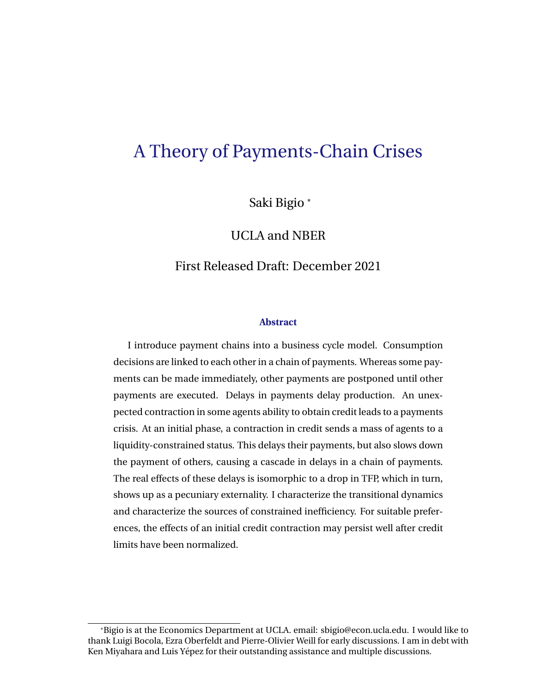# A Theory of Payments-Chain Crises

Saki Bigio \*

UCLA and NBER

### First Released Draft: December 2021

#### **Abstract**

I introduce payment chains into a business cycle model. Consumption decisions are linked to each other in a chain of payments. Whereas some payments can be made immediately, other payments are postponed until other payments are executed. Delays in payments delay production. An unexpected contraction in some agents ability to obtain credit leads to a payments crisis. At an initial phase, a contraction in credit sends a mass of agents to a liquidity-constrained status. This delays their payments, but also slows down the payment of others, causing a cascade in delays in a chain of payments. The real effects of these delays is isomorphic to a drop in TFP, which in turn, shows up as a pecuniary externality. I characterize the transitional dynamics and characterize the sources of constrained inefficiency. For suitable preferences, the effects of an initial credit contraction may persist well after credit limits have been normalized.

<sup>\*</sup>Bigio is at the Economics Department at UCLA. email: sbigio@econ.ucla.edu. I would like to thank Luigi Bocola, Ezra Oberfeldt and Pierre-Olivier Weill for early discussions. I am in debt with Ken Miyahara and Luis Yépez for their outstanding assistance and multiple discussions.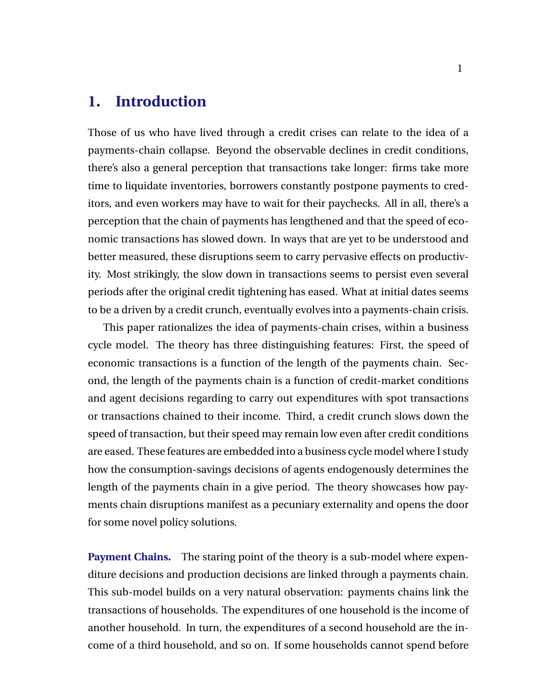## <span id="page-1-0"></span>**1. Introduction**

Those of us who have lived through a credit crises can relate to the idea of a payments-chain collapse. Beyond the observable declines in credit conditions, there's also a general perception that transactions take longer: firms take more time to liquidate inventories, borrowers constantly postpone payments to creditors, and even workers may have to wait for their paychecks. All in all, there's a perception that the chain of payments has lengthened and that the speed of economic transactions has slowed down. In ways that are yet to be understood and better measured, these disruptions seem to carry pervasive effects on productivity. Most strikingly, the slow down in transactions seems to persist even several periods after the original credit tightening has eased. What at initial dates seems to be a driven by a credit crunch, eventually evolves into a payments-chain crisis.

This paper rationalizes the idea of payments-chain crises, within a business cycle model. The theory has three distinguishing features: First, the speed of economic transactions is a function of the length of the payments chain. Second, the length of the payments chain is a function of credit-market conditions and agent decisions regarding to carry out expenditures with spot transactions or transactions chained to their income. Third, a credit crunch slows down the speed of transaction, but their speed may remain low even after credit conditions are eased. These features are embedded into a business cycle model where I study how the consumption-savings decisions of agents endogenously determines the length of the payments chain in a give period. The theory showcases how payments chain disruptions manifest as a pecuniary externality and opens the door for some novel policy solutions.

**Payment Chains.** The staring point of the theory is a sub-model where expenditure decisions and production decisions are linked through a payments chain. This sub-model builds on a very natural observation: payments chains link the transactions of households. The expenditures of one household is the income of another household. In turn, the expenditures of a second household are the income of a third household, and so on. If some households cannot spend before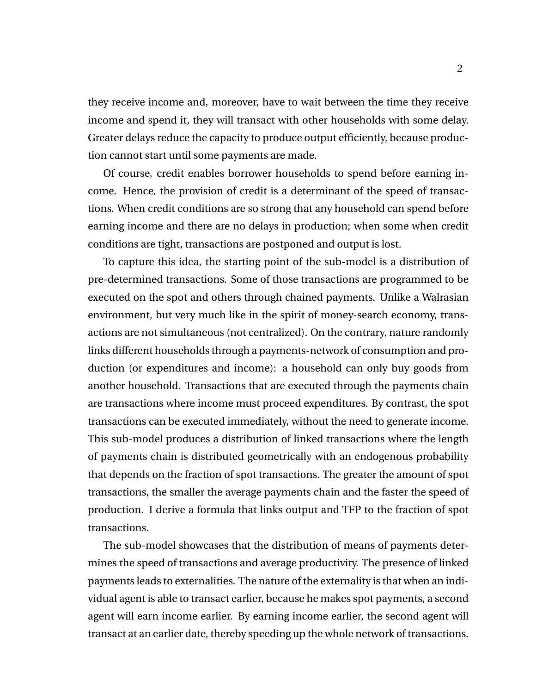they receive income and, moreover, have to wait between the time they receive income and spend it, they will transact with other households with some delay. Greater delays reduce the capacity to produce output efficiently, because production cannot start until some payments are made.

Of course, credit enables borrower households to spend before earning income. Hence, the provision of credit is a determinant of the speed of transactions. When credit conditions are so strong that any household can spend before earning income and there are no delays in production; when some when credit conditions are tight, transactions are postponed and output is lost.

To capture this idea, the starting point of the sub-model is a distribution of pre-determined transactions. Some of those transactions are programmed to be executed on the spot and others through chained payments. Unlike a Walrasian environment, but very much like in the spirit of money-search economy, transactions are not simultaneous (not centralized). On the contrary, nature randomly links different households through a payments-network of consumption and production (or expenditures and income): a household can only buy goods from another household. Transactions that are executed through the payments chain are transactions where income must proceed expenditures. By contrast, the spot transactions can be executed immediately, without the need to generate income. This sub-model produces a distribution of linked transactions where the length of payments chain is distributed geometrically with an endogenous probability that depends on the fraction of spot transactions. The greater the amount of spot transactions, the smaller the average payments chain and the faster the speed of production. I derive a formula that links output and TFP to the fraction of spot transactions.

The sub-model showcases that the distribution of means of payments determines the speed of transactions and average productivity. The presence of linked payments leads to externalities. The nature of the externality is that when an individual agent is able to transact earlier, because he makes spot payments, a second agent will earn income earlier. By earning income earlier, the second agent will transact at an earlier date, thereby speeding up the whole network of transactions.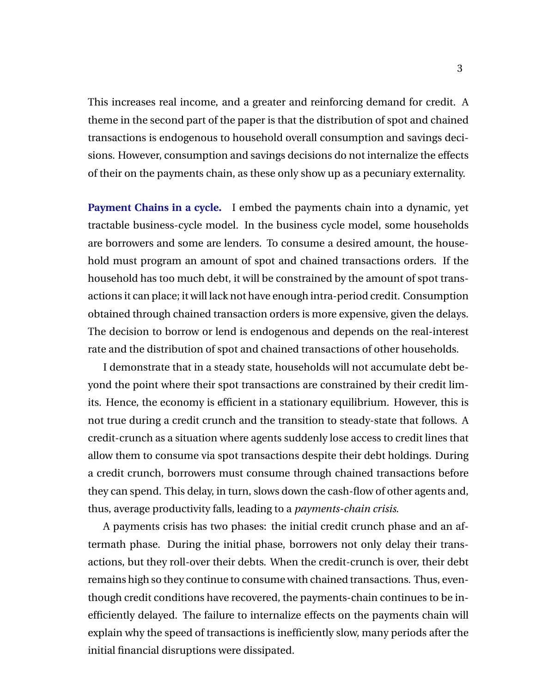This increases real income, and a greater and reinforcing demand for credit. A theme in the second part of the paper is that the distribution of spot and chained transactions is endogenous to household overall consumption and savings decisions. However, consumption and savings decisions do not internalize the effects of their on the payments chain, as these only show up as a pecuniary externality.

**Payment Chains in a cycle.** I embed the payments chain into a dynamic, yet tractable business-cycle model. In the business cycle model, some households are borrowers and some are lenders. To consume a desired amount, the household must program an amount of spot and chained transactions orders. If the household has too much debt, it will be constrained by the amount of spot transactions it can place; it will lack not have enough intra-period credit. Consumption obtained through chained transaction orders is more expensive, given the delays. The decision to borrow or lend is endogenous and depends on the real-interest rate and the distribution of spot and chained transactions of other households.

I demonstrate that in a steady state, households will not accumulate debt beyond the point where their spot transactions are constrained by their credit limits. Hence, the economy is efficient in a stationary equilibrium. However, this is not true during a credit crunch and the transition to steady-state that follows. A credit-crunch as a situation where agents suddenly lose access to credit lines that allow them to consume via spot transactions despite their debt holdings. During a credit crunch, borrowers must consume through chained transactions before they can spend. This delay, in turn, slows down the cash-flow of other agents and, thus, average productivity falls, leading to a *payments-chain crisis*.

A payments crisis has two phases: the initial credit crunch phase and an aftermath phase. During the initial phase, borrowers not only delay their transactions, but they roll-over their debts. When the credit-crunch is over, their debt remains high so they continue to consume with chained transactions. Thus, eventhough credit conditions have recovered, the payments-chain continues to be inefficiently delayed. The failure to internalize effects on the payments chain will explain why the speed of transactions is inefficiently slow, many periods after the initial financial disruptions were dissipated.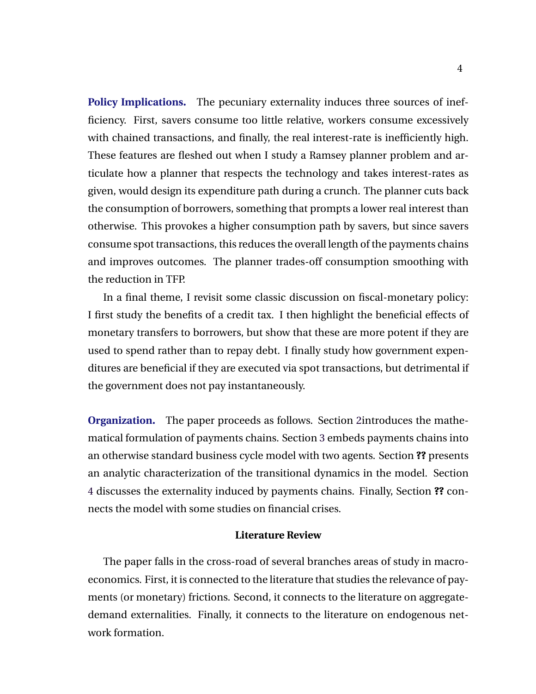**Policy Implications.** The pecuniary externality induces three sources of inefficiency. First, savers consume too little relative, workers consume excessively with chained transactions, and finally, the real interest-rate is inefficiently high. These features are fleshed out when I study a Ramsey planner problem and articulate how a planner that respects the technology and takes interest-rates as given, would design its expenditure path during a crunch. The planner cuts back the consumption of borrowers, something that prompts a lower real interest than otherwise. This provokes a higher consumption path by savers, but since savers consume spot transactions, this reduces the overall length of the payments chains and improves outcomes. The planner trades-off consumption smoothing with the reduction in TFP.

In a final theme, I revisit some classic discussion on fiscal-monetary policy: I first study the benefits of a credit tax. I then highlight the beneficial effects of monetary transfers to borrowers, but show that these are more potent if they are used to spend rather than to repay debt. I finally study how government expenditures are beneficial if they are executed via spot transactions, but detrimental if the government does not pay instantaneously.

**Organization.** The paper proceeds as follows. Section 2 introduces the mathematical formulation of payments chains. Section [3](#page-19-0) embeds payments chains into an otherwise standard business cycle model with two agents. Section **??** presents an analytic characterization of the transitional dynamics in the model. Section [4](#page-32-0) discusses the externality induced by payments chains. Finally, Section **??** connects the model with some studies on financial crises.

#### **Literature Review**

The paper falls in the cross-road of several branches areas of study in macroeconomics. First, it is connected to the literature that studies the relevance of payments (or monetary) frictions. Second, it connects to the literature on aggregatedemand externalities. Finally, it connects to the literature on endogenous network formation.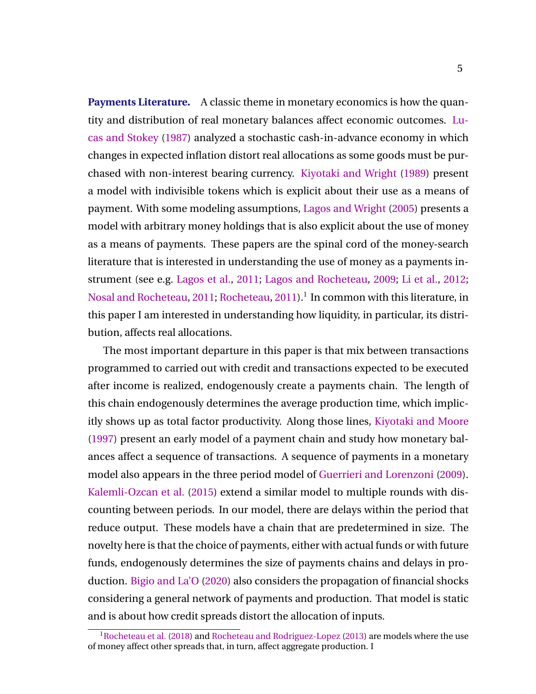<span id="page-5-0"></span>**Payments Literature.** A classic theme in monetary economics is how the quantity and distribution of real monetary balances affect economic outcomes. [Lu](#page-45-0)[cas and Stokey](#page-45-0) [\(1987\)](#page-45-0) analyzed a stochastic cash-in-advance economy in which changes in expected inflation distort real allocations as some goods must be purchased with non-interest bearing currency. [Kiyotaki and Wright](#page-44-0) [\(1989\)](#page-44-0) present a model with indivisible tokens which is explicit about their use as a means of payment. With some modeling assumptions, [Lagos and Wright](#page-44-0) [\(2005\)](#page-44-0) presents a model with arbitrary money holdings that is also explicit about the use of money as a means of payments. These papers are the spinal cord of the money-search literature that is interested in understanding the use of money as a payments instrument (see e.g. [Lagos et al.,](#page-44-0) [2011;](#page-44-0) [Lagos and Rocheteau,](#page-44-0) [2009;](#page-44-0) [Li et al.,](#page-44-0) [2012;](#page-44-0) [Nosal and Rocheteau,](#page-45-0) [2011;](#page-45-0) [Rocheteau,](#page-45-0) [2011\)](#page-45-0). $^1$  In common with this literature, in this paper I am interested in understanding how liquidity, in particular, its distribution, affects real allocations.

The most important departure in this paper is that mix between transactions programmed to carried out with credit and transactions expected to be executed after income is realized, endogenously create a payments chain. The length of this chain endogenously determines the average production time, which implicitly shows up as total factor productivity. Along those lines, [Kiyotaki and Moore](#page-44-0) [\(1997\)](#page-44-0) present an early model of a payment chain and study how monetary balances affect a sequence of transactions. A sequence of payments in a monetary model also appears in the three period model of [Guerrieri and Lorenzoni](#page-44-0) [\(2009\)](#page-44-0). [Kalemli-Ozcan et al.](#page-44-0) [\(2015\)](#page-44-0) extend a similar model to multiple rounds with discounting between periods. In our model, there are delays within the period that reduce output. These models have a chain that are predetermined in size. The novelty here is that the choice of payments, either with actual funds or with future funds, endogenously determines the size of payments chains and delays in production. [Bigio and La'O](#page-43-0) [\(2020\)](#page-43-0) also considers the propagation of financial shocks considering a general network of payments and production. That model is static and is about how credit spreads distort the allocation of inputs.

<sup>&</sup>lt;sup>1</sup>[Rocheteau et al.](#page-45-0) [\(2018\)](#page-45-0) and [Rocheteau and Rodriguez-Lopez](#page-45-0) [\(2013\)](#page-45-0) are models where the use of money affect other spreads that, in turn, affect aggregate production. I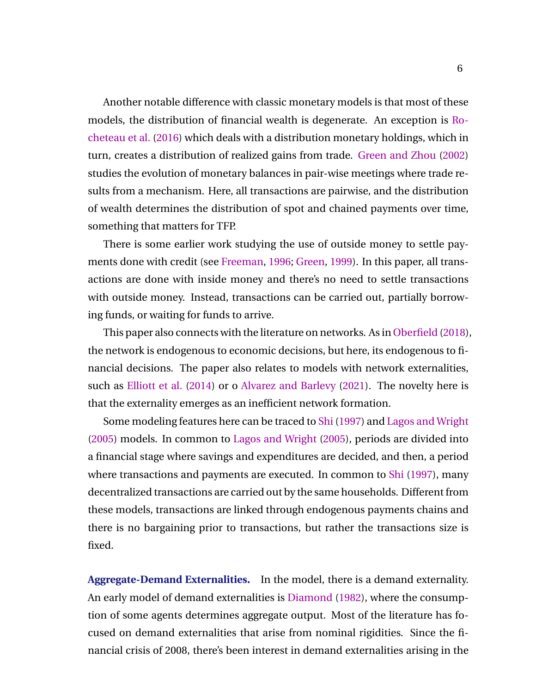<span id="page-6-0"></span>Another notable difference with classic monetary models is that most of these models, the distribution of financial wealth is degenerate. An exception is [Ro](#page-45-0)[cheteau et al.](#page-45-0) [\(2016\)](#page-45-0) which deals with a distribution monetary holdings, which in turn, creates a distribution of realized gains from trade. [Green and Zhou](#page-43-0) [\(2002\)](#page-43-0) studies the evolution of monetary balances in pair-wise meetings where trade results from a mechanism. Here, all transactions are pairwise, and the distribution of wealth determines the distribution of spot and chained payments over time, something that matters for TFP.

There is some earlier work studying the use of outside money to settle payments done with credit (see [Freeman,](#page-43-0) [1996;](#page-43-0) [Green,](#page-43-0) [1999\)](#page-43-0). In this paper, all transactions are done with inside money and there's no need to settle transactions with outside money. Instead, transactions can be carried out, partially borrowing funds, or waiting for funds to arrive.

This paper also connects with the literature on networks. As in [Oberfield](#page-45-0) [\(2018\)](#page-45-0), the network is endogenous to economic decisions, but here, its endogenous to financial decisions. The paper also relates to models with network externalities, such as [Elliott et al.](#page-43-0) [\(2014\)](#page-43-0) or o [Alvarez and Barlevy](#page-43-0) [\(2021\)](#page-43-0). The novelty here is that the externality emerges as an inefficient network formation.

Some modeling features here can be traced to [Shi](#page-45-0) [\(1997\)](#page-45-0) and [Lagos and Wright](#page-44-0) [\(2005\)](#page-44-0) models. In common to [Lagos and Wright](#page-44-0) [\(2005\)](#page-44-0), periods are divided into a financial stage where savings and expenditures are decided, and then, a period where transactions and payments are executed. In common to [Shi](#page-45-0) [\(1997\)](#page-45-0), many decentralized transactions are carried out by the same households. Different from these models, transactions are linked through endogenous payments chains and there is no bargaining prior to transactions, but rather the transactions size is fixed.

**Aggregate-Demand Externalities.** In the model, there is a demand externality. An early model of demand externalities is [Diamond](#page-43-0) [\(1982\)](#page-43-0), where the consumption of some agents determines aggregate output. Most of the literature has focused on demand externalities that arise from nominal rigidities. Since the financial crisis of 2008, there's been interest in demand externalities arising in the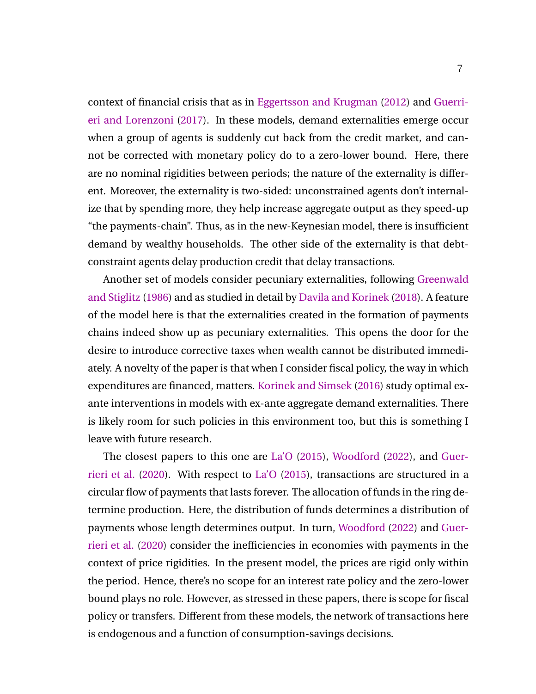context of financial crisis that as in [Eggertsson and Krugman](#page-43-0) [\(2012\)](#page-43-0) and [Guerri](#page-44-0)[eri and Lorenzoni](#page-44-0) [\(2017\)](#page-44-0). In these models, demand externalities emerge occur when a group of agents is suddenly cut back from the credit market, and cannot be corrected with monetary policy do to a zero-lower bound. Here, there are no nominal rigidities between periods; the nature of the externality is different. Moreover, the externality is two-sided: unconstrained agents don't internalize that by spending more, they help increase aggregate output as they speed-up "the payments-chain". Thus, as in the new-Keynesian model, there is insufficient demand by wealthy households. The other side of the externality is that debtconstraint agents delay production credit that delay transactions.

Another set of models consider pecuniary externalities, following [Greenwald](#page-43-0) [and Stiglitz](#page-43-0) [\(1986\)](#page-43-0) and as studied in detail by [Davila and Korinek](#page-43-0) [\(2018\)](#page-43-0). A feature of the model here is that the externalities created in the formation of payments chains indeed show up as pecuniary externalities. This opens the door for the desire to introduce corrective taxes when wealth cannot be distributed immediately. A novelty of the paper is that when I consider fiscal policy, the way in which expenditures are financed, matters. [Korinek and Simsek](#page-44-0) [\(2016\)](#page-44-0) study optimal exante interventions in models with ex-ante aggregate demand externalities. There is likely room for such policies in this environment too, but this is something I leave with future research.

The closest papers to this one are [La'O](#page-44-0) [\(2015\)](#page-44-0), [Woodford](#page-45-0) [\(2022\)](#page-45-0), and [Guer](#page-44-0)[rieri et al.](#page-44-0) [\(2020\)](#page-44-0). With respect to [La'O](#page-44-0) [\(2015\)](#page-44-0), transactions are structured in a circular flow of payments that lasts forever. The allocation of funds in the ring determine production. Here, the distribution of funds determines a distribution of payments whose length determines output. In turn, [Woodford](#page-45-0) [\(2022\)](#page-45-0) and [Guer](#page-44-0)[rieri et al.](#page-44-0) [\(2020\)](#page-44-0) consider the inefficiencies in economies with payments in the context of price rigidities. In the present model, the prices are rigid only within the period. Hence, there's no scope for an interest rate policy and the zero-lower bound plays no role. However, as stressed in these papers, there is scope for fiscal policy or transfers. Different from these models, the network of transactions here is endogenous and a function of consumption-savings decisions.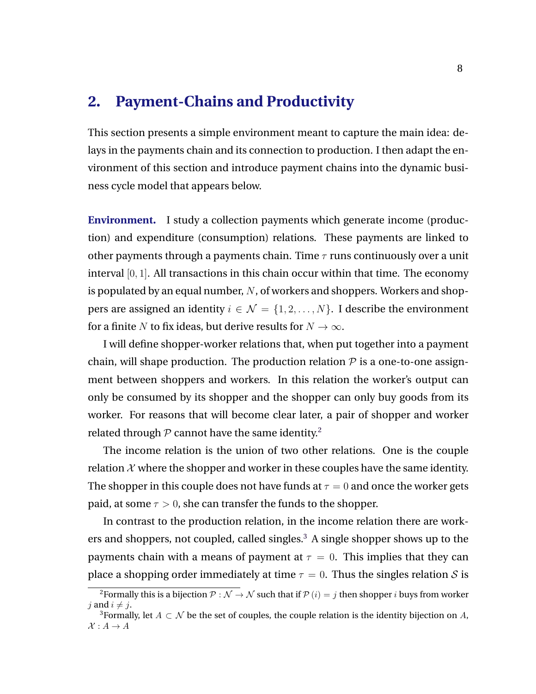### <span id="page-8-0"></span>**2. Payment-Chains and Productivity**

This section presents a simple environment meant to capture the main idea: delays in the payments chain and its connection to production. I then adapt the environment of this section and introduce payment chains into the dynamic business cycle model that appears below.

**Environment.** I study a collection payments which generate income (production) and expenditure (consumption) relations. These payments are linked to other payments through a payments chain. Time  $\tau$  runs continuously over a unit interval [0, 1]. All transactions in this chain occur within that time. The economy is populated by an equal number,  $N$ , of workers and shoppers. Workers and shoppers are assigned an identity  $i \in \mathcal{N} = \{1, 2, ..., N\}$ . I describe the environment for a finite N to fix ideas, but derive results for  $N \to \infty$ .

I will define shopper-worker relations that, when put together into a payment chain, will shape production. The production relation  $P$  is a one-to-one assignment between shoppers and workers. In this relation the worker's output can only be consumed by its shopper and the shopper can only buy goods from its worker. For reasons that will become clear later, a pair of shopper and worker related through  $P$  cannot have the same identity.<sup>2</sup>

The income relation is the union of two other relations. One is the couple relation  $X$  where the shopper and worker in these couples have the same identity. The shopper in this couple does not have funds at  $\tau = 0$  and once the worker gets paid, at some  $\tau > 0$ , she can transfer the funds to the shopper.

In contrast to the production relation, in the income relation there are workers and shoppers, not coupled, called singles.<sup>3</sup> A single shopper shows up to the payments chain with a means of payment at  $\tau = 0$ . This implies that they can place a shopping order immediately at time  $\tau = 0$ . Thus the singles relation S is

<sup>&</sup>lt;sup>2</sup>Formally this is a bijection  $\overline{P}: \mathcal{N} \to \mathcal{N}$  such that if  $\overline{P}(i) = i$  then shopper *i* buys from worker j and  $i \neq j$ .

<sup>&</sup>lt;sup>3</sup>Formally, let  $A \subset \mathcal{N}$  be the set of couples, the couple relation is the identity bijection on A,  $\mathcal{X}: A \to A$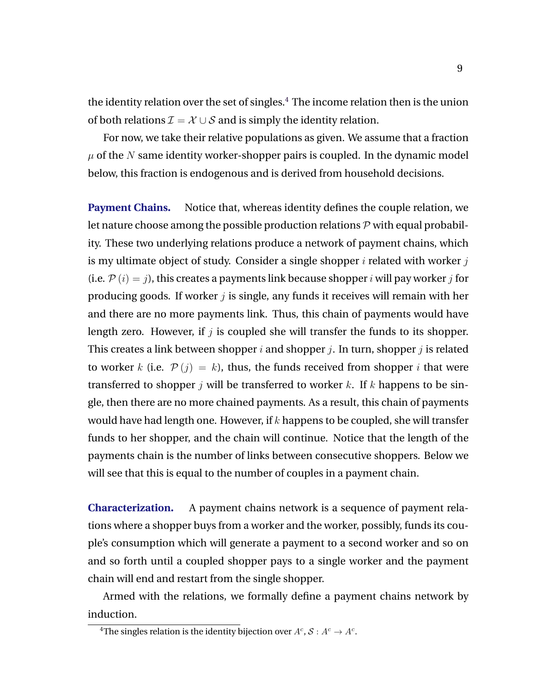the identity relation over the set of singles.<sup>4</sup> The income relation then is the union of both relations  $\mathcal{I} = \mathcal{X} \cup \mathcal{S}$  and is simply the identity relation.

For now, we take their relative populations as given. We assume that a fraction  $\mu$  of the N same identity worker-shopper pairs is coupled. In the dynamic model below, this fraction is endogenous and is derived from household decisions.

**Payment Chains.** Notice that, whereas identity defines the couple relation, we let nature choose among the possible production relations  $P$  with equal probability. These two underlying relations produce a network of payment chains, which is my ultimate object of study. Consider a single shopper  $i$  related with worker  $j$ (i.e.  $P(i) = j$ ), this creates a payments link because shopper i will pay worker j for producing goods. If worker  $j$  is single, any funds it receives will remain with her and there are no more payments link. Thus, this chain of payments would have length zero. However, if  $j$  is coupled she will transfer the funds to its shopper. This creates a link between shopper i and shopper j. In turn, shopper j is related to worker k (i.e.  $\mathcal{P}(j) = k$ ), thus, the funds received from shopper i that were transferred to shopper j will be transferred to worker k. If k happens to be single, then there are no more chained payments. As a result, this chain of payments would have had length one. However, if  $k$  happens to be coupled, she will transfer funds to her shopper, and the chain will continue. Notice that the length of the payments chain is the number of links between consecutive shoppers. Below we will see that this is equal to the number of couples in a payment chain.

**Characterization.** A payment chains network is a sequence of payment relations where a shopper buys from a worker and the worker, possibly, funds its couple's consumption which will generate a payment to a second worker and so on and so forth until a coupled shopper pays to a single worker and the payment chain will end and restart from the single shopper.

Armed with the relations, we formally define a payment chains network by induction.

<sup>&</sup>lt;sup>4</sup>The singles relation is the identity bijection over  $A^c$  ,  $\mathcal{S}: A^c \to A^c$  .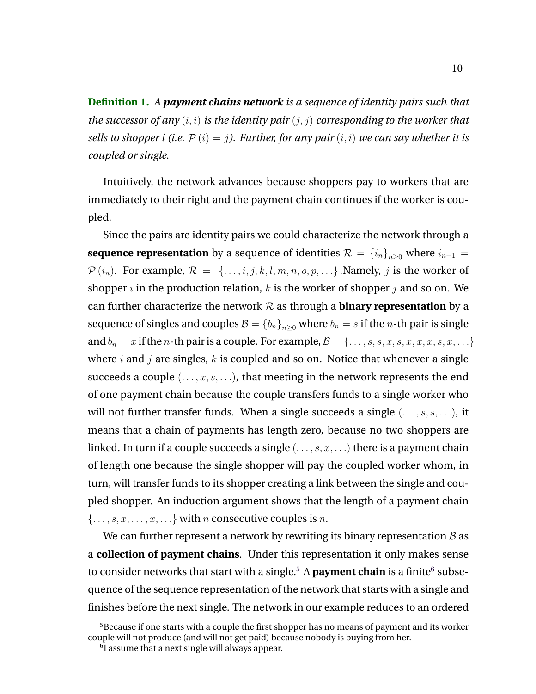**Definition 1.** *A payment chains network is a sequence of identity pairs such that the successor of any* (i, i) *is the identity pair* (j, j) *corresponding to the worker that sells to shopper i (i.e.*  $P(i) = j$ ). Further, for any pair  $(i, i)$  we can say whether it is *coupled or single.*

Intuitively, the network advances because shoppers pay to workers that are immediately to their right and the payment chain continues if the worker is coupled.

Since the pairs are identity pairs we could characterize the network through a **sequence representation** by a sequence of identities  $\mathcal{R} = \{i_n\}_{n\geq 0}$  where  $i_{n+1}$  $P(i_n)$ . For example,  $R = \{..., i, j, k, l, m, n, o, p, ...\}$ . Namely, j is the worker of shopper *i* in the production relation, *k* is the worker of shopper *j* and so on. We can further characterize the network  $R$  as through a **binary representation** by a sequence of singles and couples  $B = \{b_n\}_{n>0}$  where  $b_n = s$  if the *n*-th pair is single and  $b_n = x$  if the *n*-th pair is a couple. For example,  $\mathcal{B} = \{\ldots, s, s, x, s, x, x, x, s, x, \ldots\}$ where  $i$  and  $j$  are singles,  $k$  is coupled and so on. Notice that whenever a single succeeds a couple  $(\ldots, x, s, \ldots)$ , that meeting in the network represents the end of one payment chain because the couple transfers funds to a single worker who will not further transfer funds. When a single succeeds a single  $(\ldots, s, s, \ldots)$ , it means that a chain of payments has length zero, because no two shoppers are linked. In turn if a couple succeeds a single  $(\ldots, s, x, \ldots)$  there is a payment chain of length one because the single shopper will pay the coupled worker whom, in turn, will transfer funds to its shopper creating a link between the single and coupled shopper. An induction argument shows that the length of a payment chain  $\{\ldots, s, x, \ldots, x, \ldots\}$  with *n* consecutive couples is *n*.

We can further represent a network by rewriting its binary representation  $B$  as a **collection of payment chains**. Under this representation it only makes sense to consider networks that start with a single.<sup>5</sup> A **payment chain** is a finite<sup>6</sup> subsequence of the sequence representation of the network that starts with a single and finishes before the next single. The network in our example reduces to an ordered

 $5B$  Because if one starts with a couple the first shopper has no means of payment and its worker couple will not produce (and will not get paid) because nobody is buying from her.

 $6$ I assume that a next single will always appear.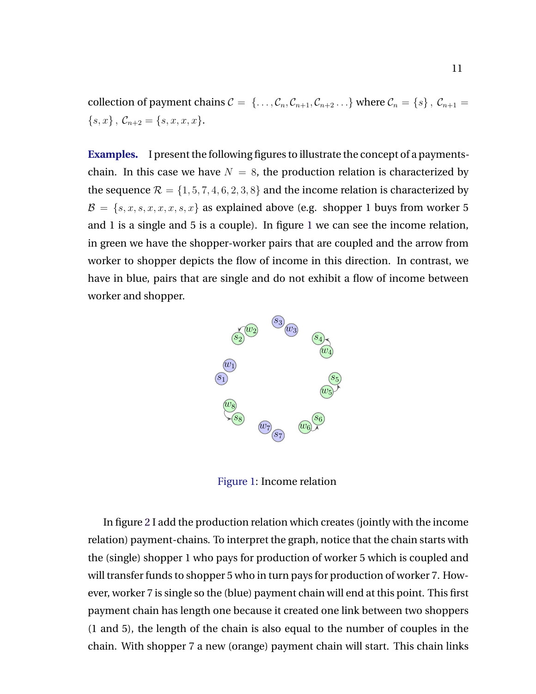collection of payment chains  $C = \{ \ldots, C_n, C_{n+1}, C_{n+2} \ldots \}$  where  $C_n = \{s\}, C_{n+1} =$  ${s, x}, \mathcal{C}_{n+2} = {s, x, x, x}.$ 

**Examples.** I present the following figures to illustrate the concept of a paymentschain. In this case we have  $N = 8$ , the production relation is characterized by the sequence  $\mathcal{R} = \{1, 5, 7, 4, 6, 2, 3, 8\}$  and the income relation is characterized by  $\mathcal{B} = \{s, x, s, x, x, x, s, x\}$  as explained above (e.g. shopper 1 buys from worker 5 and 1 is a single and 5 is a couple). In figure 1 we can see the income relation, in green we have the shopper-worker pairs that are coupled and the arrow from worker to shopper depicts the flow of income in this direction. In contrast, we have in blue, pairs that are single and do not exhibit a flow of income between worker and shopper.



Figure 1: Income relation

In figure [2](#page-12-0) I add the production relation which creates (jointly with the income relation) payment-chains. To interpret the graph, notice that the chain starts with the (single) shopper 1 who pays for production of worker 5 which is coupled and will transfer funds to shopper 5 who in turn pays for production of worker 7. However, worker 7 is single so the (blue) payment chain will end at this point. This first payment chain has length one because it created one link between two shoppers (1 and 5), the length of the chain is also equal to the number of couples in the chain. With shopper 7 a new (orange) payment chain will start. This chain links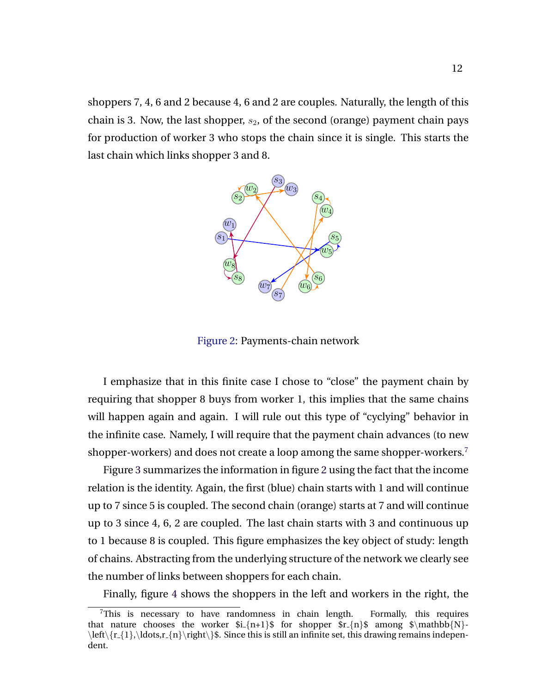<span id="page-12-0"></span>shoppers 7, 4, 6 and 2 because 4, 6 and 2 are couples. Naturally, the length of this chain is 3. Now, the last shopper,  $s_2$ , of the second (orange) payment chain pays for production of worker 3 who stops the chain since it is single. This starts the last chain which links shopper 3 and 8.



Figure 2: Payments-chain network

I emphasize that in this finite case I chose to "close" the payment chain by requiring that shopper 8 buys from worker 1, this implies that the same chains will happen again and again. I will rule out this type of "cyclying" behavior in the infinite case. Namely, I will require that the payment chain advances (to new shopper-workers) and does not create a loop among the same shopper-workers.<sup>7</sup>

Figure [3](#page-13-0) summarizes the information in figure 2 using the fact that the income relation is the identity. Again, the first (blue) chain starts with 1 and will continue up to 7 since 5 is coupled. The second chain (orange) starts at 7 and will continue up to 3 since 4, 6, 2 are coupled. The last chain starts with 3 and continuous up to 1 because 8 is coupled. This figure emphasizes the key object of study: length of chains. Abstracting from the underlying structure of the network we clearly see the number of links between shoppers for each chain.

Finally, figure [4](#page-14-0) shows the shoppers in the left and workers in the right, the

<sup>7</sup>This is necessary to have randomness in chain length. Formally, this requires that nature chooses the worker  $i_{n+1}$  for shopper  $r_{n}$  among  $\mathcal{N}$ - $\left\{r_{1},\ldots,r_{n}\right\}$ . Since this is still an infinite set, this drawing remains independent.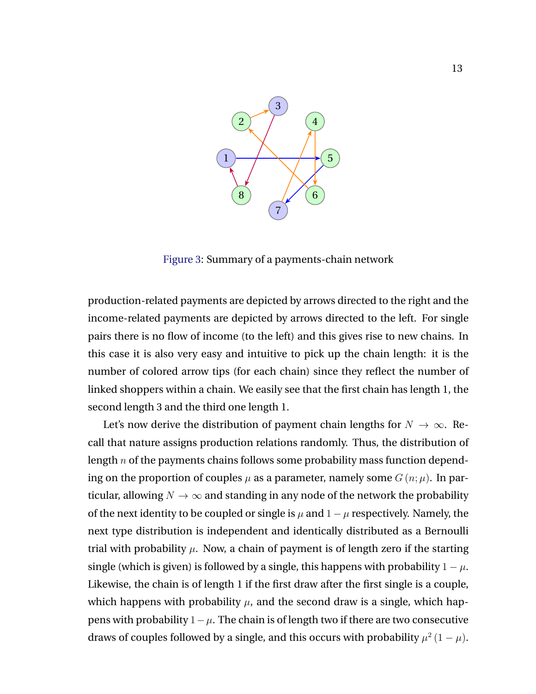<span id="page-13-0"></span>

Figure 3: Summary of a payments-chain network

production-related payments are depicted by arrows directed to the right and the income-related payments are depicted by arrows directed to the left. For single pairs there is no flow of income (to the left) and this gives rise to new chains. In this case it is also very easy and intuitive to pick up the chain length: it is the number of colored arrow tips (for each chain) since they reflect the number of linked shoppers within a chain. We easily see that the first chain has length 1, the second length 3 and the third one length 1.

Let's now derive the distribution of payment chain lengths for  $N \to \infty$ . Recall that nature assigns production relations randomly. Thus, the distribution of length  $n$  of the payments chains follows some probability mass function depending on the proportion of couples  $\mu$  as a parameter, namely some  $G(n; \mu)$ . In particular, allowing  $N \to \infty$  and standing in any node of the network the probability of the next identity to be coupled or single is  $\mu$  and  $1 - \mu$  respectively. Namely, the next type distribution is independent and identically distributed as a Bernoulli trial with probability  $\mu$ . Now, a chain of payment is of length zero if the starting single (which is given) is followed by a single, this happens with probability  $1 - \mu$ . Likewise, the chain is of length 1 if the first draw after the first single is a couple, which happens with probability  $\mu$ , and the second draw is a single, which happens with probability  $1-\mu$ . The chain is of length two if there are two consecutive draws of couples followed by a single, and this occurs with probability  $\mu^2(1-\mu)$ .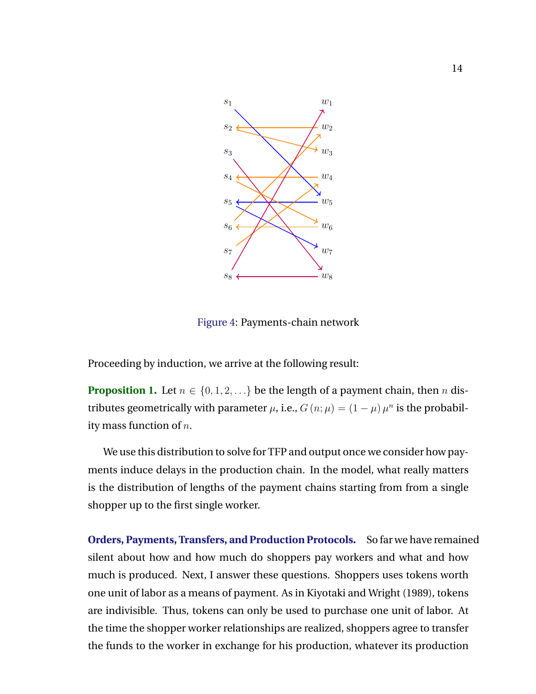<span id="page-14-0"></span>

Figure 4: Payments-chain network

Proceeding by induction, we arrive at the following result:

**Proposition 1.** Let  $n \in \{0, 1, 2, \ldots\}$  be the length of a payment chain, then n distributes geometrically with parameter  $\mu$ , i.e.,  $G(n; \mu) = (1 - \mu) \mu^n$  is the probability mass function of  $n$ .

We use this distribution to solve for TFP and output once we consider how payments induce delays in the production chain. In the model, what really matters is the distribution of lengths of the payment chains starting from from a single shopper up to the first single worker.

**Orders, Payments, Transfers, and Production Protocols.** So far we have remained silent about how and how much do shoppers pay workers and what and how much is produced. Next, I answer these questions. Shoppers uses tokens worth one unit of labor as a means of payment. As in Kiyotaki and Wright (1989), tokens are indivisible. Thus, tokens can only be used to purchase one unit of labor. At the time the shopper worker relationships are realized, shoppers agree to transfer the funds to the worker in exchange for his production, whatever its production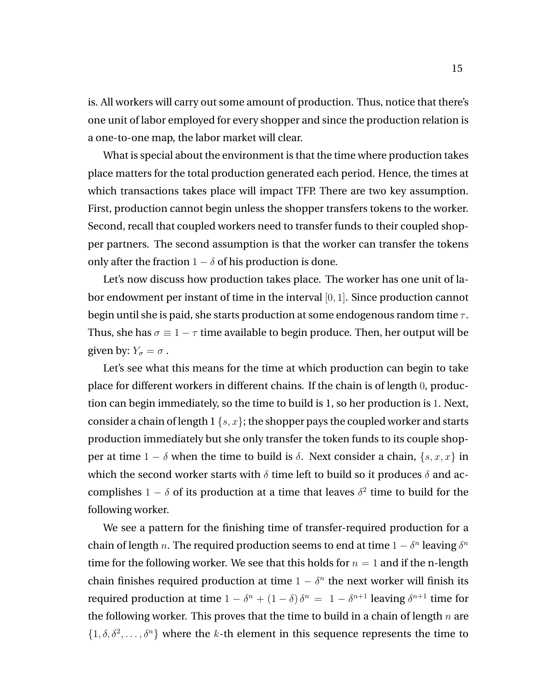is. All workers will carry out some amount of production. Thus, notice that there's one unit of labor employed for every shopper and since the production relation is a one-to-one map, the labor market will clear.

What is special about the environment is that the time where production takes place matters for the total production generated each period. Hence, the times at which transactions takes place will impact TFP. There are two key assumption. First, production cannot begin unless the shopper transfers tokens to the worker. Second, recall that coupled workers need to transfer funds to their coupled shopper partners. The second assumption is that the worker can transfer the tokens only after the fraction  $1 - \delta$  of his production is done.

Let's now discuss how production takes place. The worker has one unit of labor endowment per instant of time in the interval [0, 1]. Since production cannot begin until she is paid, she starts production at some endogenous random time  $\tau$ . Thus, she has  $\sigma = 1 - \tau$  time available to begin produce. Then, her output will be given by:  $Y_{\sigma} = \sigma$ .

Let's see what this means for the time at which production can begin to take place for different workers in different chains. If the chain is of length 0, production can begin immediately, so the time to build is 1, so her production is 1. Next, consider a chain of length  $1 \{s, x\}$ ; the shopper pays the coupled worker and starts production immediately but she only transfer the token funds to its couple shopper at time  $1 - \delta$  when the time to build is  $\delta$ . Next consider a chain,  $\{s, x, x\}$  in which the second worker starts with  $\delta$  time left to build so it produces  $\delta$  and accomplishes  $1 - \delta$  of its production at a time that leaves  $\delta^2$  time to build for the following worker.

We see a pattern for the finishing time of transfer-required production for a chain of length n. The required production seems to end at time  $1 - \delta^n$  leaving  $\delta^n$ time for the following worker. We see that this holds for  $n = 1$  and if the n-length chain finishes required production at time  $1 - \delta^n$  the next worker will finish its required production at time  $1 - \delta^n + (1 - \delta) \delta^n = 1 - \delta^{n+1}$  leaving  $\delta^{n+1}$  time for the following worker. This proves that the time to build in a chain of length  $n$  are  $\{1, \delta, \delta^2, \ldots, \delta^n\}$  where the k-th element in this sequence represents the time to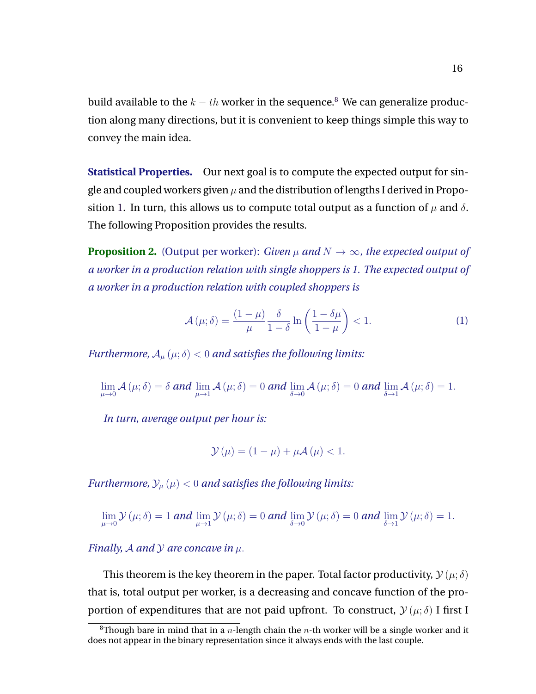<span id="page-16-0"></span>build available to the  $k - th$  worker in the sequence.<sup>8</sup> We can generalize production along many directions, but it is convenient to keep things simple this way to convey the main idea.

**Statistical Properties.** Our next goal is to compute the expected output for single and coupled workers given  $\mu$  and the distribution of lengths I derived in Propo-sition [1.](#page-14-0) In turn, this allows us to compute total output as a function of  $\mu$  and  $\delta$ . The following Proposition provides the results.

**Proposition 2.** (Output per worker): *Given*  $\mu$  *and*  $N \rightarrow \infty$ *, the expected output of a worker in a production relation with single shoppers is 1. The expected output of a worker in a production relation with coupled shoppers is*

$$
\mathcal{A}(\mu;\delta) = \frac{(1-\mu)}{\mu} \frac{\delta}{1-\delta} \ln \left( \frac{1-\delta\mu}{1-\mu} \right) < 1. \tag{1}
$$

*Furthermore,*  $A_\mu(\mu;\delta) < 0$  *and satisfies the following limits:* 

$$
\lim_{\mu\to 0} \mathcal{A}(\mu;\delta) = \delta \text{ and } \lim_{\mu\to 1} \mathcal{A}(\mu;\delta) = 0 \text{ and } \lim_{\delta\to 0} \mathcal{A}(\mu;\delta) = 0 \text{ and } \lim_{\delta\to 1} \mathcal{A}(\mu;\delta) = 1.
$$

*In turn, average output per hour is:*

$$
\mathcal{Y}(\mu) = (1 - \mu) + \mu \mathcal{A}(\mu) < 1.
$$

*Furthermore,*  $\mathcal{Y}_{\mu}(\mu) < 0$  *and satisfies the following limits:* 

$$
\lim_{\mu\to 0}\mathcal{Y}(\mu;\delta)=1 \text{ and } \lim_{\mu\to 1}\mathcal{Y}(\mu;\delta)=0 \text{ and } \lim_{\delta\to 0}\mathcal{Y}(\mu;\delta)=0 \text{ and } \lim_{\delta\to 1}\mathcal{Y}(\mu;\delta)=1.
$$

*Finally, A and Y are concave in*  $\mu$ *.* 

This theorem is the key theorem in the paper. Total factor productivity,  $\mathcal{Y}(\mu;\delta)$ that is, total output per worker, is a decreasing and concave function of the proportion of expenditures that are not paid upfront. To construct,  $\mathcal{Y}(\mu;\delta)$  I first I

<sup>&</sup>lt;sup>8</sup>Though bare in mind that in a *n*-length chain the *n*-th worker will be a single worker and it does not appear in the binary representation since it always ends with the last couple.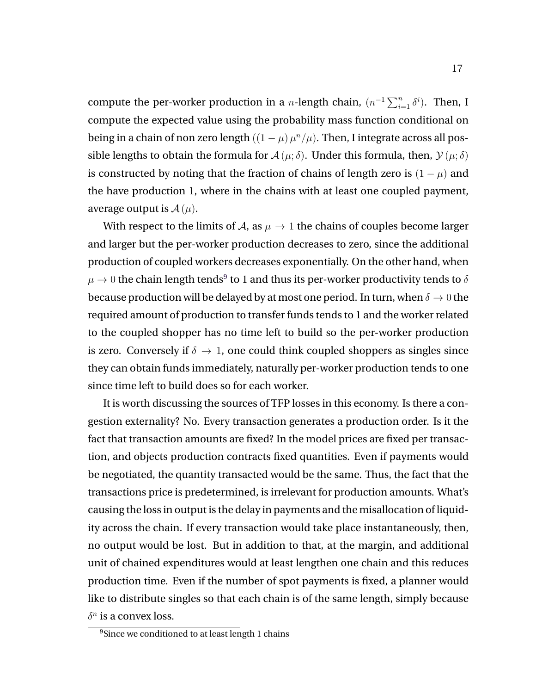compute the per-worker production in a *n*-length chain,  $(n^{-1} \sum_{i=1}^{n} \delta^{i})$ . Then, I compute the expected value using the probability mass function conditional on being in a chain of non zero length  $((1 - \mu)\mu^n/\mu)$ . Then, I integrate across all possible lengths to obtain the formula for  $\mathcal{A}(\mu;\delta)$ . Under this formula, then,  $\mathcal{Y}(\mu;\delta)$ is constructed by noting that the fraction of chains of length zero is  $(1 - \mu)$  and the have production 1, where in the chains with at least one coupled payment, average output is  $A(\mu)$ .

With respect to the limits of  $A$ , as  $\mu \to 1$  the chains of couples become larger and larger but the per-worker production decreases to zero, since the additional production of coupled workers decreases exponentially. On the other hand, when  $\mu \rightarrow 0$  the chain length tends $^9$  to 1 and thus its per-worker productivity tends to  $\delta$ because production will be delayed by at most one period. In turn, when  $\delta \to 0$  the required amount of production to transfer funds tends to 1 and the worker related to the coupled shopper has no time left to build so the per-worker production is zero. Conversely if  $\delta \to 1$ , one could think coupled shoppers as singles since they can obtain funds immediately, naturally per-worker production tends to one since time left to build does so for each worker.

It is worth discussing the sources of TFP losses in this economy. Is there a congestion externality? No. Every transaction generates a production order. Is it the fact that transaction amounts are fixed? In the model prices are fixed per transaction, and objects production contracts fixed quantities. Even if payments would be negotiated, the quantity transacted would be the same. Thus, the fact that the transactions price is predetermined, is irrelevant for production amounts. What's causing the loss in output is the delay in payments and the misallocation of liquidity across the chain. If every transaction would take place instantaneously, then, no output would be lost. But in addition to that, at the margin, and additional unit of chained expenditures would at least lengthen one chain and this reduces production time. Even if the number of spot payments is fixed, a planner would like to distribute singles so that each chain is of the same length, simply because  $\delta^n$  is a convex loss.

<sup>&</sup>lt;sup>9</sup>Since we conditioned to at least length 1 chains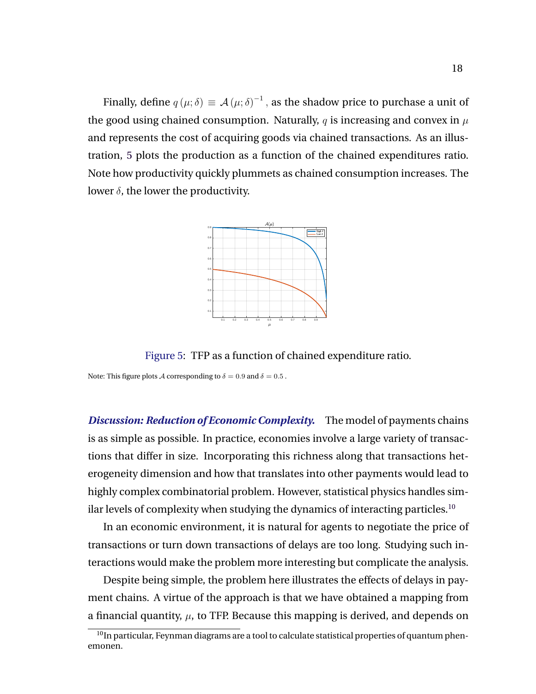Finally, define  $q(\mu;\delta) \equiv \mathcal{A}(\mu;\delta)^{-1}$  , as the shadow price to purchase a unit of the good using chained consumption. Naturally, q is increasing and convex in  $\mu$ and represents the cost of acquiring goods via chained transactions. As an illustration, 5 plots the production as a function of the chained expenditures ratio. Note how productivity quickly plummets as chained consumption increases. The lower  $\delta$ , the lower the productivity.



Figure 5: TFP as a function of chained expenditure ratio.

Note: This figure plots A corresponding to  $\delta = 0.9$  and  $\delta = 0.5$ .

*Discussion: Reduction of Economic Complexity.* The model of payments chains is as simple as possible. In practice, economies involve a large variety of transactions that differ in size. Incorporating this richness along that transactions heterogeneity dimension and how that translates into other payments would lead to highly complex combinatorial problem. However, statistical physics handles similar levels of complexity when studying the dynamics of interacting particles.<sup>10</sup>

In an economic environment, it is natural for agents to negotiate the price of transactions or turn down transactions of delays are too long. Studying such interactions would make the problem more interesting but complicate the analysis.

Despite being simple, the problem here illustrates the effects of delays in payment chains. A virtue of the approach is that we have obtained a mapping from a financial quantity,  $\mu$ , to TFP. Because this mapping is derived, and depends on

<sup>&</sup>lt;sup>10</sup>In particular, Feynman diagrams are a tool to calculate statistical properties of quantum phenemonen.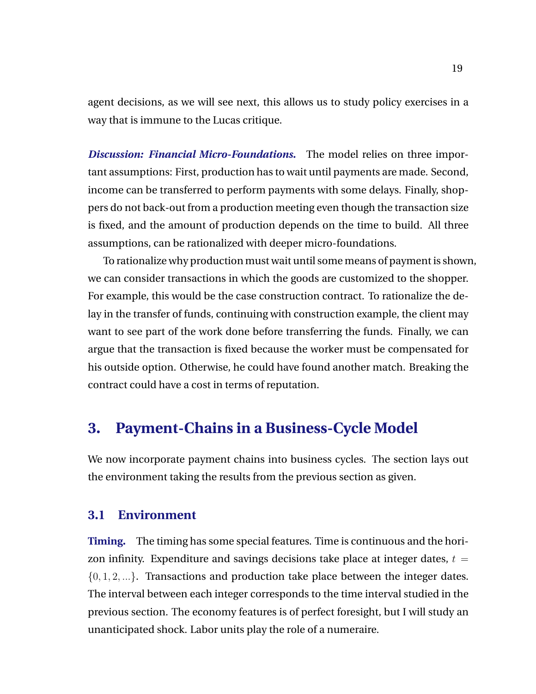<span id="page-19-0"></span>agent decisions, as we will see next, this allows us to study policy exercises in a way that is immune to the Lucas critique.

*Discussion: Financial Micro-Foundations.* The model relies on three important assumptions: First, production has to wait until payments are made. Second, income can be transferred to perform payments with some delays. Finally, shoppers do not back-out from a production meeting even though the transaction size is fixed, and the amount of production depends on the time to build. All three assumptions, can be rationalized with deeper micro-foundations.

To rationalize why production must wait until some means of payment is shown, we can consider transactions in which the goods are customized to the shopper. For example, this would be the case construction contract. To rationalize the delay in the transfer of funds, continuing with construction example, the client may want to see part of the work done before transferring the funds. Finally, we can argue that the transaction is fixed because the worker must be compensated for his outside option. Otherwise, he could have found another match. Breaking the contract could have a cost in terms of reputation.

### **3. Payment-Chains in a Business-Cycle Model**

We now incorporate payment chains into business cycles. The section lays out the environment taking the results from the previous section as given.

### **3.1 Environment**

**Timing.** The timing has some special features. Time is continuous and the horizon infinity. Expenditure and savings decisions take place at integer dates,  $t =$  $\{0, 1, 2, ...\}$ . Transactions and production take place between the integer dates. The interval between each integer corresponds to the time interval studied in the previous section. The economy features is of perfect foresight, but I will study an unanticipated shock. Labor units play the role of a numeraire.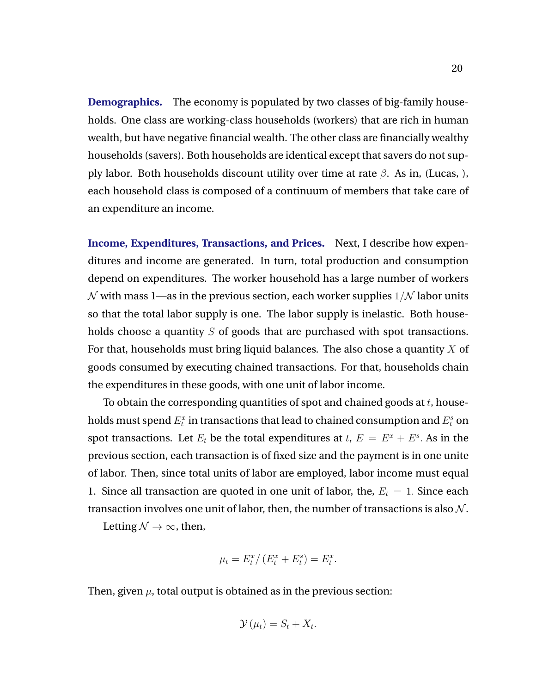**Demographics.** The economy is populated by two classes of big-family households. One class are working-class households (workers) that are rich in human wealth, but have negative financial wealth. The other class are financially wealthy households (savers). Both households are identical except that savers do not supply labor. Both households discount utility over time at rate  $\beta$ . As in, (Lucas, ), each household class is composed of a continuum of members that take care of an expenditure an income.

**Income, Expenditures, Transactions, and Prices.** Next, I describe how expenditures and income are generated. In turn, total production and consumption depend on expenditures. The worker household has a large number of workers  $\mathcal N$  with mass 1—as in the previous section, each worker supplies  $1/\mathcal N$  labor units so that the total labor supply is one. The labor supply is inelastic. Both households choose a quantity  $S$  of goods that are purchased with spot transactions. For that, households must bring liquid balances. The also chose a quantity  $X$  of goods consumed by executing chained transactions. For that, households chain the expenditures in these goods, with one unit of labor income.

To obtain the corresponding quantities of spot and chained goods at  $t$ , households must spend  $E_t^x$  in transactions that lead to chained consumption and  $E_t^s$  on spot transactions. Let  $E_t$  be the total expenditures at  $t, E = E^x + E^s$ . As in the previous section, each transaction is of fixed size and the payment is in one unite of labor. Then, since total units of labor are employed, labor income must equal 1. Since all transaction are quoted in one unit of labor, the,  $E_t = 1$ . Since each transaction involves one unit of labor, then, the number of transactions is also  $\mathcal{N}$ .

Letting  $\mathcal{N} \rightarrow \infty$ , then,

$$
\mu_t = E_t^x / (E_t^x + E_t^s) = E_t^x.
$$

Then, given  $\mu$ , total output is obtained as in the previous section:

$$
\mathcal{Y}\left(\mu_t\right) = S_t + X_t.
$$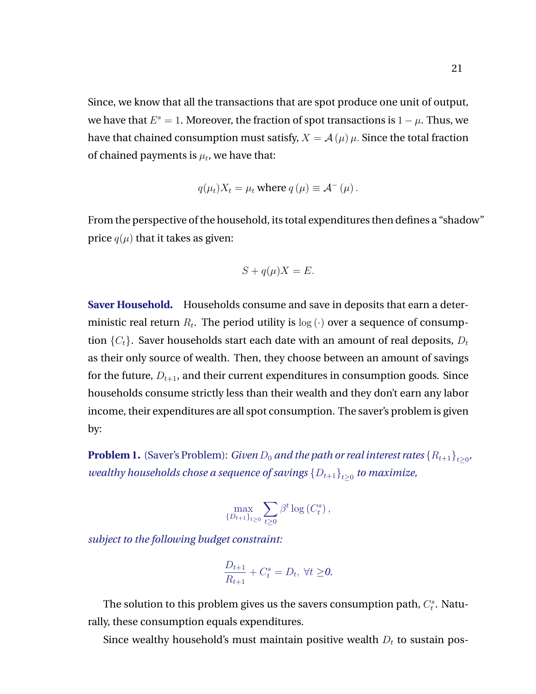Since, we know that all the transactions that are spot produce one unit of output, we have that  $E^s=1$ . Moreover, the fraction of spot transactions is  $1-\mu$ . Thus, we have that chained consumption must satisfy,  $X = A(\mu)\mu$ . Since the total fraction of chained payments is  $\mu_t$ , we have that:

$$
q(\mu_t)X_t = \mu_t
$$
 where  $q(\mu) \equiv A^-(\mu)$ .

From the perspective of the household, its total expenditures then defines a "shadow" price  $q(\mu)$  that it takes as given:

$$
S + q(\mu)X = E.
$$

**Saver Household.** Households consume and save in deposits that earn a deterministic real return  $R_t.$  The period utility is  $\log(\cdot)$  over a sequence of consumption  $\{C_t\}$ . Saver households start each date with an amount of real deposits,  $D_t$ as their only source of wealth. Then, they choose between an amount of savings for the future,  $D_{t+1}$ , and their current expenditures in consumption goods. Since households consume strictly less than their wealth and they don't earn any labor income, their expenditures are all spot consumption. The saver's problem is given by:

**Problem 1.** (Saver's Problem): *Given*  $D_0$  *and the path or real interest rates*  $\{R_{t+1}\}_{t\geq 0}$ *, wealthy households chose a sequence of savings*  $\left\{D_{t+1}\right\}_{t\geq0}$  *to maximize,* 

$$
\max_{\{D_{t+1}\}_{t\geq 0}} \sum_{t\geq 0} \beta^t \log\left(C_t^s\right),\,
$$

*subject to the following budget constraint:*

$$
\frac{D_{t+1}}{R_{t+1}} + C_t^s = D_t, \ \forall t \ge 0.
$$

The solution to this problem gives us the savers consumption path,  $C_t^s$ . Naturally, these consumption equals expenditures.

Since wealthy household's must maintain positive wealth  $D_t$  to sustain pos-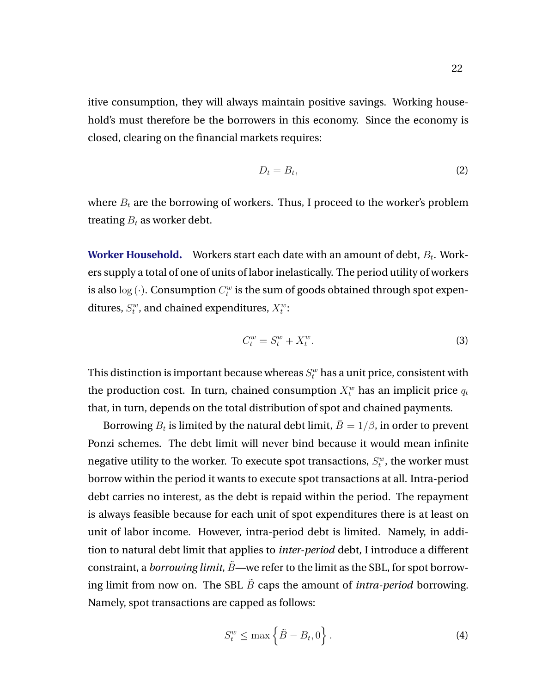<span id="page-22-0"></span>itive consumption, they will always maintain positive savings. Working household's must therefore be the borrowers in this economy. Since the economy is closed, clearing on the financial markets requires:

$$
D_t = B_t,\tag{2}
$$

where  $B_t$  are the borrowing of workers. Thus, I proceed to the worker's problem treating  $B_t$  as worker debt.

**Worker Household.** Workers start each date with an amount of debt,  $B_t$ . Workers supply a total of one of units of labor inelastically. The period utility of workers is also  $\log{(\cdot)}$ . Consumption  $C^w_t$  is the sum of goods obtained through spot expenditures,  $S_t^w$ , and chained expenditures,  $X_t^w$ :

$$
C_t^w = S_t^w + X_t^w. \tag{3}
$$

This distinction is important because whereas  $S_t^w$  has a unit price, consistent with the production cost. In turn, chained consumption  $X_t^w$  has an implicit price  $q_t$ that, in turn, depends on the total distribution of spot and chained payments.

Borrowing  $B_t$  is limited by the natural debt limit,  $\bar{B}=1/\beta$ , in order to prevent Ponzi schemes. The debt limit will never bind because it would mean infinite negative utility to the worker. To execute spot transactions,  $S^w_t$ , the worker must borrow within the period it wants to execute spot transactions at all. Intra-period debt carries no interest, as the debt is repaid within the period. The repayment is always feasible because for each unit of spot expenditures there is at least on unit of labor income. However, intra-period debt is limited. Namely, in addition to natural debt limit that applies to *inter-period* debt, I introduce a different constraint, a *borrowing limit,*  $\tilde{B}$ —we refer to the limit as the SBL, for spot borrowing limit from now on. The SBL  $\tilde{B}$  caps the amount of *intra-period* borrowing. Namely, spot transactions are capped as follows:

$$
S_t^w \le \max\left\{\tilde{B} - B_t, 0\right\}.
$$
 (4)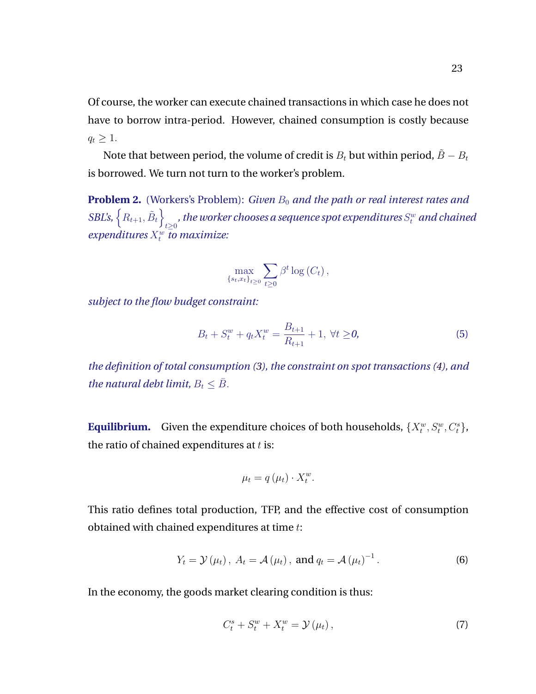<span id="page-23-0"></span>Of course, the worker can execute chained transactions in which case he does not have to borrow intra-period. However, chained consumption is costly because  $q_t \geq 1$ .

Note that between period, the volume of credit is  $B_t$  but within period,  $\tilde{B} - B_t$ is borrowed. We turn not turn to the worker's problem.

**Problem 2.** (Workers's Problem): *Given*  $B_0$  *and the path or real interest rates and SBL's,*  $\left\{ R_{t+1}, \tilde{B}_t \right\}$  $\epsilon_{t\geq 0}$  , the worker chooses a sequence spot expenditures  $S_t^w$  and chained  $expenditures X_t^w$  to maximize:

$$
\max_{\{s_t, x_t\}_{t\geq 0}} \sum_{t\geq 0} \beta^t \log(C_t),
$$

*subject to the flow budget constraint:*

$$
B_t + S_t^w + q_t X_t^w = \frac{B_{t+1}}{R_{t+1}} + 1, \ \forall t \ge 0,
$$
\n(5)

*the definition of total consumption [\(3\)](#page-22-0), the constraint on spot transactions [\(4\)](#page-22-0), and the natural debt limit,*  $B_t \leq \overline{B}$ .

**Equilibrium.** Given the expenditure choices of both households,  $\{X_t^w, S_t^w, C_t^s\}$ , the ratio of chained expenditures at  $t$  is:

$$
\mu_t = q(\mu_t) \cdot X_t^w.
$$

This ratio defines total production, TFP, and the effective cost of consumption obtained with chained expenditures at time t:

$$
Y_t = \mathcal{Y}(\mu_t), A_t = \mathcal{A}(\mu_t), \text{ and } q_t = \mathcal{A}(\mu_t)^{-1}.
$$
 (6)

In the economy, the goods market clearing condition is thus:

$$
C_t^s + S_t^w + X_t^w = \mathcal{Y}(\mu_t), \qquad (7)
$$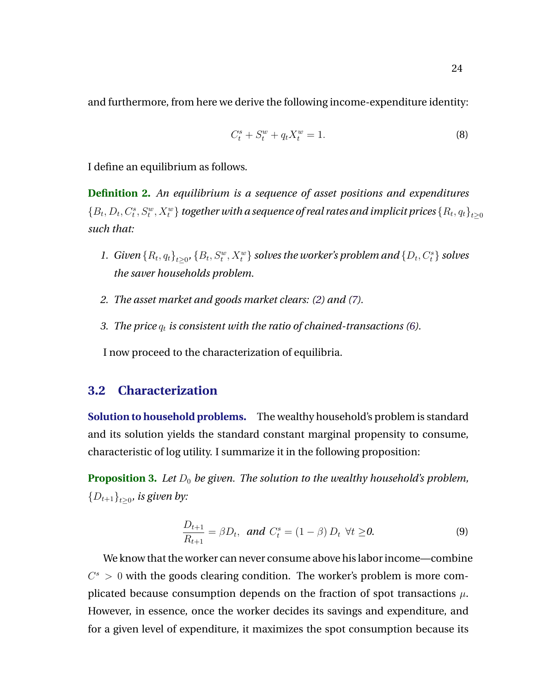<span id="page-24-0"></span>and furthermore, from here we derive the following income-expenditure identity:

$$
C_t^s + S_t^w + q_t X_t^w = 1.
$$
 (8)

I define an equilibrium as follows.

**Definition 2.** *An equilibrium is a sequence of asset positions and expenditures*  $\{B_t, D_t, C^s_t, S^w_t, X^w_t\}$  together with a sequence of real rates and implicit prices  $\{R_t, q_t\}_{t\geq 0}$ *such that:*

- 1. *Given*  $\{R_t, q_t\}_{t\geq 0}$ ,  $\{B_t, S_t^w, X_t^w\}$  *solves the worker's problem and*  $\{D_t, C_t^s\}$  *solves the saver households problem.*
- *2. The asset market and goods market clears: [\(2\)](#page-22-0) and [\(7\)](#page-23-0).*
- *3. The price*  $q_t$  *is consistent with the ratio of chained-transactions [\(6\)](#page-23-0).*

I now proceed to the characterization of equilibria.

### **3.2 Characterization**

**Solution to household problems.** The wealthy household's problem is standard and its solution yields the standard constant marginal propensity to consume, characteristic of log utility. I summarize it in the following proposition:

**Proposition 3.** Let  $D_0$  be given. The solution to the wealthy household's problem,  $\{D_{t+1}\}_{t\geq 0}$ , is given by:

$$
\frac{D_{t+1}}{R_{t+1}} = \beta D_t, \ \text{and} \ C_t^s = (1 - \beta) D_t \ \forall t \ge 0.
$$
 (9)

We know that the worker can never consume above his labor income—combine  $C^s > 0$  with the goods clearing condition. The worker's problem is more complicated because consumption depends on the fraction of spot transactions  $\mu$ . However, in essence, once the worker decides its savings and expenditure, and for a given level of expenditure, it maximizes the spot consumption because its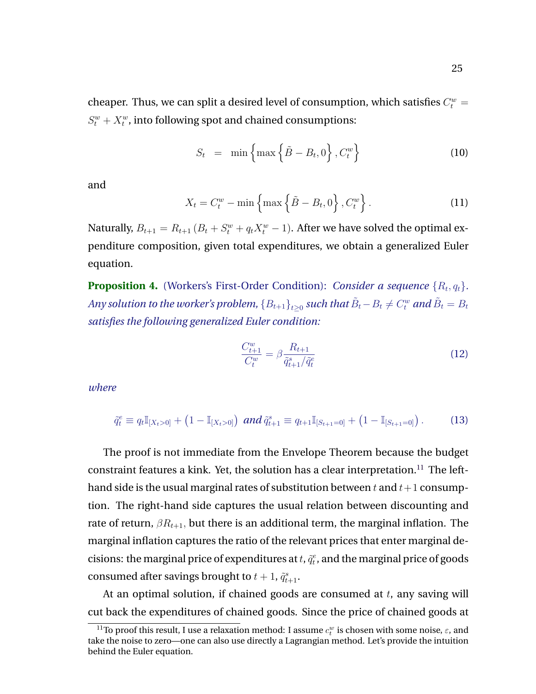<span id="page-25-0"></span>cheaper. Thus, we can split a desired level of consumption, which satisfies  $C_t^w = \frac{1}{\sqrt{2\pi}}$  $S_t^w + X_t^w$ , into following spot and chained consumptions:

$$
S_t = \min\left\{\max\left\{\tilde{B} - B_t, 0\right\}, C_t^w\right\} \tag{10}
$$

and

$$
X_t = C_t^w - \min\left\{\max\left\{\tilde{B} - B_t, 0\right\}, C_t^w\right\}.
$$
 (11)

Naturally,  $B_{t+1} = R_{t+1} (B_t + S_t^w + q_t X_t^w - 1)$ . After we have solved the optimal expenditure composition, given total expenditures, we obtain a generalized Euler equation.

**Proposition 4.** (Workers's First-Order Condition): *Consider a sequence*  $\{R_t, q_t\}$ *.* Any solution to the worker's problem,  $\{B_{t+1}\}_{t\geq 0}$  such that  $\tilde{B}_t-B_t\neq C^w_t$  and  $\tilde{B}_t=B_t$ *satisfies the following generalized Euler condition:*

$$
\frac{C_{t+1}^w}{C_t^w} = \beta \frac{R_{t+1}}{\tilde{q}_{t+1}^s / \tilde{q}_t^e} \tag{12}
$$

*where*

$$
\tilde{q}_t^e \equiv q_t \mathbb{I}_{[X_t>0]} + (1 - \mathbb{I}_{[X_t>0]}) \text{ and } \tilde{q}_{t+1}^s \equiv q_{t+1} \mathbb{I}_{[S_{t+1}=0]} + (1 - \mathbb{I}_{[S_{t+1}=0]}) \,. \tag{13}
$$

The proof is not immediate from the Envelope Theorem because the budget constraint features a kink. Yet, the solution has a clear interpretation.<sup>11</sup> The lefthand side is the usual marginal rates of substitution between t and  $t+1$  consumption. The right-hand side captures the usual relation between discounting and rate of return,  $\beta R_{t+1}$ , but there is an additional term, the marginal inflation. The marginal inflation captures the ratio of the relevant prices that enter marginal decisions: the marginal price of expenditures at  $t, \tilde{q}_t^e$ , and the marginal price of goods consumed after savings brought to  $t + 1$ ,  $\tilde{q}_{t+1}^s$ .

At an optimal solution, if chained goods are consumed at  $t$ , any saving will cut back the expenditures of chained goods. Since the price of chained goods at

 $^{11}$ To proof this result, I use a relaxation method: I assume  $c_{t}^{w}$  is chosen with some noise,  $\varepsilon$ , and take the noise to zero—one can also use directly a Lagrangian method. Let's provide the intuition behind the Euler equation.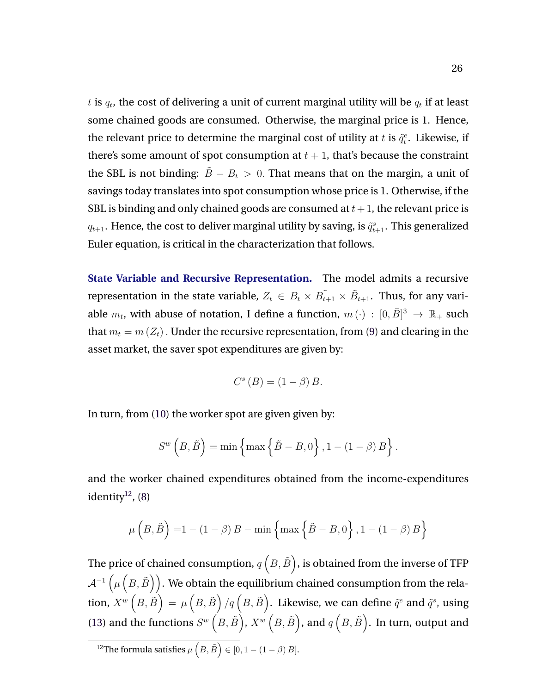$t$  is  $q_t$ , the cost of delivering a unit of current marginal utility will be  $q_t$  if at least some chained goods are consumed. Otherwise, the marginal price is 1. Hence, the relevant price to determine the marginal cost of utility at t is  $\tilde{q}_t^e$ . Likewise, if there's some amount of spot consumption at  $t + 1$ , that's because the constraint the SBL is not binding:  $\tilde{B} - B_t > 0$ . That means that on the margin, a unit of savings today translates into spot consumption whose price is 1. Otherwise, if the SBL is binding and only chained goods are consumed at  $t + 1$ , the relevant price is  $q_{t+1}$ . Hence, the cost to deliver marginal utility by saving, is  $\tilde{q}^s_{t+1}$ . This generalized Euler equation, is critical in the characterization that follows.

**State Variable and Recursive Representation.** The model admits a recursive representation in the state variable,  $Z_t \in B_t \times \tilde{B_{t+1}} \times \tilde{B}_{t+1}$ . Thus, for any variable  $m_t$ , with abuse of notation, I define a function,  $m(\cdot)$  :  $[0,\bar{B}]^3 \to \mathbb{R}_+$  such that  $m_t = m(Z_t)$ . Under the recursive representation, from [\(9\)](#page-24-0) and clearing in the asset market, the saver spot expenditures are given by:

$$
C^{s}(B) = (1 - \beta) B.
$$

In turn, from [\(10\)](#page-25-0) the worker spot are given given by:

$$
S^{w}\left(B,\tilde{B}\right) = \min\left\{\max\left\{\tilde{B}-B,0\right\},1-\left(1-\beta\right)B\right\}.
$$

and the worker chained expenditures obtained from the income-expenditures identity $12$ , [\(8\)](#page-24-0)

$$
\mu\left(B,\tilde{B}\right) = 1 - (1 - \beta)B - \min\left\{\max\left\{\tilde{B} - B, 0\right\}, 1 - (1 - \beta)B\right\}
$$

The price of chained consumption,  $q\left(B,\tilde{B}\right)$ , is obtained from the inverse of TFP  $\mathcal{A}^{-1}\left( \mu\left( B,\tilde{B}\right) \right) .$  We obtain the equilibrium chained consumption from the relation,  $X^w\left( B,\tilde{B}\right) =\mu\left( B,\tilde{B}\right) /q\left( B,\tilde{B}\right) .$  Likewise, we can define  $\tilde{q}^{e}$  and  $\tilde{q}^{s}$ , using [\(13\)](#page-25-0) and the functions  $S^w(B,\tilde{B})$ ,  $X^w(B,\tilde{B})$ , and  $q(B,\tilde{B})$ . In turn, output and <sup>12</sup>The formula satisfies  $\mu\left(B,\tilde{B}\right) \in [0,1-(1-\beta)B].$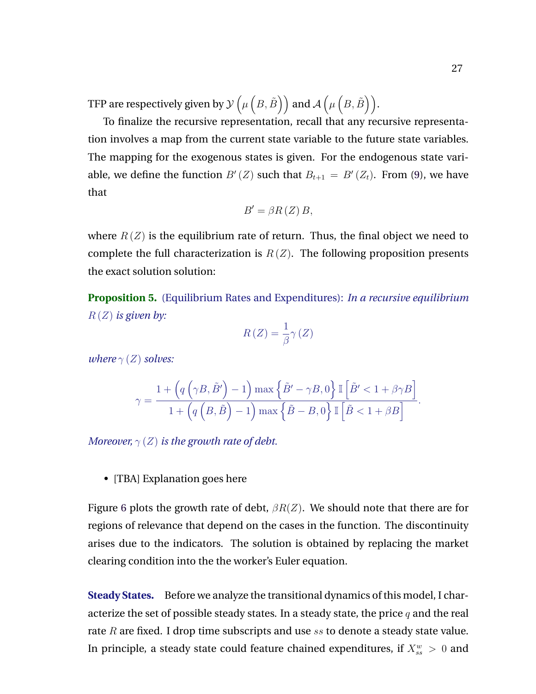TFP are respectively given by  $\mathcal{Y}\left( \mu\left( B,\tilde{B}\right) \right)$  and  $\mathcal{A}\left( \mu\left( B,\tilde{B}\right) \right)$ .

To finalize the recursive representation, recall that any recursive representation involves a map from the current state variable to the future state variables. The mapping for the exogenous states is given. For the endogenous state variable, we define the function  $B'(Z)$  such that  $B_{t+1} = B'(Z_t)$ . From [\(9\)](#page-24-0), we have that

$$
B' = \beta R(Z) B,
$$

where  $R(Z)$  is the equilibrium rate of return. Thus, the final object we need to complete the full characterization is  $R(Z)$ . The following proposition presents the exact solution solution:

**Proposition 5.** (Equilibrium Rates and Expenditures): *In a recursive equilibrium* R (Z) *is given by:*

$$
R\left(Z\right) = \frac{1}{\beta}\gamma\left(Z\right)
$$

*where*  $\gamma$  (*Z*) *solves:* 

$$
\gamma=\frac{1+\left(q\left(\gamma B,\tilde{B}'\right)-1\right)\max\left\{\tilde{B}'-\gamma B,0\right\}\mathbb{I}\left[\tilde{B}'<1+\beta\gamma B\right]}{1+\left(q\left(B,\tilde{B}\right)-1\right)\max\left\{\tilde{B}-B,0\right\}\mathbb{I}\left[\tilde{B}<1+\beta B\right]}.
$$

*Moreover,*  $\gamma$  (*Z*) *is the growth rate of debt.* 

• [TBA] Explanation goes here

Figure [6](#page-28-0) plots the growth rate of debt,  $\beta R(Z)$ . We should note that there are for regions of relevance that depend on the cases in the function. The discontinuity arises due to the indicators. The solution is obtained by replacing the market clearing condition into the the worker's Euler equation.

**Steady States.** Before we analyze the transitional dynamics of this model, I characterize the set of possible steady states. In a steady state, the price  $q$  and the real rate R are fixed. I drop time subscripts and use ss to denote a steady state value. In principle, a steady state could feature chained expenditures, if  $X_{ss}^w > 0$  and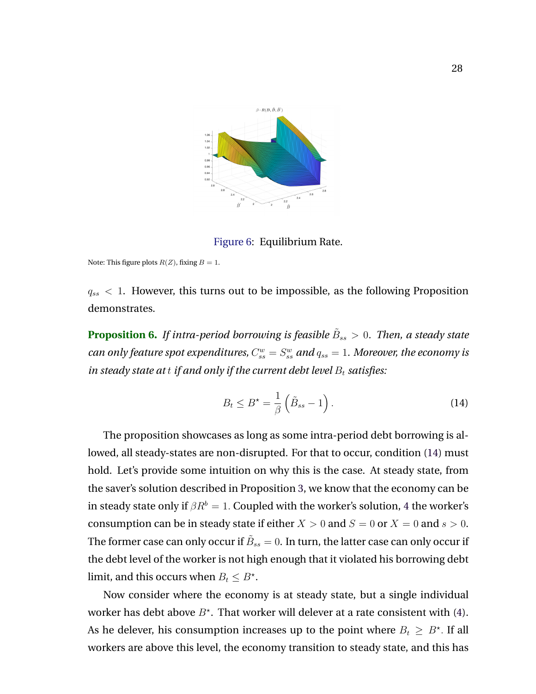<span id="page-28-0"></span>

Figure 6: Equilibrium Rate.

Note: This figure plots  $R(Z)$ , fixing  $B = 1$ .

 $q_{ss}$  < 1. However, this turns out to be impossible, as the following Proposition demonstrates.

**Proposition 6.** If intra-period borrowing is feasible  $\tilde{B}_{ss} > 0$ . Then, a steady state can only feature spot expenditures,  $C_{ss}^w = S_{ss}^w$  and  $q_{ss} = 1$ . Moreover, the economy is *in steady state at t if and only if the current debt level*  $B_t$  *satisfies:* 

$$
B_t \le B^* = \frac{1}{\beta} \left( \tilde{B}_{ss} - 1 \right). \tag{14}
$$

The proposition showcases as long as some intra-period debt borrowing is allowed, all steady-states are non-disrupted. For that to occur, condition (14) must hold. Let's provide some intuition on why this is the case. At steady state, from the saver's solution described in Proposition [3,](#page-24-0) we know that the economy can be in steady state only if  $\beta R^b = 1$ . Coupled with the worker's solution, [4](#page-25-0) the worker's consumption can be in steady state if either  $X > 0$  and  $S = 0$  or  $X = 0$  and  $s > 0$ . The former case can only occur if  $\tilde{B}_{ss}=0.$  In turn, the latter case can only occur if the debt level of the worker is not high enough that it violated his borrowing debt limit, and this occurs when  $B_t \leq B^*$ .

Now consider where the economy is at steady state, but a single individual worker has debt above  $B^*$ . That worker will delever at a rate consistent with [\(4\)](#page-25-0). As he delever, his consumption increases up to the point where  $B_t \geq B^\star$ . If all workers are above this level, the economy transition to steady state, and this has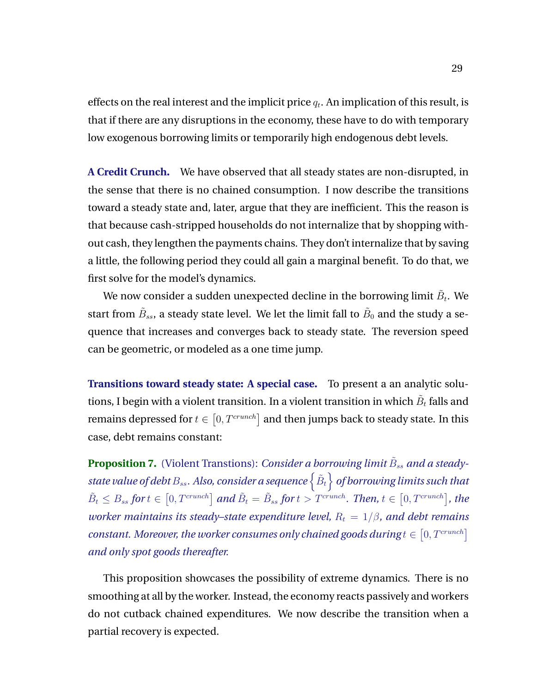effects on the real interest and the implicit price  $q_t.$  An implication of this result, is that if there are any disruptions in the economy, these have to do with temporary low exogenous borrowing limits or temporarily high endogenous debt levels.

**A Credit Crunch.** We have observed that all steady states are non-disrupted, in the sense that there is no chained consumption. I now describe the transitions toward a steady state and, later, argue that they are inefficient. This the reason is that because cash-stripped households do not internalize that by shopping without cash, they lengthen the payments chains. They don't internalize that by saving a little, the following period they could all gain a marginal benefit. To do that, we first solve for the model's dynamics.

We now consider a sudden unexpected decline in the borrowing limit  $\tilde{B}_t$ . We start from  $\tilde{B}_{ss}$ , a steady state level. We let the limit fall to  $\tilde{B}_0$  and the study a sequence that increases and converges back to steady state. The reversion speed can be geometric, or modeled as a one time jump.

**Transitions toward steady state: A special case.** To present a an analytic solutions, I begin with a violent transition. In a violent transition in which  $\tilde{B}_t$  falls and remains depressed for  $t \in [0, T^{crunch}]$  and then jumps back to steady state. In this case, debt remains constant:

Proposition 7. (Violent Transtions): *Consider a borrowing limit*  $\tilde{B}_{ss}$  *and a steady*state value of debt  $B_{ss}$ . Also, consider a sequence  $\left\{ \tilde{B}_{t}\right\}$  of borrowing limits such that  $\tilde{B}_t \leq B_{ss}$  for  $t \in [0, T^{crunch}]$  and  $\tilde{B}_t = \tilde{B}_{ss}$  for  $t > T^{crunch}$ . Then,  $t \in [0, T^{crunch}]$ , the *worker maintains its steady–state expenditure level,*  $R_t = 1/\beta$ *, and debt remains constant. Moreover, the worker consumes only chained goods during*  $t \in [0, T^{crunch}]$ *and only spot goods thereafter.*

This proposition showcases the possibility of extreme dynamics. There is no smoothing at all by the worker. Instead, the economy reacts passively and workers do not cutback chained expenditures. We now describe the transition when a partial recovery is expected.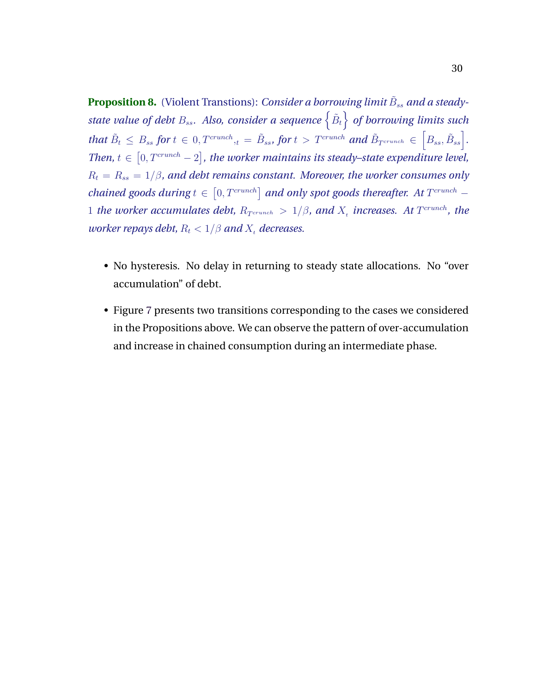Proposition 8. (Violent Transtions): *Consider a borrowing limit*  $\tilde{B}_{ss}$  *and a steady*state value of debt  $B_{ss}$ . Also, consider a sequence  $\{\tilde{B}_t\}$  of borrowing limits such  $\text{that } \tilde{B}_t \leq B_{ss} \text{ for } t \in [0, T^{crunch}, t = \tilde{B}_{ss}, \text{ for } t > T^{crunch} \text{ and } \tilde{B}_{T^{crunch}} \in \left[ B_{ss}, \tilde{B}_{ss} \right].$ Then,  $t \in [0, T^{crunch} - 2]$ , the worker maintains its steady–state expenditure level,  $R_t = R_{ss} = 1/\beta$ , and debt remains constant. Moreover, the worker consumes only *chained goods during*  $t \in [0, T^{crunch}]$  *and only spot goods thereafter. At*  $T^{crunch}$  – 1 *the worker accumulates debt,*  $R_{T^{crunch}} > 1/\beta$ , and  $X_t$  increases. At  $T^{crunch}$ , the *worker repays debt,*  $R_t < 1/\beta$  *and*  $X_t$  *decreases.* 

- No hysteresis. No delay in returning to steady state allocations. No "over accumulation" of debt.
- Figure [7](#page-31-0) presents two transitions corresponding to the cases we considered in the Propositions above. We can observe the pattern of over-accumulation and increase in chained consumption during an intermediate phase.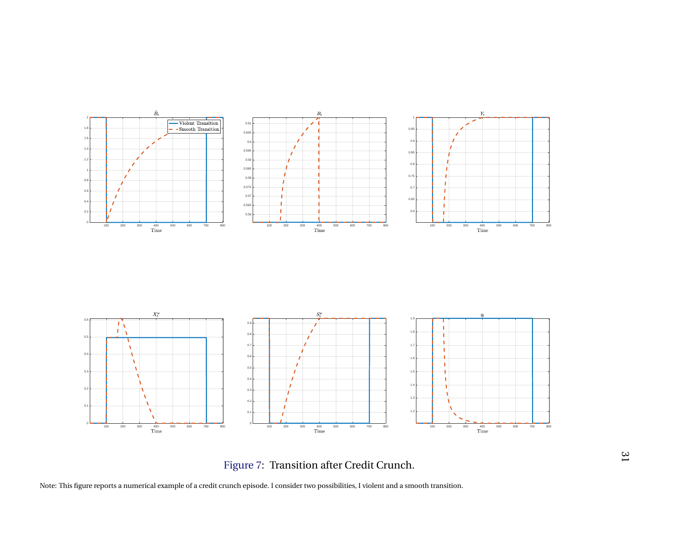<span id="page-31-0"></span>

Figure 7: Transition after Credit Crunch.

Note: This figure reports <sup>a</sup> numerical example of <sup>a</sup> credit crunch episode. I consider two possibilities, I violent and <sup>a</sup> smooth transition.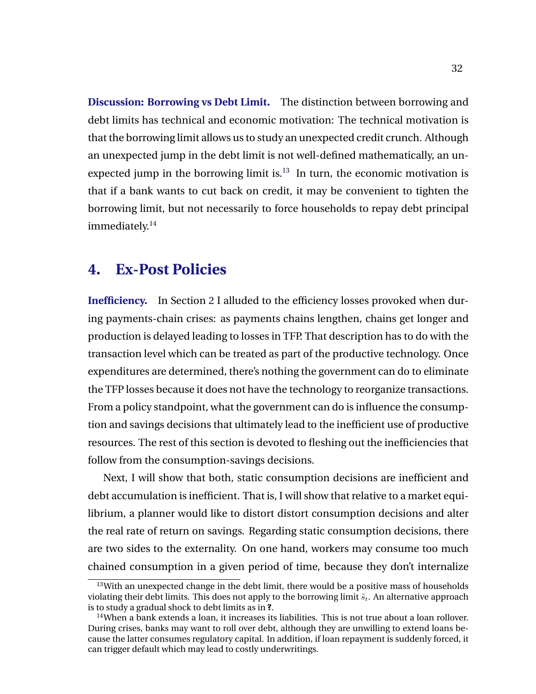<span id="page-32-0"></span>**Discussion: Borrowing vs Debt Limit.** The distinction between borrowing and debt limits has technical and economic motivation: The technical motivation is that the borrowing limit allows us to study an unexpected credit crunch. Although an unexpected jump in the debt limit is not well-defined mathematically, an unexpected jump in the borrowing limit is. $13 \text{ In turn, the economic motivation is}$ that if a bank wants to cut back on credit, it may be convenient to tighten the borrowing limit, but not necessarily to force households to repay debt principal immediately.<sup>14</sup>

### **4. Ex-Post Policies**

**Inefficiency.** In Section [2](#page-8-0) I alluded to the efficiency losses provoked when during payments-chain crises: as payments chains lengthen, chains get longer and production is delayed leading to losses in TFP. That description has to do with the transaction level which can be treated as part of the productive technology. Once expenditures are determined, there's nothing the government can do to eliminate the TFP losses because it does not have the technology to reorganize transactions. From a policy standpoint, what the government can do is influence the consumption and savings decisions that ultimately lead to the inefficient use of productive resources. The rest of this section is devoted to fleshing out the inefficiencies that follow from the consumption-savings decisions.

Next, I will show that both, static consumption decisions are inefficient and debt accumulation is inefficient. That is, I will show that relative to a market equilibrium, a planner would like to distort distort consumption decisions and alter the real rate of return on savings. Regarding static consumption decisions, there are two sides to the externality. On one hand, workers may consume too much chained consumption in a given period of time, because they don't internalize

 $13$ With an unexpected change in the debt limit, there would be a positive mass of households violating their debt limits. This does not apply to the borrowing limit  $\tilde{s}_t$ . An alternative approach is to study a gradual shock to debt limits as in **?**.

 $14$ When a bank extends a loan, it increases its liabilities. This is not true about a loan rollover. During crises, banks may want to roll over debt, although they are unwilling to extend loans because the latter consumes regulatory capital. In addition, if loan repayment is suddenly forced, it can trigger default which may lead to costly underwritings.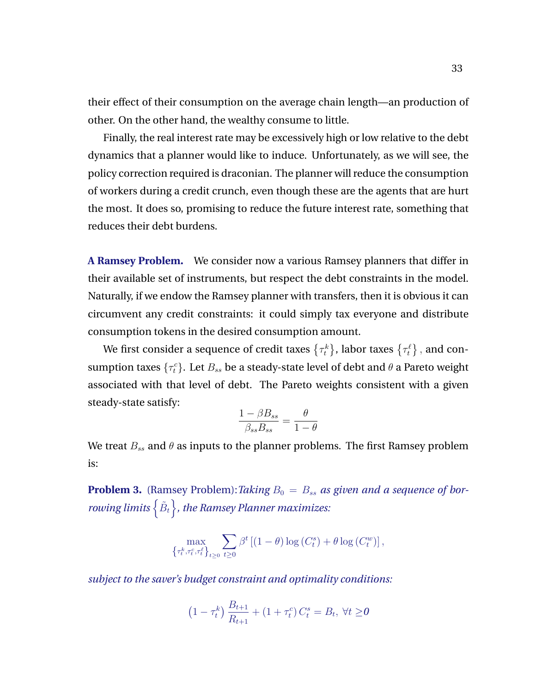their effect of their consumption on the average chain length—an production of other. On the other hand, the wealthy consume to little.

Finally, the real interest rate may be excessively high or low relative to the debt dynamics that a planner would like to induce. Unfortunately, as we will see, the policy correction required is draconian. The planner will reduce the consumption of workers during a credit crunch, even though these are the agents that are hurt the most. It does so, promising to reduce the future interest rate, something that reduces their debt burdens.

**A Ramsey Problem.** We consider now a various Ramsey planners that differ in their available set of instruments, but respect the debt constraints in the model. Naturally, if we endow the Ramsey planner with transfers, then it is obvious it can circumvent any credit constraints: it could simply tax everyone and distribute consumption tokens in the desired consumption amount.

We first consider a sequence of credit taxes  $\{\tau_t^k\}$ , labor taxes  $\{\tau_t^\ell\}$  , and consumption taxes  $\{\tau^c_t\}$ . Let  $B_{ss}$  be a steady-state level of debt and  $\theta$  a Pareto weight associated with that level of debt. The Pareto weights consistent with a given steady-state satisfy:

$$
\frac{1 - \beta B_{ss}}{\beta_{ss} B_{ss}} = \frac{\theta}{1 - \theta}
$$

We treat  $B_{ss}$  and  $\theta$  as inputs to the planner problems. The first Ramsey problem is:

**Problem 3.** (Ramsey Problem): *Taking*  $B_0 = B_{ss}$  *as given and a sequence of bor*rowing limits  $\left\{ \tilde{B}_{t}\right\}$ , the Ramsey Planner maximizes:

$$
\max_{\left\{\tau_t^k, \tau_t^c, \tau_t^\ell\right\}_{t\geq 0}} \sum_{t\geq 0} \beta^t \left[ (1-\theta) \log\left(C_t^s\right) + \theta \log\left(C_t^w\right) \right],
$$

*subject to the saver's budget constraint and optimality conditions:*

$$
(1 - \tau_t^k) \frac{B_{t+1}}{R_{t+1}} + (1 + \tau_t^c) C_t^s = B_t, \ \forall t \ge 0
$$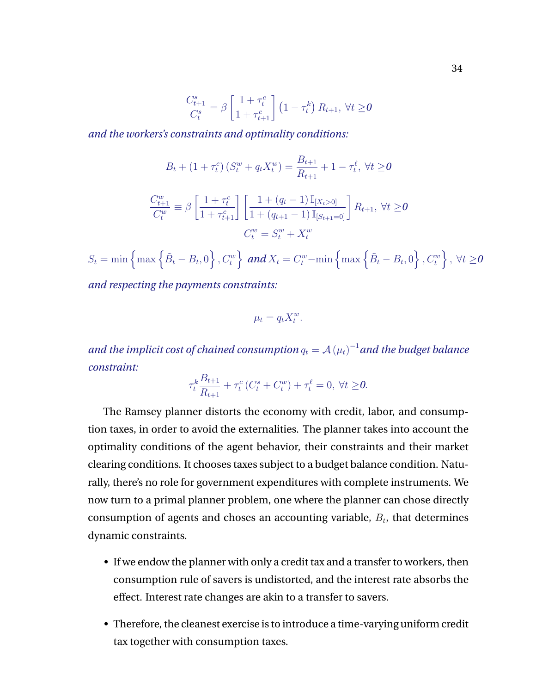$$
\frac{C_{t+1}^s}{C_t^s} = \beta \left[ \frac{1 + \tau_t^c}{1 + \tau_{t+1}^c} \right] \left( 1 - \tau_t^k \right) R_{t+1}, \ \forall t \ge 0
$$

*and the workers's constraints and optimality conditions:*

$$
B_t + (1 + \tau_t^c) (S_t^w + q_t X_t^w) = \frac{B_{t+1}}{R_{t+1}} + 1 - \tau_t^\ell, \ \forall t \ge 0
$$

$$
\frac{C_{t+1}^w}{C_t^w} \equiv \beta \left[ \frac{1 + \tau_t^c}{1 + \tau_{t+1}^c} \right] \left[ \frac{1 + (q_t - 1) \mathbb{I}_{[X_t > 0]}}{1 + (q_{t+1} - 1) \mathbb{I}_{[S_{t+1} = 0]}} \right] R_{t+1}, \ \forall t \ge 0
$$

$$
C_t^w = S_t^w + X_t^w
$$

 $S_t = \min\left\{\max\left\{\tilde{B}_t - B_t, 0\right\}, C_t^w\right\}\text{ and }X_t = C_t^w - \min\left\{\max\left\{\tilde{B}_t - B_t, 0\right\}, C_t^w\right\}, \ \forall t \geq 0$ 

*and respecting the payments constraints:*

$$
\mu_t = q_t X_t^w.
$$

and the implicit cost of chained consumption  $q_t = \mathcal{A}\left( \mu_t \right)^{-1}$  and the budget balance *constraint:*

$$
\tau_t^k \frac{B_{t+1}}{R_{t+1}} + \tau_t^c \left( C_t^s + C_t^w \right) + \tau_t^\ell = 0, \ \forall t \ge 0.
$$

The Ramsey planner distorts the economy with credit, labor, and consumption taxes, in order to avoid the externalities. The planner takes into account the optimality conditions of the agent behavior, their constraints and their market clearing conditions. It chooses taxes subject to a budget balance condition. Naturally, there's no role for government expenditures with complete instruments. We now turn to a primal planner problem, one where the planner can chose directly consumption of agents and choses an accounting variable,  $B_t$ , that determines dynamic constraints.

- If we endow the planner with only a credit tax and a transfer to workers, then consumption rule of savers is undistorted, and the interest rate absorbs the effect. Interest rate changes are akin to a transfer to savers.
- Therefore, the cleanest exercise is to introduce a time-varying uniform credit tax together with consumption taxes.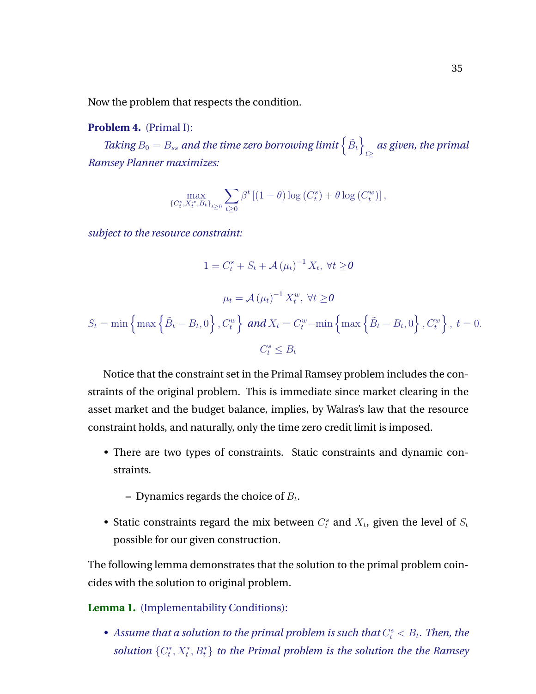Now the problem that respects the condition.

#### **Problem 4.** (Primal I):

Taking  $B_0 = B_{ss}$  and the time zero borrowing limit  $\left\{ \tilde{B}_t \right\}$  $\frac{d}{dz}$  as given, the primal *Ramsey Planner maximizes:*

$$
\max_{\{C_t^s, X_t^w, B_t\}_{t\geq 0}} \sum_{t\geq 0} \beta^t \left[ (1-\theta) \log\left(C_t^s\right) + \theta \log\left(C_t^w\right) \right],
$$

*subject to the resource constraint:*

$$
1 = C_t^s + S_t + \mathcal{A}(\mu_t)^{-1} X_t, \forall t \ge 0
$$

$$
\mu_t = \mathcal{A}(\mu_t)^{-1} X_t^w, \forall t \ge 0
$$

$$
S_t = \min\left\{\max\left\{\tilde{B}_t - B_t, 0\right\}, C_t^w\right\} \text{ and } X_t = C_t^w - \min\left\{\max\left\{\tilde{B}_t - B_t, 0\right\}, C_t^w\right\}, t = 0.
$$

$$
C_t^s \le B_t
$$

Notice that the constraint set in the Primal Ramsey problem includes the constraints of the original problem. This is immediate since market clearing in the asset market and the budget balance, implies, by Walras's law that the resource constraint holds, and naturally, only the time zero credit limit is imposed.

- There are two types of constraints. Static constraints and dynamic constraints.
	- $-$  Dynamics regards the choice of  $B_t$ .
- Static constraints regard the mix between  $C_t^s$  and  $X_t$ , given the level of  $S_t$ possible for our given construction.

The following lemma demonstrates that the solution to the primal problem coincides with the solution to original problem.

**Lemma 1.** (Implementability Conditions):

• Assume that a solution to the primal problem is such that  $C_t^s < B_t$ . Then, the solution  $\{C_t^*, X_t^*, B_t^*\}$  to the Primal problem is the solution the the Ramsey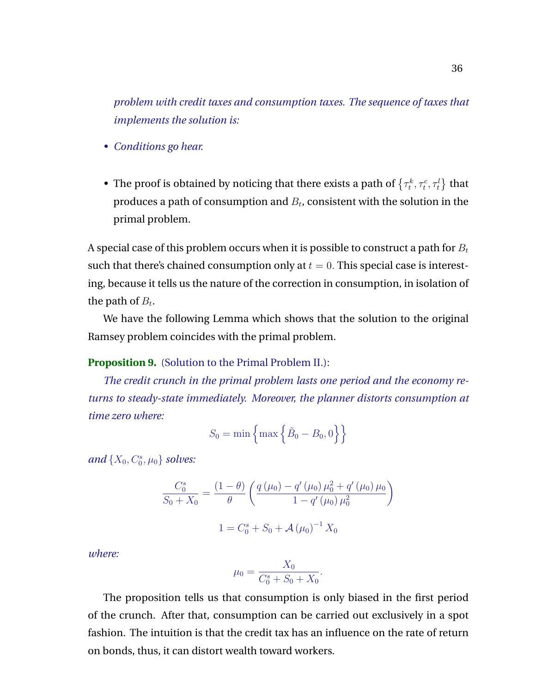*problem with credit taxes and consumption taxes. The sequence of taxes that implements the solution is:*

- *Conditions go hear.*
- The proof is obtained by noticing that there exists a path of  $\{\tau^k_t, \tau^c_t, \tau^l_t\}$  that produces a path of consumption and  $B_t$ , consistent with the solution in the primal problem.

A special case of this problem occurs when it is possible to construct a path for  $B_t$ such that there's chained consumption only at  $t = 0$ . This special case is interesting, because it tells us the nature of the correction in consumption, in isolation of the path of  $B_t$ .

We have the following Lemma which shows that the solution to the original Ramsey problem coincides with the primal problem.

#### **Proposition 9.** (Solution to the Primal Problem II.):

*The credit crunch in the primal problem lasts one period and the economy returns to steady-state immediately. Moreover, the planner distorts consumption at time zero where:*

$$
S_0 = \min\left\{\max\left\{\tilde{B}_0 - B_0, 0\right\}\right\}
$$

 $and \{X_0, C_0^s, \mu_0\}$  solves:

$$
\frac{C_0^s}{S_0 + X_0} = \frac{(1 - \theta)}{\theta} \left( \frac{q(\mu_0) - q'(\mu_0) \mu_0^2 + q'(\mu_0) \mu_0}{1 - q'(\mu_0) \mu_0^2} \right)
$$

$$
1 = C_0^s + S_0 + \mathcal{A}(\mu_0)^{-1} X_0
$$

*where:*

$$
\mu_0 = \frac{X_0}{C_0^s + S_0 + X_0}.
$$

The proposition tells us that consumption is only biased in the first period of the crunch. After that, consumption can be carried out exclusively in a spot fashion. The intuition is that the credit tax has an influence on the rate of return on bonds, thus, it can distort wealth toward workers.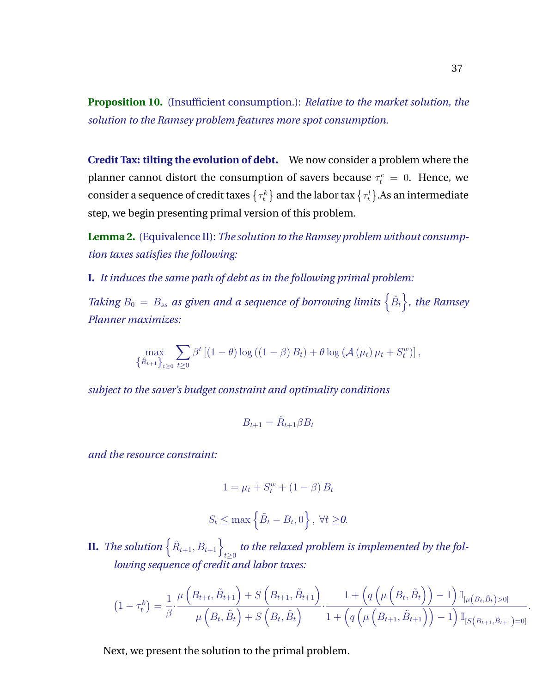**Proposition 10.** (Insufficient consumption.): *Relative to the market solution, the solution to the Ramsey problem features more spot consumption.*

**Credit Tax: tilting the evolution of debt.** We now consider a problem where the planner cannot distort the consumption of savers because  $\tau_t^c = 0$ . Hence, we consider a sequence of credit taxes  $\{\tau_t^k\}$  and the labor tax  $\{\tau_t^l\}.$  As an intermediate step, we begin presenting primal version of this problem.

**Lemma 2.** (Equivalence II): *The solution to the Ramsey problem without consumption taxes satisfies the following:*

**I.** *It induces the same path of debt as in the following primal problem:*

*Taking*  $B_0 = B_{ss}$  as given and a sequence of borrowing limits  $\{B_t\}$ , the Ramsey *Planner maximizes:*

$$
\max_{\{\hat{R}_{t+1}\}_{t\geq 0}} \sum_{t\geq 0} \beta^t \left[ (1-\theta) \log \left( (1-\beta) B_t \right) + \theta \log \left( \mathcal{A} \left( \mu_t \right) \mu_t + S_t^w \right) \right],
$$

*subject to the saver's budget constraint and optimality conditions*

$$
B_{t+1} = \hat{R}_{t+1} \beta B_t
$$

*and the resource constraint:*

$$
1 = \mu_t + S_t^w + (1 - \beta) B_t
$$
  

$$
S_t \le \max\left\{\tilde{B}_t - B_t, 0\right\}, \forall t \ge 0.
$$

 $\textbf{II.} \ \textit{The solution} \left\{\hat{R}_{t+1}, B_{t+1}\right\}_{t \geq 0}$  to the relaxed problem is implemented by the fol*lowing sequence of credit and labor taxes:*

$$
(1 - \tau_t^k) = \frac{1}{\beta} \cdot \frac{\mu\left(B_{t+t}, \tilde{B}_{t+1}\right) + S\left(B_{t+1}, \tilde{B}_{t+1}\right)}{\mu\left(B_t, \tilde{B}_t\right) + S\left(B_t, \tilde{B}_t\right)} \cdot \frac{1 + \left(q\left(\mu\left(B_t, \tilde{B}_t\right)\right) - 1\right) \mathbb{I}_{\left[\mu\left(B_t, \tilde{B}_t\right) > 0\right]}}{1 + \left(q\left(\mu\left(B_{t+1}, \tilde{B}_{t+1}\right)\right) - 1\right) \mathbb{I}_{\left[S\left(B_{t+1}, \tilde{B}_{t+1}\right) = 0\right]}}
$$

Next, we present the solution to the primal problem.

.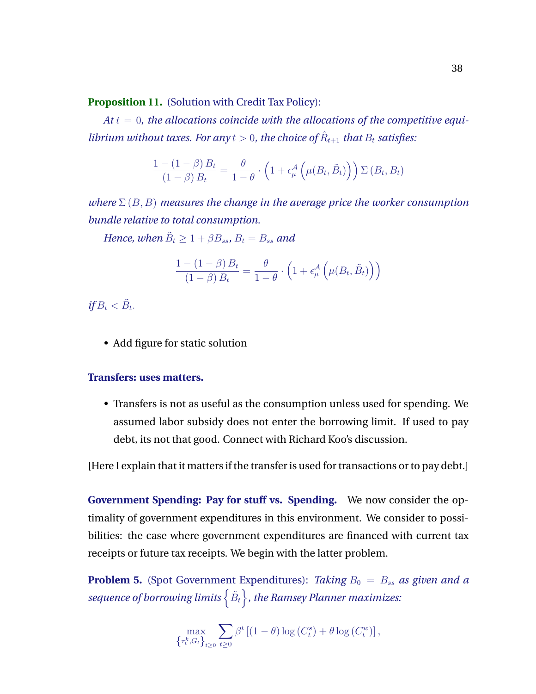**Proposition 11.** (Solution with Credit Tax Policy):

 $At t = 0$ , the allocations coincide with the allocations of the competitive equi*librium without taxes. For any*  $t > 0$ , *the choice of*  $\hat{R}_{t+1}$  *that*  $B_t$  *satisfies:* 

$$
\frac{1 - (1 - \beta) B_t}{(1 - \beta) B_t} = \frac{\theta}{1 - \theta} \cdot \left( 1 + \epsilon_{\mu}^{\mathcal{A}} \left( \mu(B_t, \tilde{B}_t) \right) \right) \Sigma(B_t, B_t)
$$

*where*  $\Sigma(B, B)$  *measures the change in the average price the worker consumption bundle relative to total consumption.*

*Hence, when*  $\tilde{B}_t \geq 1 + \beta B_{ss}$ ,  $B_t = B_{ss}$  and

$$
\frac{1 - (1 - \beta) B_t}{(1 - \beta) B_t} = \frac{\theta}{1 - \theta} \cdot \left( 1 + \epsilon_{\mu}^{\mathcal{A}} \left( \mu(B_t, \tilde{B}_t) \right) \right)
$$

 $if B_t < \tilde{B}_t.$ 

• Add figure for static solution

### **Transfers: uses matters.**

• Transfers is not as useful as the consumption unless used for spending. We assumed labor subsidy does not enter the borrowing limit. If used to pay debt, its not that good. Connect with Richard Koo's discussion.

[Here I explain that it matters if the transfer is used for transactions or to pay debt.]

**Government Spending: Pay for stuff vs. Spending.** We now consider the optimality of government expenditures in this environment. We consider to possibilities: the case where government expenditures are financed with current tax receipts or future tax receipts. We begin with the latter problem.

**Problem 5.** (Spot Government Expenditures): *Taking*  $B_0 = B_{ss}$  *as given and a* sequence of borrowing limits  $\left\{ \tilde{B}_{t}\right\}$  , the Ramsey Planner maximizes:

$$
\max_{\left\{\tau_t^k, G_t\right\}_{t\geq 0}} \sum_{t\geq 0} \beta^t \left[ (1-\theta) \log\left(C_t^s\right) + \theta \log\left(C_t^w\right) \right],
$$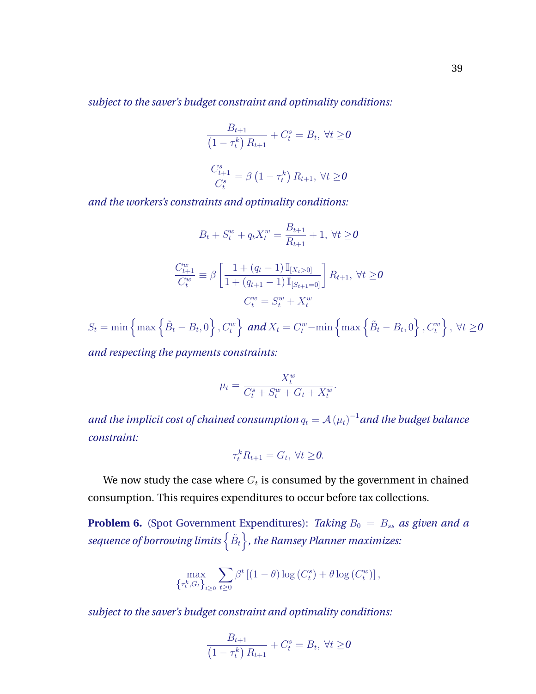*subject to the saver's budget constraint and optimality conditions:*

$$
\frac{B_{t+1}}{\left(1 - \tau_t^k\right) R_{t+1}} + C_t^s = B_t, \ \forall t \ge 0
$$
\n
$$
\frac{C_{t+1}^s}{C_t^s} = \beta \left(1 - \tau_t^k\right) R_{t+1}, \ \forall t \ge 0
$$

*and the workers's constraints and optimality conditions:*

$$
B_t + S_t^w + q_t X_t^w = \frac{B_{t+1}}{R_{t+1}} + 1, \ \forall t \ge 0
$$

$$
\frac{C_{t+1}^w}{C_t^w} \equiv \beta \left[ \frac{1 + (q_t - 1) \mathbb{I}_{[X_t > 0]}}{1 + (q_{t+1} - 1) \mathbb{I}_{[S_{t+1} = 0]}} \right] R_{t+1}, \ \forall t \ge 0
$$

$$
C_t^w = S_t^w + X_t^w
$$

 $S_t = \min\left\{\max\left\{\tilde{B}_t - B_t, 0\right\}, C_t^w\right\}$  and  $X_t = C_t^w - \min\left\{\max\left\{\tilde{B}_t - B_t, 0\right\}, C_t^w\right\}, \ \forall t \geq 0$ 

*and respecting the payments constraints:*

$$
\mu_t = \frac{X_t^w}{C_t^s + S_t^w + G_t + X_t^w}.
$$

and the implicit cost of chained consumption  $q_t = \mathcal{A}\left( \mu_t \right)^{-1}$  and the budget balance *constraint:*

$$
\tau_t^k R_{t+1} = G_t, \ \forall t \geq 0.
$$

We now study the case where  $G_t$  is consumed by the government in chained consumption. This requires expenditures to occur before tax collections.

**Problem 6.** (Spot Government Expenditures): *Taking*  $B_0 = B_{ss}$  *as given and a* sequence of borrowing limits  $\left\{ \tilde{B}_{t}\right\}$  , the Ramsey Planner maximizes:

$$
\max_{\{\tau_t^k, G_t\}_{t\geq 0}} \sum_{t\geq 0} \beta^t \left[ (1-\theta) \log\left(C_t^s\right) + \theta \log\left(C_t^w\right) \right],
$$

*subject to the saver's budget constraint and optimality conditions:*

$$
\frac{B_{t+1}}{\left(1 - \tau_t^k\right) R_{t+1}} + C_t^s = B_t, \ \forall t \ge 0
$$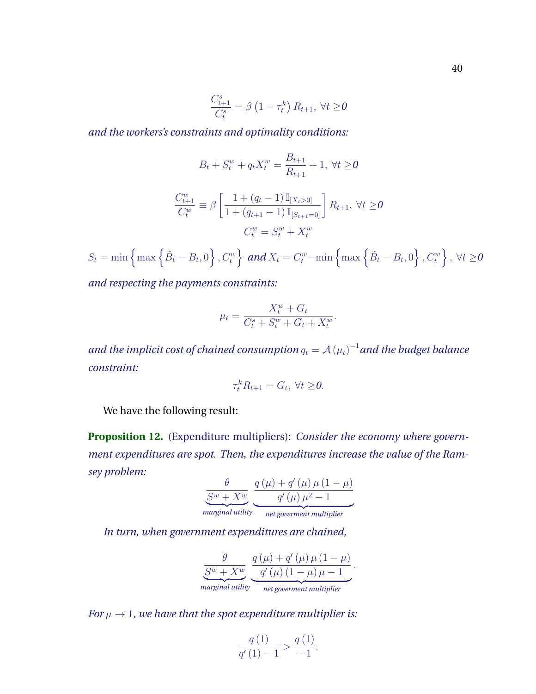$$
\frac{C_{t+1}^s}{C_t^s} = \beta \left(1 - \tau_t^k\right) R_{t+1}, \ \forall t \ge 0
$$

*and the workers's constraints and optimality conditions:*

$$
B_t + S_t^w + q_t X_t^w = \frac{B_{t+1}}{R_{t+1}} + 1, \ \forall t \ge 0
$$

$$
\frac{C_{t+1}^w}{C_t^w} \equiv \beta \left[ \frac{1 + (q_t - 1) \mathbb{I}_{[X_t > 0]}}{1 + (q_{t+1} - 1) \mathbb{I}_{[S_{t+1} = 0]}} \right] R_{t+1}, \ \forall t \ge 0
$$

$$
C_t^w = S_t^w + X_t^w
$$

 $S_t = \min\left\{\max\left\{\tilde{B}_t - B_t, 0\right\}, C_t^w\right\}\text{ and }X_t = C_t^w - \min\left\{\max\left\{\tilde{B}_t - B_t, 0\right\}, C_t^w\right\}, \ \forall t \geq 0$ 

*and respecting the payments constraints:*

$$
\mu_t = \frac{X_t^w + G_t}{C_t^s + S_t^w + G_t + X_t^w}.
$$

and the implicit cost of chained consumption  $q_t = \mathcal{A}\left( \mu_t \right)^{-1}$  and the budget balance *constraint:*

$$
\tau_t^k R_{t+1} = G_t, \ \forall t \geq 0.
$$

We have the following result:

**Proposition 12.** (Expenditure multipliers): *Consider the economy where government expenditures are spot. Then, the expenditures increase the value of the Ramsey problem:*

$$
\frac{\theta}{S^w + X^w} \underbrace{\frac{q(\mu) + q'(\mu) \mu (1 - \mu)}{q'(\mu) \mu^2 - 1}}_{\text{marginal utility}} \\
$$

*In turn, when government expenditures are chained,*

 $\theta$  $S^w + X^w$ | {z } *marginal utility*  $q(\mu) + q'(\mu) \mu (1 - \mu)$  $q'(\mu) (1 - \mu) \mu - 1$ | {z } *net goverment multiplier* .

*For*  $\mu \rightarrow 1$ *, we have that the spot expenditure multiplier is:* 

$$
\frac{q(1)}{q'(1)-1} > \frac{q(1)}{-1}.
$$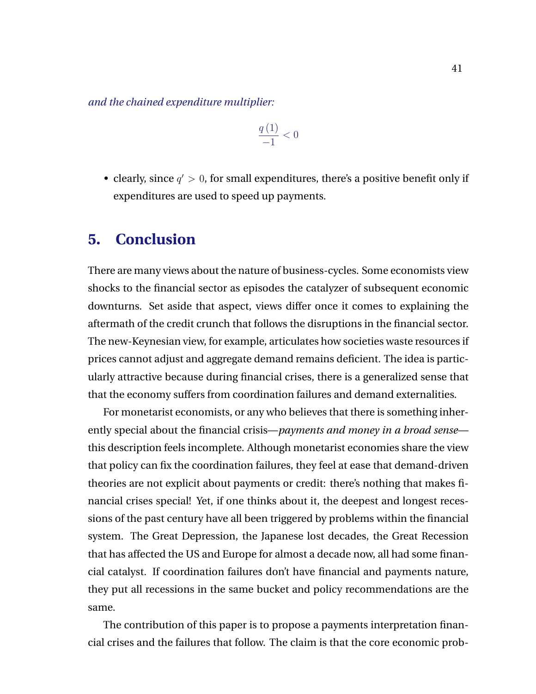<span id="page-41-0"></span>*and the chained expenditure multiplier:*

$$
\frac{q\left(1\right)}{-1} < 0
$$

• clearly, since  $q' > 0$ , for small expenditures, there's a positive benefit only if expenditures are used to speed up payments.

### **5. Conclusion**

There are many views about the nature of business-cycles. Some economists view shocks to the financial sector as episodes the catalyzer of subsequent economic downturns. Set aside that aspect, views differ once it comes to explaining the aftermath of the credit crunch that follows the disruptions in the financial sector. The new-Keynesian view, for example, articulates how societies waste resources if prices cannot adjust and aggregate demand remains deficient. The idea is particularly attractive because during financial crises, there is a generalized sense that that the economy suffers from coordination failures and demand externalities.

For monetarist economists, or any who believes that there is something inherently special about the financial crisis—*payments and money in a broad sense* this description feels incomplete. Although monetarist economies share the view that policy can fix the coordination failures, they feel at ease that demand-driven theories are not explicit about payments or credit: there's nothing that makes financial crises special! Yet, if one thinks about it, the deepest and longest recessions of the past century have all been triggered by problems within the financial system. The Great Depression, the Japanese lost decades, the Great Recession that has affected the US and Europe for almost a decade now, all had some financial catalyst. If coordination failures don't have financial and payments nature, they put all recessions in the same bucket and policy recommendations are the same.

The contribution of this paper is to propose a payments interpretation financial crises and the failures that follow. The claim is that the core economic prob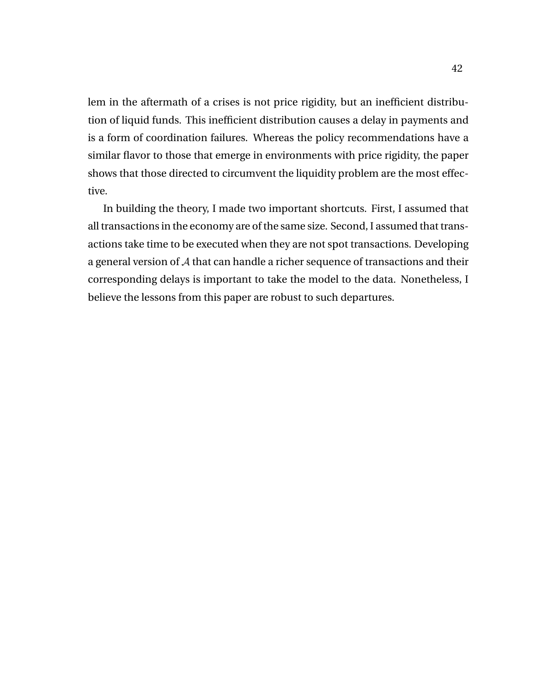lem in the aftermath of a crises is not price rigidity, but an inefficient distribution of liquid funds. This inefficient distribution causes a delay in payments and is a form of coordination failures. Whereas the policy recommendations have a similar flavor to those that emerge in environments with price rigidity, the paper shows that those directed to circumvent the liquidity problem are the most effective.

In building the theory, I made two important shortcuts. First, I assumed that all transactions in the economy are of the same size. Second, I assumed that transactions take time to be executed when they are not spot transactions. Developing a general version of A that can handle a richer sequence of transactions and their corresponding delays is important to take the model to the data. Nonetheless, I believe the lessons from this paper are robust to such departures.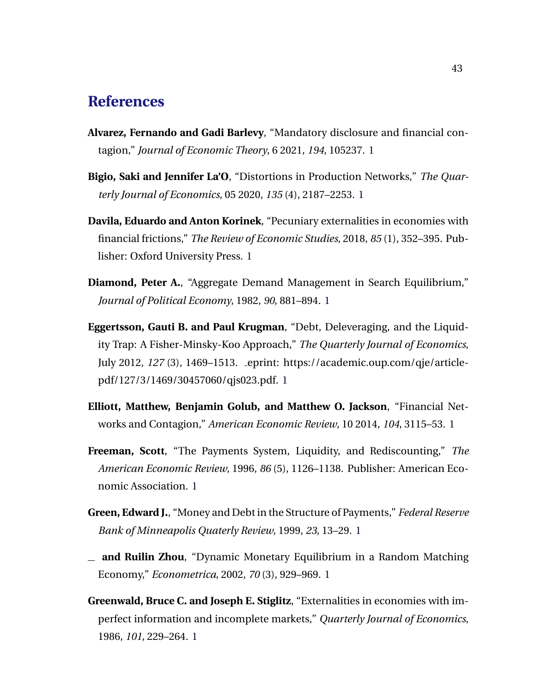### <span id="page-43-0"></span>**References**

- **Alvarez, Fernando and Gadi Barlevy**, "Mandatory disclosure and financial contagion," *Journal of Economic Theory*, 6 2021, *194*, 105237. [1](#page-5-0)
- **Bigio, Saki and Jennifer La'O**, "Distortions in Production Networks," *The Quarterly Journal of Economics*, 05 2020, *135* (4), 2187–2253. [1](#page-5-0)
- **Davila, Eduardo and Anton Korinek**, "Pecuniary externalities in economies with financial frictions," *The Review of Economic Studies*, 2018, *85* (1), 352–395. Publisher: Oxford University Press. [1](#page-6-0)
- **Diamond, Peter A.**, "Aggregate Demand Management in Search Equilibrium," *Journal of Political Economy*, 1982, *90*, 881–894. [1](#page-6-0)
- **Eggertsson, Gauti B. and Paul Krugman**, "Debt, Deleveraging, and the Liquidity Trap: A Fisher-Minsky-Koo Approach," *The Quarterly Journal of Economics*, July 2012, *127* (3), 1469–1513. eprint: https://academic.oup.com/qje/articlepdf/127/3/1469/30457060/qjs023.pdf. [1](#page-6-0)
- **Elliott, Matthew, Benjamin Golub, and Matthew O. Jackson**, "Financial Networks and Contagion," *American Economic Review*, 10 2014, *104*, 3115–53. [1](#page-5-0)
- **Freeman, Scott**, "The Payments System, Liquidity, and Rediscounting," *The American Economic Review*, 1996, *86* (5), 1126–1138. Publisher: American Economic Association. [1](#page-5-0)
- **Green, Edward J.**, "Money and Debt in the Structure of Payments," *Federal Reserve Bank of Minneapolis Quaterly Review*, 1999, *23*, 13–29. [1](#page-5-0)
- **and Ruilin Zhou**, "Dynamic Monetary Equilibrium in a Random Matching Economy," *Econometrica*, 2002, *70* (3), 929–969. [1](#page-5-0)
- **Greenwald, Bruce C. and Joseph E. Stiglitz**, "Externalities in economies with imperfect information and incomplete markets," *Quarterly Journal of Economics*, 1986, *101*, 229–264. [1](#page-6-0)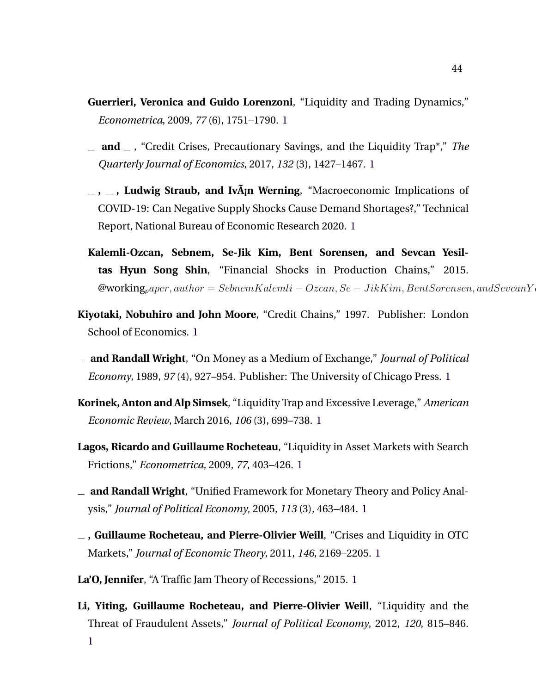- <span id="page-44-0"></span>**Guerrieri, Veronica and Guido Lorenzoni**, "Liquidity and Trading Dynamics," *Econometrica*, 2009, *77* (6), 1751–1790. [1](#page-5-0)
- **and** , "Credit Crises, Precautionary Savings, and the Liquidity Trap\*," *The Quarterly Journal of Economics*, 2017, *132* (3), 1427–1467. [1](#page-6-0)
- **, , Ludwig Straub, and IvA¡n Werning ˜** , "Macroeconomic Implications of COVID-19: Can Negative Supply Shocks Cause Demand Shortages?," Technical Report, National Bureau of Economic Research 2020. [1](#page-6-0)
- **Kalemli-Ozcan, Sebnem, Se-Jik Kim, Bent Sorensen, and Sevcan Yesiltas Hyun Song Shin**, "Financial Shocks in Production Chains," 2015.  $\mathcal{Q}$ working<sub>p</sub>aper, author = SebnemKalemli – Ozcan, Se – JikKim, BentSorensen, andSevcanY
- **Kiyotaki, Nobuhiro and John Moore**, "Credit Chains," 1997. Publisher: London School of Economics. [1](#page-5-0)
- **and Randall Wright**, "On Money as a Medium of Exchange," *Journal of Political Economy*, 1989, *97* (4), 927–954. Publisher: The University of Chicago Press. [1](#page-5-0)
- **Korinek, Anton and Alp Simsek**, "Liquidity Trap and Excessive Leverage," *American Economic Review*, March 2016, *106* (3), 699–738. [1](#page-6-0)
- **Lagos, Ricardo and Guillaume Rocheteau**, "Liquidity in Asset Markets with Search Frictions," *Econometrica*, 2009, *77*, 403–426. [1](#page-5-0)
- **and Randall Wright**, "Unified Framework for Monetary Theory and Policy Analysis," *Journal of Political Economy*, 2005, *113* (3), 463–484. [1](#page-5-0)
- **, Guillaume Rocheteau, and Pierre-Olivier Weill**, "Crises and Liquidity in OTC Markets," *Journal of Economic Theory*, 2011, *146*, 2169–2205. [1](#page-5-0)
- **La'O, Jennifer**, "A Traffic Jam Theory of Recessions," 2015. [1](#page-6-0)
- **Li, Yiting, Guillaume Rocheteau, and Pierre-Olivier Weill**, "Liquidity and the Threat of Fraudulent Assets," *Journal of Political Economy*, 2012, *120*, 815–846. [1](#page-5-0)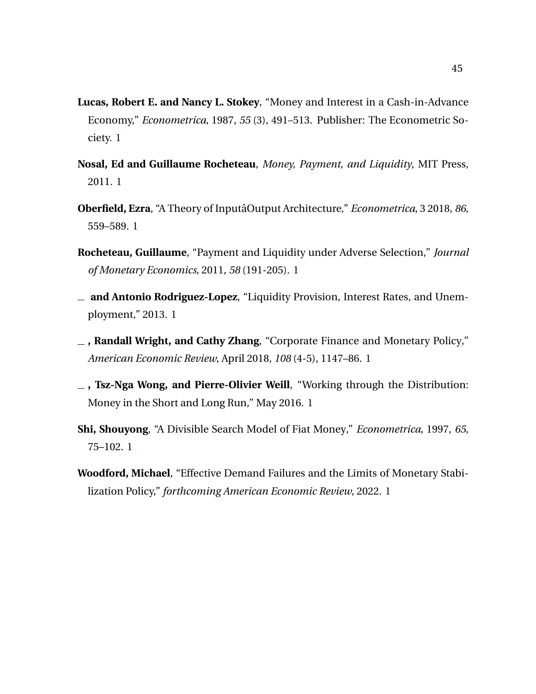- <span id="page-45-0"></span>**Lucas, Robert E. and Nancy L. Stokey**, "Money and Interest in a Cash-in-Advance Economy," *Econometrica*, 1987, *55* (3), 491–513. Publisher: The Econometric Society. [1](#page-5-0)
- **Nosal, Ed and Guillaume Rocheteau**, *Money, Payment, and Liquidity*, MIT Press, 2011. [1](#page-5-0)
- **Oberfield, Ezra**, "A Theory of InputaOutput Architecture," ˆ *Econometrica*, 3 2018, *86*, 559–589. [1](#page-5-0)
- **Rocheteau, Guillaume**, "Payment and Liquidity under Adverse Selection," *Journal of Monetary Economics*, 2011, *58* (191-205). [1](#page-5-0)
- **and Antonio Rodriguez-Lopez**, "Liquidity Provision, Interest Rates, and Unemployment," 2013. [1](#page-5-0)
- **, Randall Wright, and Cathy Zhang**, "Corporate Finance and Monetary Policy," *American Economic Review*, April 2018, *108* (4-5), 1147–86. [1](#page-5-0)
- **, Tsz-Nga Wong, and Pierre-Olivier Weill**, "Working through the Distribution: Money in the Short and Long Run," May 2016. [1](#page-5-0)
- **Shi, Shouyong**, "A Divisible Search Model of Fiat Money," *Econometrica*, 1997, *65*, 75–102. [1](#page-5-0)
- **Woodford, Michael**, "Effective Demand Failures and the Limits of Monetary Stabilization Policy," *forthcoming American Economic Review*, 2022. [1](#page-6-0)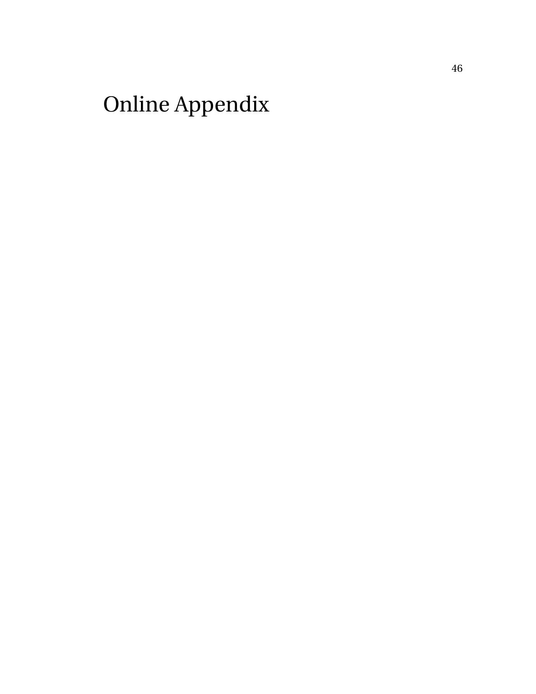# Online Appendix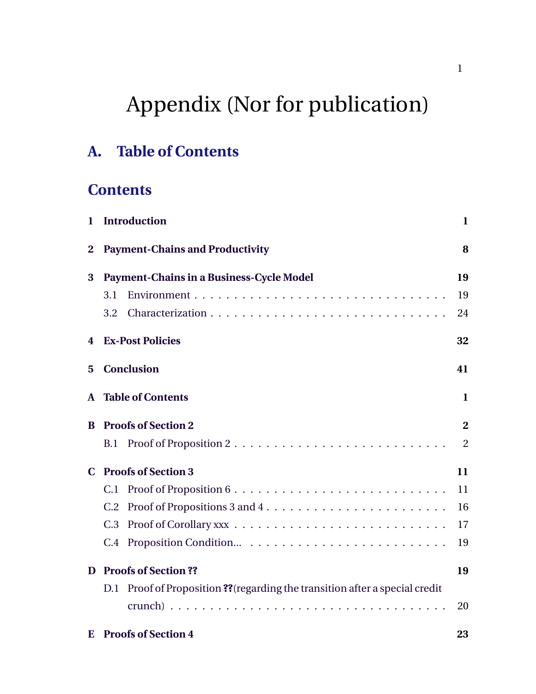# Appendix (Nor for publication)

# **A. Table of Contents**

# **Contents**

| 1            | <b>Introduction</b>                                                             | $\mathbf{1}$ |
|--------------|---------------------------------------------------------------------------------|--------------|
| $\mathbf{2}$ | <b>Payment-Chains and Productivity</b>                                          | 8            |
| 3            | <b>Payment-Chains in a Business-Cycle Model</b>                                 | 19           |
|              | 3.1                                                                             | 19           |
|              | 3.2                                                                             | 24           |
| 4            | <b>Ex-Post Policies</b>                                                         | 32           |
| 5            | <b>Conclusion</b>                                                               | 41           |
| A            | <b>Table of Contents</b>                                                        | 1            |
| B            | <b>Proofs of Section 2</b>                                                      | $\bf{2}$     |
|              | B.1                                                                             | 2            |
| C.           | <b>Proofs of Section 3</b>                                                      | 11           |
|              | C.1                                                                             | 11           |
|              | C.2                                                                             | 16           |
|              | C.3                                                                             | 17           |
|              | C.4                                                                             | 19           |
| D            | <b>Proofs of Section ??</b>                                                     | 19           |
|              | Proof of Proposition ?? (regarding the transition after a special credit<br>D.1 |              |
|              |                                                                                 | 20           |
| E            | <b>Proofs of Section 4</b>                                                      | 23           |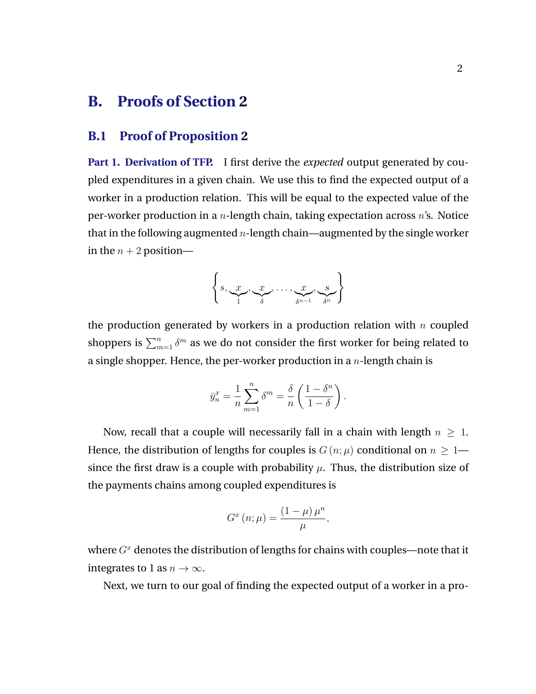## <span id="page-48-0"></span>**B. Proofs of Section [2](#page-8-0)**

### **B.1 Proof of Proposition [2](#page-16-0)**

**Part 1. Derivation of TFP.** I first derive the *expected* output generated by coupled expenditures in a given chain. We use this to find the expected output of a worker in a production relation. This will be equal to the expected value of the per-worker production in a *n*-length chain, taking expectation across *n*'s. Notice that in the following augmented  $n$ -length chain—augmented by the single worker in the  $n + 2$  position—

$$
\left\{S, \underbrace{x}_{1}, \underbrace{x}_{\delta}, \dots, \underbrace{x}_{\delta^{n-1}}, \underbrace{s}_{\delta^n}\right\}
$$

the production generated by workers in a production relation with  $n$  coupled shoppers is  $\sum_{m=1}^n \delta^m$  as we do not consider the first worker for being related to a single shopper. Hence, the per-worker production in a  $n$ -length chain is

$$
\bar{y}_n^x = \frac{1}{n} \sum_{m=1}^n \delta^m = \frac{\delta}{n} \left( \frac{1 - \delta^n}{1 - \delta} \right).
$$

Now, recall that a couple will necessarily fall in a chain with length  $n \geq 1$ . Hence, the distribution of lengths for couples is  $G(n; \mu)$  conditional on  $n \geq 1$  since the first draw is a couple with probability  $\mu$ . Thus, the distribution size of the payments chains among coupled expenditures is

$$
G^{x}\left(n;\mu\right) = \frac{\left(1-\mu\right)\mu^{n}}{\mu},
$$

where  $G<sup>x</sup>$  denotes the distribution of lengths for chains with couples—note that it integrates to 1 as  $n \to \infty$ .

Next, we turn to our goal of finding the expected output of a worker in a pro-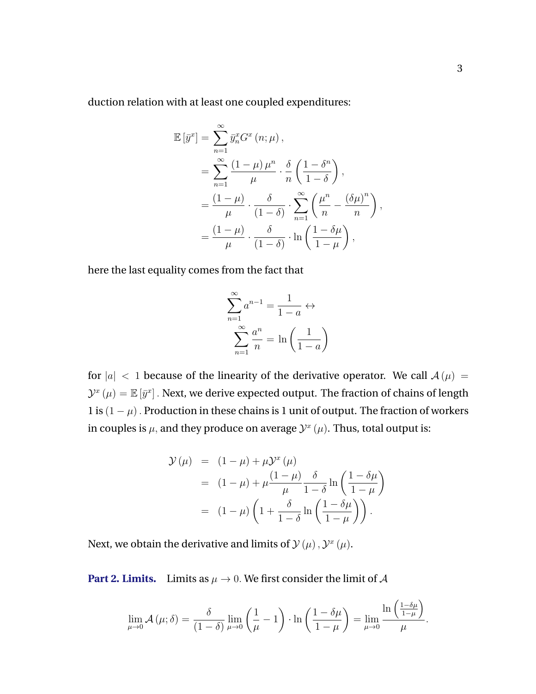duction relation with at least one coupled expenditures:

$$
\mathbb{E}\left[\bar{y}^x\right] = \sum_{n=1}^{\infty} \bar{y}_n^x G^x(n;\mu),
$$
  
= 
$$
\sum_{n=1}^{\infty} \frac{(1-\mu)\mu^n}{\mu} \cdot \frac{\delta}{n} \left(\frac{1-\delta^n}{1-\delta}\right),
$$
  
= 
$$
\frac{(1-\mu)}{\mu} \cdot \frac{\delta}{(1-\delta)} \cdot \sum_{n=1}^{\infty} \left(\frac{\mu^n}{n} - \frac{(\delta\mu)^n}{n}\right),
$$
  
= 
$$
\frac{(1-\mu)}{\mu} \cdot \frac{\delta}{(1-\delta)} \cdot \ln\left(\frac{1-\delta\mu}{1-\mu}\right),
$$

here the last equality comes from the fact that

$$
\sum_{n=1}^{\infty} a^{n-1} = \frac{1}{1-a} \leftrightarrow
$$

$$
\sum_{n=1}^{\infty} \frac{a^n}{n} = \ln\left(\frac{1}{1-a}\right)
$$

for  $|a| < 1$  because of the linearity of the derivative operator. We call  $A(\mu) =$  $\mathcal{Y}^{x}\left(\mu\right)=\mathbb{E}\left[\bar{y}^{x}\right]$  . Next, we derive expected output. The fraction of chains of length 1 is  $(1 - \mu)$ . Production in these chains is 1 unit of output. The fraction of workers in couples is  $\mu$ , and they produce on average  $\mathcal{Y}^x(\mu)$ . Thus, total output is:

$$
\mathcal{Y}(\mu) = (1 - \mu) + \mu \mathcal{Y}^{x}(\mu)
$$
  
=  $(1 - \mu) + \mu \frac{(1 - \mu)}{\mu} \frac{\delta}{1 - \delta} \ln \left( \frac{1 - \delta \mu}{1 - \mu} \right)$   
=  $(1 - \mu) \left( 1 + \frac{\delta}{1 - \delta} \ln \left( \frac{1 - \delta \mu}{1 - \mu} \right) \right).$ 

Next, we obtain the derivative and limits of  $\mathcal{Y}(\mu)$  ,  $\mathcal{Y}^x(\mu)$ .

**Part 2. Limits.** Limits as  $\mu \to 0$ . We first consider the limit of A

$$
\lim_{\mu \to 0} \mathcal{A}(\mu;\delta) = \frac{\delta}{(1-\delta)} \lim_{\mu \to 0} \left(\frac{1}{\mu} - 1\right) \cdot \ln\left(\frac{1-\delta\mu}{1-\mu}\right) = \lim_{\mu \to 0} \frac{\ln\left(\frac{1-\delta\mu}{1-\mu}\right)}{\mu}.
$$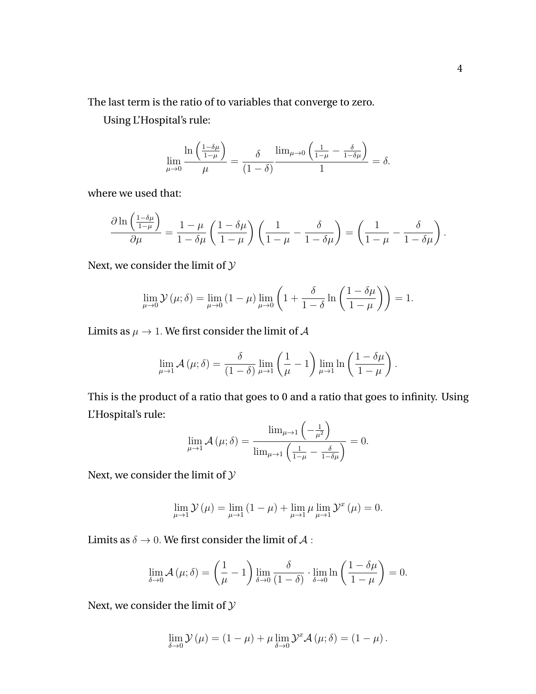The last term is the ratio of to variables that converge to zero.

Using L'Hospital's rule:

$$
\lim_{\mu \to 0} \frac{\ln \left( \frac{1-\delta \mu}{1-\mu} \right)}{\mu} = \frac{\delta}{(1-\delta)} \frac{\lim_{\mu \to 0} \left( \frac{1}{1-\mu} - \frac{\delta}{1-\delta \mu} \right)}{1} = \delta.
$$

where we used that:

$$
\frac{\partial \ln\left(\frac{1-\delta\mu}{1-\mu}\right)}{\partial \mu} = \frac{1-\mu}{1-\delta\mu}\left(\frac{1-\delta\mu}{1-\mu}\right)\left(\frac{1}{1-\mu}-\frac{\delta}{1-\delta\mu}\right) = \left(\frac{1}{1-\mu}-\frac{\delta}{1-\delta\mu}\right).
$$

Next, we consider the limit of  $\mathcal Y$ 

$$
\lim_{\mu \to 0} \mathcal{Y}(\mu; \delta) = \lim_{\mu \to 0} (1 - \mu) \lim_{\mu \to 0} \left( 1 + \frac{\delta}{1 - \delta} \ln \left( \frac{1 - \delta \mu}{1 - \mu} \right) \right) = 1.
$$

Limits as  $\mu \to 1$ . We first consider the limit of A

$$
\lim_{\mu \to 1} \mathcal{A}(\mu; \delta) = \frac{\delta}{(1 - \delta)} \lim_{\mu \to 1} \left( \frac{1}{\mu} - 1 \right) \lim_{\mu \to 1} \ln \left( \frac{1 - \delta \mu}{1 - \mu} \right).
$$

This is the product of a ratio that goes to 0 and a ratio that goes to infinity. Using L'Hospital's rule:

$$
\lim_{\mu \to 1} \mathcal{A}(\mu; \delta) = \frac{\lim_{\mu \to 1} \left( -\frac{1}{\mu^2} \right)}{\lim_{\mu \to 1} \left( \frac{1}{1 - \mu} - \frac{\delta}{1 - \delta \mu} \right)} = 0.
$$

Next, we consider the limit of  ${\mathcal{Y}}$ 

$$
\lim_{\mu \to 1} \mathcal{Y}(\mu) = \lim_{\mu \to 1} (1 - \mu) + \lim_{\mu \to 1} \mu \lim_{\mu \to 1} \mathcal{Y}^x(\mu) = 0.
$$

Limits as  $\delta \to 0$ . We first consider the limit of A :

$$
\lim_{\delta \to 0} \mathcal{A}(\mu; \delta) = \left(\frac{1}{\mu} - 1\right) \lim_{\delta \to 0} \frac{\delta}{(1 - \delta)} \cdot \lim_{\delta \to 0} \ln\left(\frac{1 - \delta\mu}{1 - \mu}\right) = 0.
$$

Next, we consider the limit of  ${\mathcal{Y}}$ 

$$
\lim_{\delta \to 0} \mathcal{Y}(\mu) = (1 - \mu) + \mu \lim_{\delta \to 0} \mathcal{Y}^x \mathcal{A}(\mu; \delta) = (1 - \mu).
$$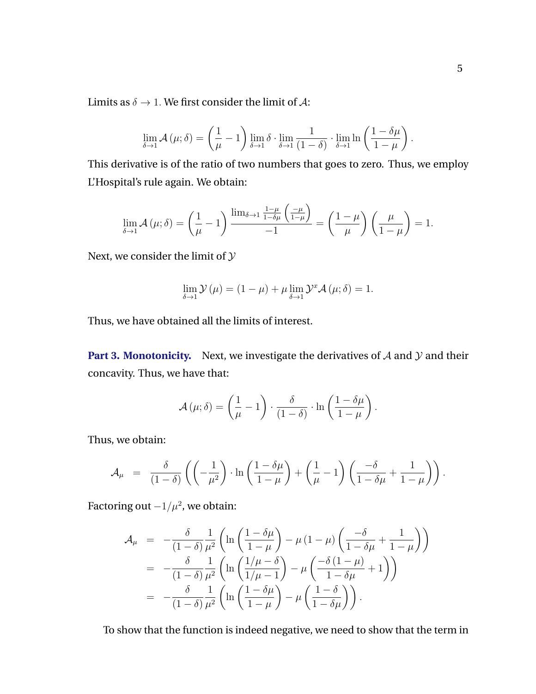Limits as  $\delta \rightarrow 1$ . We first consider the limit of A:

$$
\lim_{\delta \to 1} \mathcal{A}(\mu; \delta) = \left(\frac{1}{\mu} - 1\right) \lim_{\delta \to 1} \delta \cdot \lim_{\delta \to 1} \frac{1}{(1 - \delta)} \cdot \lim_{\delta \to 1} \ln\left(\frac{1 - \delta \mu}{1 - \mu}\right).
$$

This derivative is of the ratio of two numbers that goes to zero. Thus, we employ L'Hospital's rule again. We obtain:

$$
\lim_{\delta \to 1} \mathcal{A}(\mu; \delta) = \left(\frac{1}{\mu} - 1\right) \frac{\lim_{\delta \to 1} \frac{1 - \mu}{1 - \delta \mu} \left(\frac{-\mu}{1 - \mu}\right)}{-1} = \left(\frac{1 - \mu}{\mu}\right) \left(\frac{\mu}{1 - \mu}\right) = 1.
$$

Next, we consider the limit of  $\mathcal Y$ 

$$
\lim_{\delta \to 1} \mathcal{Y}(\mu) = (1 - \mu) + \mu \lim_{\delta \to 1} \mathcal{Y}^x \mathcal{A}(\mu; \delta) = 1.
$$

Thus, we have obtained all the limits of interest.

**Part 3. Monotonicity.** Next, we investigate the derivatives of  $A$  and  $Y$  and their concavity. Thus, we have that:

$$
\mathcal{A}(\mu;\delta) = \left(\frac{1}{\mu} - 1\right) \cdot \frac{\delta}{(1-\delta)} \cdot \ln\left(\frac{1-\delta\mu}{1-\mu}\right).
$$

Thus, we obtain:

$$
\mathcal{A}_{\mu} = \frac{\delta}{(1-\delta)} \left( \left( -\frac{1}{\mu^2} \right) \cdot \ln \left( \frac{1-\delta\mu}{1-\mu} \right) + \left( \frac{1}{\mu} - 1 \right) \left( \frac{-\delta}{1-\delta\mu} + \frac{1}{1-\mu} \right) \right).
$$

Factoring out  $-1/\mu^2$ , we obtain:

$$
\mathcal{A}_{\mu} = -\frac{\delta}{(1-\delta)} \frac{1}{\mu^2} \left( \ln \left( \frac{1-\delta\mu}{1-\mu} \right) - \mu (1-\mu) \left( \frac{-\delta}{1-\delta\mu} + \frac{1}{1-\mu} \right) \right)
$$
  
\n
$$
= -\frac{\delta}{(1-\delta)} \frac{1}{\mu^2} \left( \ln \left( \frac{1/\mu-\delta}{1/\mu-1} \right) - \mu \left( \frac{-\delta (1-\mu)}{1-\delta\mu} + 1 \right) \right)
$$
  
\n
$$
= -\frac{\delta}{(1-\delta)} \frac{1}{\mu^2} \left( \ln \left( \frac{1-\delta\mu}{1-\mu} \right) - \mu \left( \frac{1-\delta}{1-\delta\mu} \right) \right).
$$

To show that the function is indeed negative, we need to show that the term in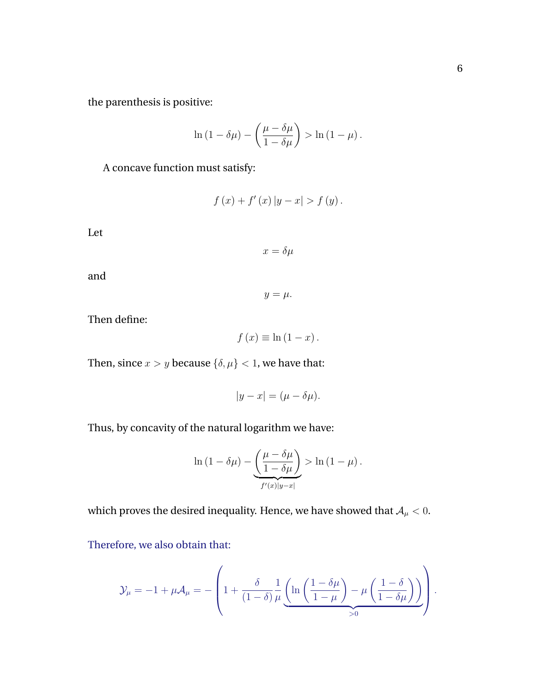the parenthesis is positive:

$$
\ln(1 - \delta\mu) - \left(\frac{\mu - \delta\mu}{1 - \delta\mu}\right) > \ln(1 - \mu).
$$

A concave function must satisfy:

$$
f(x) + f'(x) |y - x| > f(y).
$$

Let

 $x = \delta \mu$ 

and

Then define:

 $f (x) \equiv \ln (1 - x)$ .

Then, since  $x>y$  because  $\{\delta,\mu\}<1,$  we have that:

$$
|y - x| = (\mu - \delta \mu).
$$

Thus, by concavity of the natural logarithm we have:

$$
\ln(1 - \delta\mu) - \underbrace{\left(\frac{\mu - \delta\mu}{1 - \delta\mu}\right)}_{f'(x)|y - x|} > \ln(1 - \mu).
$$

which proves the desired inequality. Hence, we have showed that  $\mathcal{A}_\mu < 0.$ 

Therefore, we also obtain that:

$$
\mathcal{Y}_{\mu} = -1 + \mu \mathcal{A}_{\mu} = -\left(1 + \frac{\delta}{(1-\delta)} \frac{1}{\mu} \underbrace{\left(\ln\left(\frac{1-\delta \mu}{1-\mu}\right) - \mu \left(\frac{1-\delta}{1-\delta \mu}\right)\right)}_{>0}\right).
$$

$$
y=\mu.
$$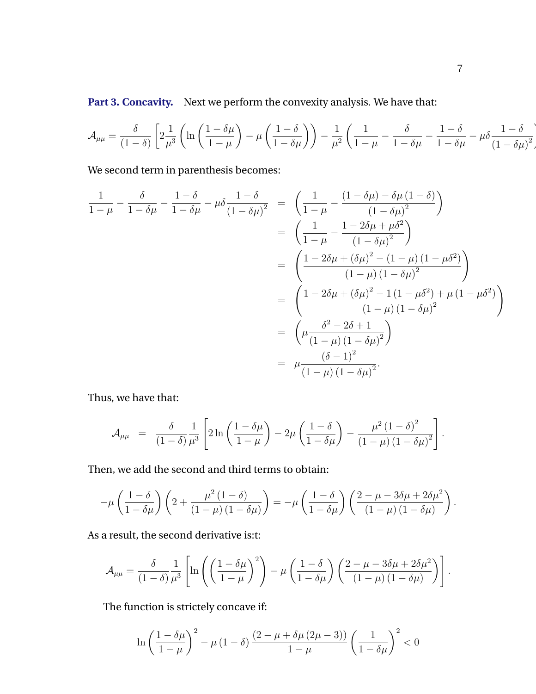Part 3. Concavity. Next we perform the convexity analysis. We have that:

$$
\mathcal{A}_{\mu\mu} = \frac{\delta}{(1-\delta)} \left[ 2\frac{1}{\mu^3} \left( \ln\left(\frac{1-\delta\mu}{1-\mu}\right) - \mu\left(\frac{1-\delta}{1-\delta\mu}\right) \right) - \frac{1}{\mu^2} \left( \frac{1}{1-\mu} - \frac{\delta}{1-\delta\mu} - \frac{1-\delta}{1-\delta\mu} - \mu\delta \frac{1-\delta}{(1-\delta\mu)^2} \right) \right]
$$

We second term in parenthesis becomes:

$$
\frac{1}{1-\mu} - \frac{\delta}{1-\delta\mu} - \frac{1-\delta}{1-\delta\mu} - \mu \delta \frac{1-\delta}{(1-\delta\mu)^2} = \left(\frac{1}{1-\mu} - \frac{(1-\delta\mu)-\delta\mu(1-\delta)}{(1-\delta\mu)^2}\right)
$$

$$
= \left(\frac{1}{1-\mu} - \frac{1-2\delta\mu+\mu\delta^2}{(1-\delta\mu)^2}\right)
$$

$$
= \left(\frac{1-2\delta\mu+(\delta\mu)^2 - (1-\mu)(1-\mu\delta^2)}{(1-\mu)(1-\delta\mu)^2}\right)
$$

$$
= \left(\frac{1-2\delta\mu+(\delta\mu)^2 - 1(1-\mu\delta^2) + \mu(1-\mu\delta^2)}{(1-\mu)(1-\delta\mu)^2}\right)
$$

$$
= \left(\mu \frac{\delta^2 - 2\delta + 1}{(1-\mu)(1-\delta\mu)^2}\right)
$$

$$
= \mu \frac{(\delta-1)^2}{(1-\mu)(1-\delta\mu)^2}.
$$

Thus, we have that:

$$
\mathcal{A}_{\mu\mu} = \frac{\delta}{(1-\delta)} \frac{1}{\mu^3} \left[ 2\ln\left(\frac{1-\delta\mu}{1-\mu}\right) - 2\mu\left(\frac{1-\delta}{1-\delta\mu}\right) - \frac{\mu^2(1-\delta)^2}{(1-\mu)(1-\delta\mu)^2} \right].
$$

Then, we add the second and third terms to obtain:

$$
-\mu\left(\frac{1-\delta}{1-\delta\mu}\right)\left(2+\frac{\mu^2(1-\delta)}{(1-\mu)(1-\delta\mu)}\right)=-\mu\left(\frac{1-\delta}{1-\delta\mu}\right)\left(\frac{2-\mu-3\delta\mu+2\delta\mu^2}{(1-\mu)(1-\delta\mu)}\right)
$$

As a result, the second derivative is:t:

$$
\mathcal{A}_{\mu\mu} = \frac{\delta}{(1-\delta)} \frac{1}{\mu^3} \left[ \ln \left( \left( \frac{1-\delta\mu}{1-\mu} \right)^2 \right) - \mu \left( \frac{1-\delta}{1-\delta\mu} \right) \left( \frac{2-\mu-3\delta\mu+2\delta\mu^2}{(1-\mu)(1-\delta\mu)} \right) \right].
$$

The function is strictely concave if:

$$
\ln\left(\frac{1-\delta\mu}{1-\mu}\right)^2-\mu\left(1-\delta\right)\frac{\left(2-\mu+\delta\mu\left(2\mu-3\right)\right)}{1-\mu}\left(\frac{1}{1-\delta\mu}\right)^2<0
$$

.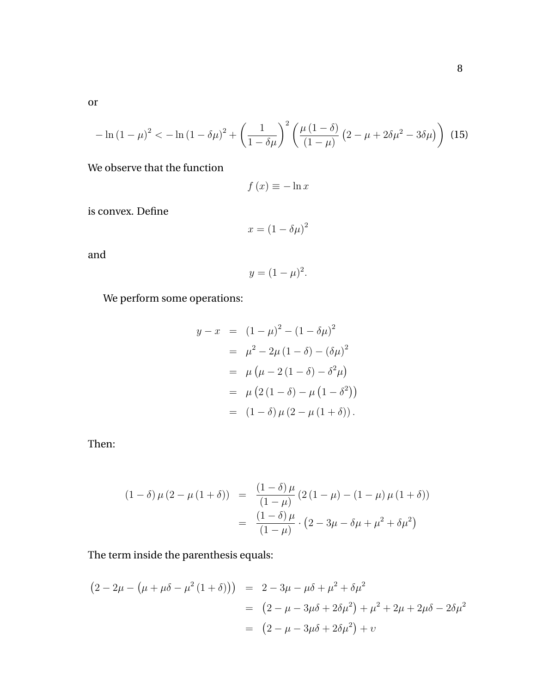<span id="page-54-0"></span>or

$$
-\ln(1-\mu)^2 < -\ln(1-\delta\mu)^2 + \left(\frac{1}{1-\delta\mu}\right)^2 \left(\frac{\mu(1-\delta)}{(1-\mu)}\left(2-\mu+2\delta\mu^2-3\delta\mu\right)\right)
$$
(15)

We observe that the function

$$
f(x) \equiv -\ln x
$$

is convex. Define

$$
x = (1 - \delta\mu)^2
$$

and

$$
y=(1-\mu)^2.
$$

We perform some operations:

$$
y - x = (1 - \mu)^2 - (1 - \delta\mu)^2
$$
  
=  $\mu^2 - 2\mu (1 - \delta) - (\delta\mu)^2$   
=  $\mu (\mu - 2 (1 - \delta) - \delta^2\mu)$   
=  $\mu (2 (1 - \delta) - \mu (1 - \delta^2))$   
=  $(1 - \delta) \mu (2 - \mu (1 + \delta)).$ 

Then:

$$
(1 - \delta) \mu (2 - \mu (1 + \delta)) = \frac{(1 - \delta) \mu}{(1 - \mu)} (2 (1 - \mu) - (1 - \mu) \mu (1 + \delta))
$$

$$
= \frac{(1 - \delta) \mu}{(1 - \mu)} \cdot (2 - 3\mu - \delta \mu + \mu^2 + \delta \mu^2)
$$

The term inside the parenthesis equals:

$$
(2 - 2\mu - (\mu + \mu \delta - \mu^2 (1 + \delta))) = 2 - 3\mu - \mu \delta + \mu^2 + \delta \mu^2
$$
  
=  $(2 - \mu - 3\mu \delta + 2\delta \mu^2) + \mu^2 + 2\mu + 2\mu \delta - 2\delta \mu^2$   
=  $(2 - \mu - 3\mu \delta + 2\delta \mu^2) + \nu$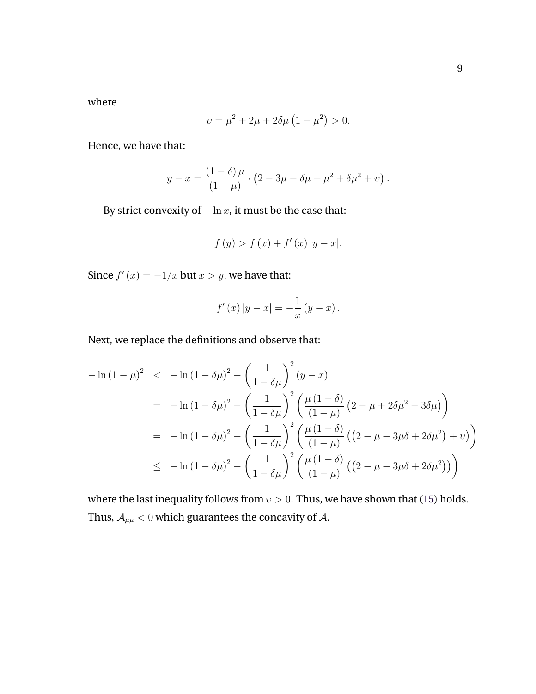where

$$
\upsilon = \mu^2 + 2\mu + 2\delta\mu \left(1 - \mu^2\right) > 0.
$$

Hence, we have that:

$$
y - x = \frac{(1 - \delta) \mu}{(1 - \mu)} \cdot (2 - 3\mu - \delta\mu + \mu^2 + \delta\mu^2 + \nu).
$$

By strict convexity of  $-\ln x$ , it must be the case that:

$$
f(y) > f(x) + f'(x) |y - x|.
$$

Since  $f'(x) = -1/x$  but  $x > y$ , we have that:

$$
f'(x) |y - x| = -\frac{1}{x} (y - x).
$$

Next, we replace the definitions and observe that:

$$
-\ln (1 - \mu)^2 < -\ln (1 - \delta \mu)^2 - \left(\frac{1}{1 - \delta \mu}\right)^2 (y - x)
$$
  
= 
$$
-\ln (1 - \delta \mu)^2 - \left(\frac{1}{1 - \delta \mu}\right)^2 \left(\frac{\mu (1 - \delta)}{(1 - \mu)} (2 - \mu + 2\delta \mu^2 - 3\delta \mu)\right)
$$
  
= 
$$
-\ln (1 - \delta \mu)^2 - \left(\frac{1}{1 - \delta \mu}\right)^2 \left(\frac{\mu (1 - \delta)}{(1 - \mu)} ((2 - \mu - 3\mu\delta + 2\delta \mu^2) + v)\right)
$$
  

$$
\leq -\ln (1 - \delta \mu)^2 - \left(\frac{1}{1 - \delta \mu}\right)^2 \left(\frac{\mu (1 - \delta)}{(1 - \mu)} ((2 - \mu - 3\mu\delta + 2\delta \mu^2))\right)
$$

where the last inequality follows from  $v > 0$ . Thus, we have shown that [\(15\)](#page-54-0) holds. Thus,  $\mathcal{A}_{\mu\mu}<0$  which guarantees the concavity of  $\mathcal{A}.$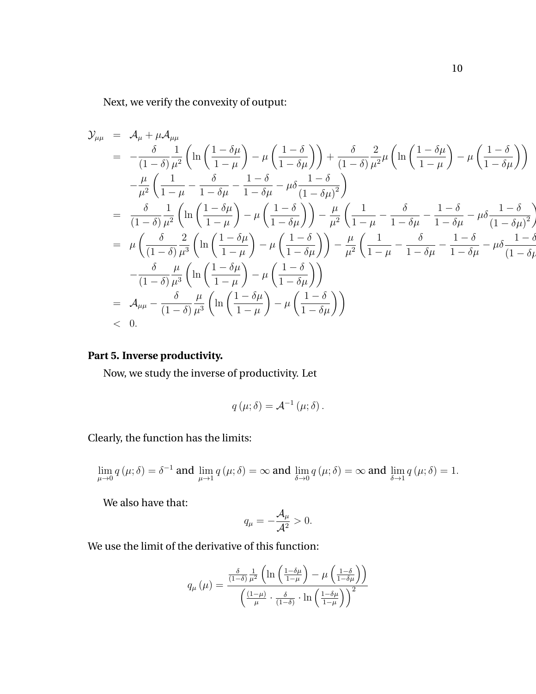Next, we verify the convexity of output:

$$
\mathcal{Y}_{\mu\mu} = \mathcal{A}_{\mu} + \mu \mathcal{A}_{\mu\mu}
$$
\n
$$
= -\frac{\delta}{(1-\delta)} \frac{1}{\mu^2} \left( \ln \left( \frac{1-\delta\mu}{1-\mu} \right) - \mu \left( \frac{1-\delta}{1-\delta\mu} \right) \right) + \frac{\delta}{(1-\delta)} \frac{2}{\mu^2} \mu \left( \ln \left( \frac{1-\delta\mu}{1-\mu} \right) - \mu \left( \frac{1-\delta}{1-\delta\mu} \right) \right)
$$
\n
$$
- \frac{\mu}{\mu^2} \left( \frac{1}{1-\mu} - \frac{\delta}{1-\delta\mu} - \frac{1-\delta}{1-\delta\mu} - \mu \delta \frac{1-\delta}{(1-\delta\mu)^2} \right)
$$
\n
$$
= \frac{\delta}{(1-\delta)} \frac{1}{\mu^2} \left( \ln \left( \frac{1-\delta\mu}{1-\mu} \right) - \mu \left( \frac{1-\delta}{1-\delta\mu} \right) \right) - \frac{\mu}{\mu^2} \left( \frac{1}{1-\mu} - \frac{\delta}{1-\delta\mu} - \frac{1-\delta}{1-\delta\mu} - \mu \delta \frac{1-\delta}{(1-\delta\mu)^2} \right)
$$
\n
$$
= \mu \left( \frac{\delta}{(1-\delta)} \frac{2}{\mu^3} \left( \ln \left( \frac{1-\delta\mu}{1-\mu} \right) - \mu \left( \frac{1-\delta}{1-\delta\mu} \right) \right) - \frac{\mu}{\mu^2} \left( \frac{1}{1-\mu} - \frac{\delta}{1-\delta\mu} - \frac{1-\delta}{1-\delta\mu} - \mu \delta \frac{1-\delta}{(1-\delta\mu)^2} \right)
$$
\n
$$
- \frac{\delta}{(1-\delta)} \frac{\mu}{\mu^3} \left( \ln \left( \frac{1-\delta\mu}{1-\mu} \right) - \mu \left( \frac{1-\delta}{1-\delta\mu} \right) \right)
$$
\n
$$
= \mathcal{A}_{\mu\mu} - \frac{\delta}{(1-\delta)} \frac{\mu}{\mu^3} \left( \ln \left( \frac{1-\delta\mu}{1-\mu} \right) - \mu \left( \frac{1-\delta}{1-\delta\mu} \right) \right)
$$
\n
$$
< 0.
$$

### **Part 5. Inverse productivity.**

Now, we study the inverse of productivity. Let

$$
q(\mu;\delta) = \mathcal{A}^{-1}(\mu;\delta).
$$

Clearly, the function has the limits:

$$
\lim_{\mu \to 0} q(\mu; \delta) = \delta^{-1} \text{ and } \lim_{\mu \to 1} q(\mu; \delta) = \infty \text{ and } \lim_{\delta \to 0} q(\mu; \delta) = \infty \text{ and } \lim_{\delta \to 1} q(\mu; \delta) = 1.
$$

We also have that:

$$
q_{\mu}=-\frac{\mathcal{A}_{\mu}}{\mathcal{A}^2}>0.
$$

We use the limit of the derivative of this function:

$$
q_{\mu}(\mu) = \frac{\frac{\delta}{(1-\delta)}\frac{1}{\mu^{2}}\left(\ln\left(\frac{1-\delta\mu}{1-\mu}\right) - \mu\left(\frac{1-\delta\mu}{1-\delta\mu}\right)\right)}{\left(\frac{(1-\mu)}{\mu}\cdot\frac{\delta}{(1-\delta)}\cdot\ln\left(\frac{1-\delta\mu}{1-\mu}\right)\right)^{2}}
$$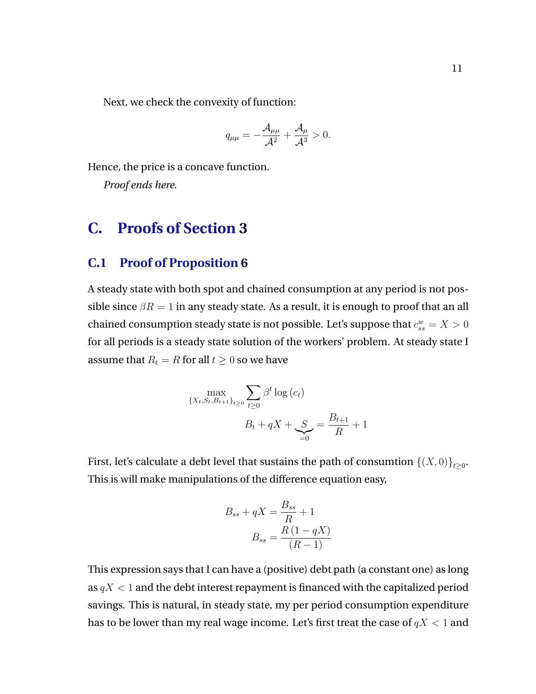<span id="page-57-0"></span>Next, we check the convexity of function:

$$
q_{\mu\mu}=-\frac{\mathcal{A}_{\mu\mu}}{\mathcal{A}^2}+\frac{\mathcal{A}_\mu}{\mathcal{A}^3}>0.
$$

Hence, the price is a concave function.

*Proof ends here*.

## **C. Proofs of Section [3](#page-19-0)**

### **C.1 Proof of Proposition [6](#page-28-0)**

A steady state with both spot and chained consumption at any period is not possible since  $\beta R = 1$  in any steady state. As a result, it is enough to proof that an all chained consumption steady state is not possible. Let's suppose that  $c_{ss}^w = X > 0$ for all periods is a steady state solution of the workers' problem. At steady state I assume that  $R_t = R$  for all  $t \geq 0$  so we have

$$
\max_{\{X_t, S_t, B_{t+1}\}_{t\geq 0}} \sum_{t\geq 0} \beta^t \log(c_t)
$$

$$
B_t + qX + \sum_{t=0}^{n} \sum_{t=0}^{t+1} \beta^t + 1
$$

First, let's calculate a debt level that sustains the path of consumtion  $\left\{(X,0)\right\}_{t\geq 0}.$ This is will make manipulations of the difference equation easy,

$$
B_{ss} + qX = \frac{B_{ss}}{R} + 1
$$

$$
B_{ss} = \frac{R(1-qX)}{(R-1)}
$$

This expression says that I can have a (positive) debt path (a constant one) as long as  $qX < 1$  and the debt interest repayment is financed with the capitalized period savings. This is natural, in steady state, my per period consumption expenditure has to be lower than my real wage income. Let's first treat the case of  $qX < 1$  and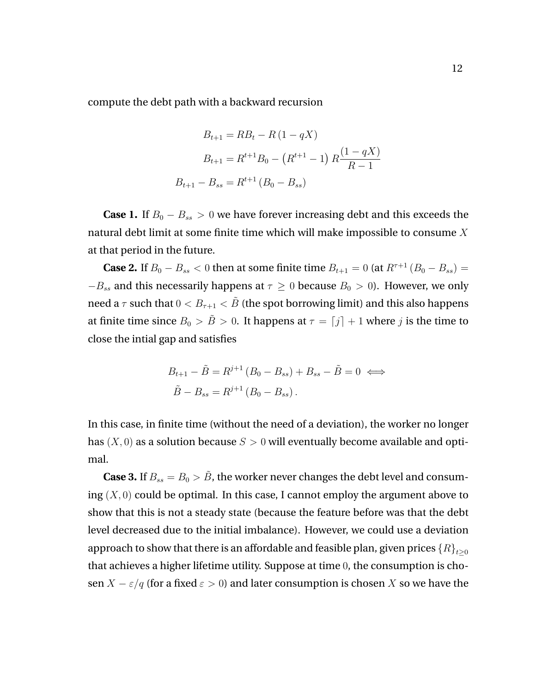compute the debt path with a backward recursion

$$
B_{t+1} = RB_t - R(1 - qX)
$$
  
\n
$$
B_{t+1} = R^{t+1}B_0 - (R^{t+1} - 1) R \frac{(1 - qX)}{R - 1}
$$
  
\n
$$
B_{t+1} - B_{ss} = R^{t+1} (B_0 - B_{ss})
$$

**Case 1.** If  $B_0 - B_{ss} > 0$  we have forever increasing debt and this exceeds the natural debt limit at some finite time which will make impossible to consume X at that period in the future.

**Case 2.** If  $B_0 - B_{ss} < 0$  then at some finite time  $B_{t+1} = 0$  (at  $R^{\tau+1} (B_0 - B_{ss}) =$  $-B_{ss}$  and this necessarily happens at  $\tau \geq 0$  because  $B_0 > 0$ ). However, we only need a  $\tau$  such that  $0 < B_{\tau+1} < \tilde{B}$  (the spot borrowing limit) and this also happens at finite time since  $B_0 > \tilde{B} > 0$ . It happens at  $\tau = [j] + 1$  where j is the time to close the intial gap and satisfies

$$
B_{t+1} - \tilde{B} = R^{j+1} (B_0 - B_{ss}) + B_{ss} - \tilde{B} = 0 \iff
$$
  

$$
\tilde{B} - B_{ss} = R^{j+1} (B_0 - B_{ss}).
$$

In this case, in finite time (without the need of a deviation), the worker no longer has  $(X, 0)$  as a solution because  $S > 0$  will eventually become available and optimal.

**Case 3.** If  $B_{ss} = B_0 > \tilde{B}$ , the worker never changes the debt level and consuming  $(X, 0)$  could be optimal. In this case, I cannot employ the argument above to show that this is not a steady state (because the feature before was that the debt level decreased due to the initial imbalance). However, we could use a deviation approach to show that there is an affordable and feasible plan, given prices  $\{R\}_{t\geq0}$ that achieves a higher lifetime utility. Suppose at time 0, the consumption is chosen  $X - \varepsilon/q$  (for a fixed  $\varepsilon > 0$ ) and later consumption is chosen X so we have the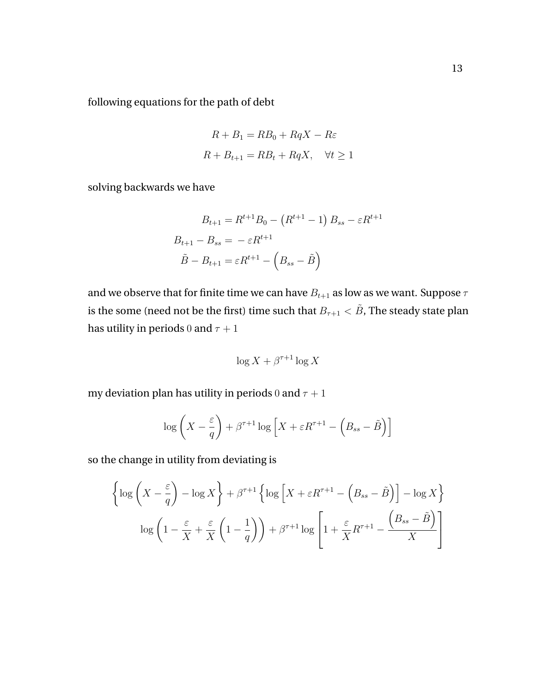following equations for the path of debt

$$
R + B_1 = RB_0 + RqX - R\varepsilon
$$
  

$$
R + B_{t+1} = RB_t + RqX, \quad \forall t \ge 1
$$

solving backwards we have

$$
B_{t+1} = R^{t+1}B_0 - (R^{t+1} - 1) B_{ss} - \varepsilon R^{t+1}
$$

$$
B_{t+1} - B_{ss} = -\varepsilon R^{t+1}
$$

$$
\tilde{B} - B_{t+1} = \varepsilon R^{t+1} - (B_{ss} - \tilde{B})
$$

and we observe that for finite time we can have  $B_{t+1}$  as low as we want. Suppose  $\tau$ is the some (need not be the first) time such that  $B_{\tau+1} < \tilde{B},$  The steady state plan has utility in periods 0 and  $\tau + 1$ 

$$
\log X + \beta^{\tau+1} \log X
$$

my deviation plan has utility in periods 0 and  $\tau + 1$ 

$$
\log\left(X - \frac{\varepsilon}{q}\right) + \beta^{\tau+1}\log\left(X + \varepsilon R^{\tau+1} - \left(B_{ss} - \tilde{B}\right)\right]
$$

so the change in utility from deviating is

$$
\left\{\log\left(X-\frac{\varepsilon}{q}\right)-\log X\right\}+\beta^{\tau+1}\left\{\log\left(X+\varepsilon R^{\tau+1}-\left(B_{ss}-\tilde{B}\right)\right]-\log X\right\}
$$

$$
\log\left(1-\frac{\varepsilon}{X}+\frac{\varepsilon}{X}\left(1-\frac{1}{q}\right)\right)+\beta^{\tau+1}\log\left[1+\frac{\varepsilon}{X}R^{\tau+1}-\frac{\left(B_{ss}-\tilde{B}\right)}{X}\right]
$$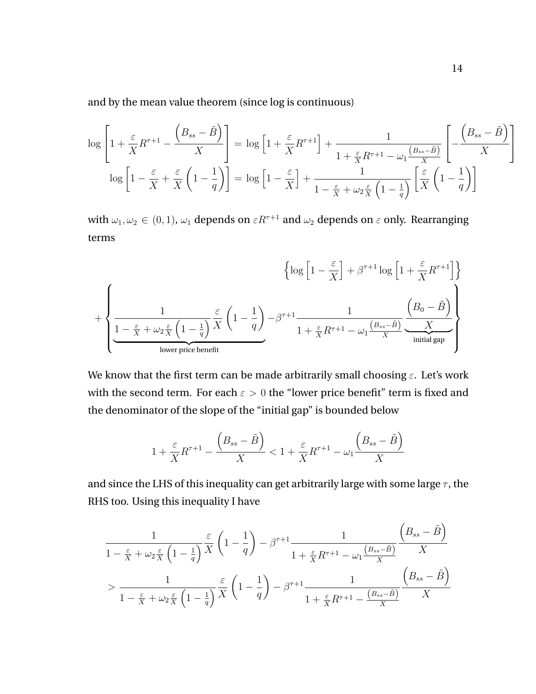and by the mean value theorem (since log is continuous)

$$
\log\left[1+\frac{\varepsilon}{X}R^{\tau+1}-\frac{\left(B_{ss}-\tilde{B}\right)}{X}\right] = \log\left[1+\frac{\varepsilon}{X}R^{\tau+1}\right]+\frac{1}{1+\frac{\varepsilon}{X}R^{\tau+1}-\omega_{1}\frac{\left(B_{ss}-\tilde{B}\right)}{X}}\left[-\frac{\left(B_{ss}-\tilde{B}\right)}{X}\right]
$$

$$
\log\left[1-\frac{\varepsilon}{X}+\frac{\varepsilon}{X}\left(1-\frac{1}{q}\right)\right] = \log\left[1-\frac{\varepsilon}{X}\right]+\frac{1}{1-\frac{\varepsilon}{X}+\omega_{2}\frac{\varepsilon}{X}\left(1-\frac{1}{q}\right)}\left[\frac{\varepsilon}{X}\left(1-\frac{1}{q}\right)\right]
$$

with  $\omega_1, \omega_2 \in (0, 1)$ ,  $\omega_1$  depends on  $\varepsilon R^{\tau+1}$  and  $\omega_2$  depends on  $\varepsilon$  only. Rearranging terms

$$
\left\{\log\left[1-\frac{\varepsilon}{X}\right]+\beta^{\tau+1}\log\left[1+\frac{\varepsilon}{X}R^{\tau+1}\right]\right\}
$$
  
+
$$
\left\{\underbrace{\frac{1}{1-\frac{\varepsilon}{X}+\omega_2\frac{\varepsilon}{X}\left(1-\frac{1}{q}\right)}\frac{\varepsilon}{X}\left(1-\frac{1}{q}\right)-\beta^{\tau+1}\frac{1}{1+\frac{\varepsilon}{X}R^{\tau+1}-\omega_1\frac{\left(B_{ss}-\tilde{B}\right)}{X}}\frac{\left(B_0-\tilde{B}\right)}{\omega_1\text{initial gap}}\right\}}_{\text{initial gap}}
$$

We know that the first term can be made arbitrarily small choosing  $\varepsilon$ . Let's work with the second term. For each  $\varepsilon > 0$  the "lower price benefit" term is fixed and the denominator of the slope of the "initial gap" is bounded below

$$
1 + \frac{\varepsilon}{X} R^{\tau+1} - \frac{\left(B_{ss} - \tilde{B}\right)}{X} < 1 + \frac{\varepsilon}{X} R^{\tau+1} - \omega_1 \frac{\left(B_{ss} - \tilde{B}\right)}{X}
$$

and since the LHS of this inequality can get arbitrarily large with some large  $\tau$ , the RHS too. Using this inequality I have

$$
\frac{1}{1 - \frac{\varepsilon}{X} + \omega_2 \frac{\varepsilon}{X} \left(1 - \frac{1}{q}\right)} \frac{\varepsilon}{X} \left(1 - \frac{1}{q}\right) - \beta^{\tau+1} \frac{1}{1 + \frac{\varepsilon}{X} R^{\tau+1} - \omega_1 \frac{(B_{ss} - \tilde{B})}{X}} \frac{\left(B_{ss} - \tilde{B}\right)}{X}
$$
  
> 
$$
\frac{1}{1 - \frac{\varepsilon}{X} + \omega_2 \frac{\varepsilon}{X} \left(1 - \frac{1}{q}\right)} \frac{\varepsilon}{X} \left(1 - \frac{1}{q}\right) - \beta^{\tau+1} \frac{1}{1 + \frac{\varepsilon}{X} R^{\tau+1} - \frac{(B_{ss} - \tilde{B})}{X}} \frac{\left(B_{ss} - \tilde{B}\right)}{X}
$$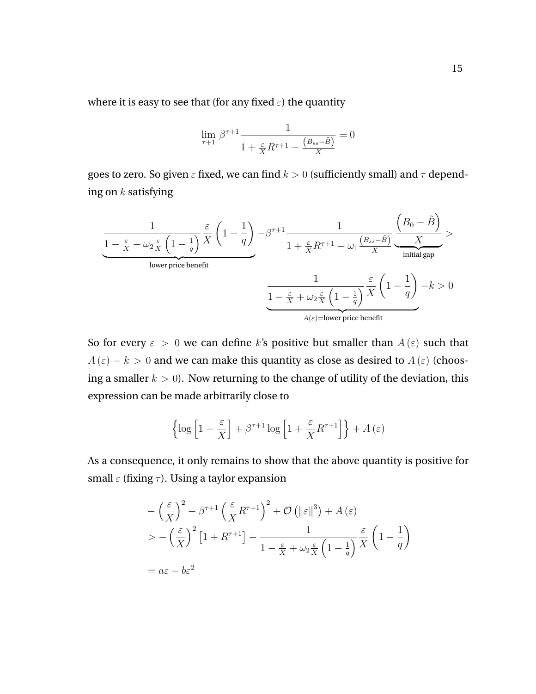where it is easy to see that (for any fixed  $\varepsilon$ ) the quantity

$$
\lim_{\tau+1} \beta^{\tau+1} \frac{1}{1 + \frac{\varepsilon}{X} R^{\tau+1} - \frac{(B_{ss} - \tilde{B})}{X}} = 0
$$

goes to zero. So given  $\varepsilon$  fixed, we can find  $k > 0$  (sufficiently small) and  $\tau$  depending on  $k$  satisfying

$$
\frac{1}{1 - \frac{\varepsilon}{X} + \omega_2 \frac{\varepsilon}{X} \left(1 - \frac{1}{q}\right)} \frac{\varepsilon}{X} \left(1 - \frac{1}{q}\right) - \beta^{\tau+1} \frac{1}{1 + \frac{\varepsilon}{X} R^{\tau+1} - \omega_1 \frac{(B_{ss} - \tilde{B})}{X}} \underbrace{\frac{\left(B_0 - \tilde{B}\right)}{X}}_{\text{initial gap}} >
$$
\n
$$
\frac{1}{1 - \frac{\varepsilon}{X} + \omega_2 \frac{\varepsilon}{X} \left(1 - \frac{1}{q}\right)} \frac{1}{X} \left(1 - \frac{1}{q}\right) - k > 0
$$
\n
$$
\frac{1}{A(\varepsilon) = \text{lower price benefit}}
$$

So for every  $\varepsilon > 0$  we can define k's positive but smaller than  $A(\varepsilon)$  such that  $A(\varepsilon) - k > 0$  and we can make this quantity as close as desired to  $A(\varepsilon)$  (choosing a smaller  $k > 0$ ). Now returning to the change of utility of the deviation, this expression can be made arbitrarily close to

$$
\left\{\log\left[1-\frac{\varepsilon}{X}\right]+\beta^{\tau+1}\log\left[1+\frac{\varepsilon}{X}R^{\tau+1}\right]\right\}+A\left(\varepsilon\right)
$$

As a consequence, it only remains to show that the above quantity is positive for small  $\varepsilon$  (fixing  $\tau$ ). Using a taylor expansion

$$
-\left(\frac{\varepsilon}{X}\right)^2 - \beta^{\tau+1} \left(\frac{\varepsilon}{X} R^{\tau+1}\right)^2 + \mathcal{O}\left(\|\varepsilon\|^3\right) + A\left(\varepsilon\right)
$$
  
> -\left(\frac{\varepsilon}{X}\right)^2 \left[1 + R^{\tau+1}\right] + \frac{1}{1 - \frac{\varepsilon}{X} + \omega\_2 \frac{\varepsilon}{X} \left(1 - \frac{1}{q}\right)} \frac{\varepsilon}{X} \left(1 - \frac{1}{q}\right)   
= a\varepsilon - b\varepsilon^2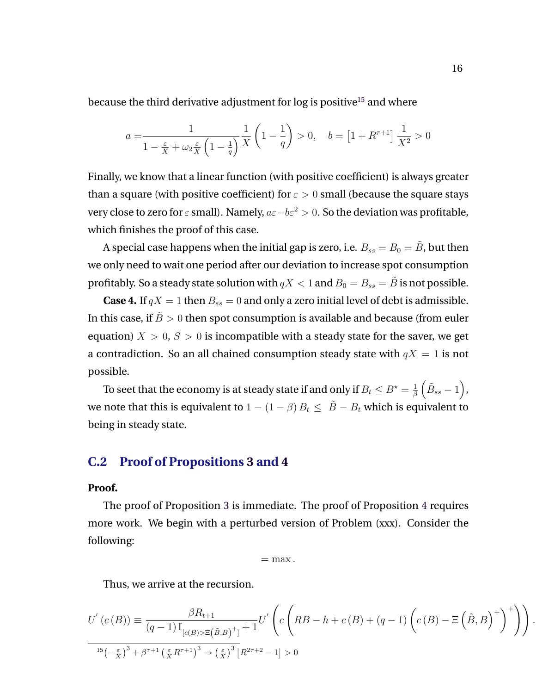<span id="page-62-0"></span>because the third derivative adjustment for  $log$  is positive<sup>15</sup> and where

$$
a = \frac{1}{1 - \frac{\varepsilon}{X} + \omega_2 \frac{\varepsilon}{X} \left(1 - \frac{1}{q}\right)} \frac{1}{X} \left(1 - \frac{1}{q}\right) > 0, \quad b = \left[1 + R^{\tau + 1}\right] \frac{1}{X^2} > 0
$$

Finally, we know that a linear function (with positive coefficient) is always greater than a square (with positive coefficient) for  $\varepsilon > 0$  small (because the square stays very close to zero for  $\varepsilon$  small). Namely,  $a\varepsilon-b\varepsilon^2>0$ . So the deviation was profitable, which finishes the proof of this case.

A special case happens when the initial gap is zero, i.e.  $B_{ss} = B_0 = \tilde{B}$ , but then we only need to wait one period after our deviation to increase spot consumption profitably. So a steady state solution with  $qX < 1$  and  $B_0 = B_{ss} = \tilde{B}$  is not possible.

**Case 4.** If  $qX = 1$  then  $B_{ss} = 0$  and only a zero initial level of debt is admissible. In this case, if  $\tilde{B} > 0$  then spot consumption is available and because (from euler equation)  $X > 0$ ,  $S > 0$  is incompatible with a steady state for the saver, we get a contradiction. So an all chained consumption steady state with  $qX = 1$  is not possible.

To seet that the economy is at steady state if and only if  $B_t \leq B^{\star} = \frac{1}{\beta}$  $\frac{1}{\beta}\left(\tilde{B}_{ss}-1\right)$  , we note that this is equivalent to  $1 - (1 - \beta) B_t \le \tilde{B} - B_t$  which is equivalent to being in steady state.

### **C.2 Proof of Propositions [3](#page-24-0) and [4](#page-25-0)**

#### **Proof.**

The proof of Proposition [3](#page-24-0) is immediate. The proof of Proposition [4](#page-25-0) requires more work. We begin with a perturbed version of Problem (xxx). Consider the following:

 $=$  max.

Thus, we arrive at the recursion.

$$
U'(c(B)) = \frac{\beta R_{t+1}}{(q-1)\mathbb{I}_{[c(B)>\Xi(\tilde{B},B)^{+}]}} + 1^{U'} \left( c \left( RB - h + c(B) + (q-1) \left( c(B) - \Xi\left(\tilde{B}, B\right)^{+} \right)^{+} \right) \right).
$$
  

$$
\frac{15\left(-\frac{\varepsilon}{X}\right)^{3} + \beta^{\tau+1} \left(\frac{\varepsilon}{X}R^{\tau+1}\right)^{3} \to \left(\frac{\varepsilon}{X}\right)^{3} \left[R^{2\tau+2} - 1\right] > 0}
$$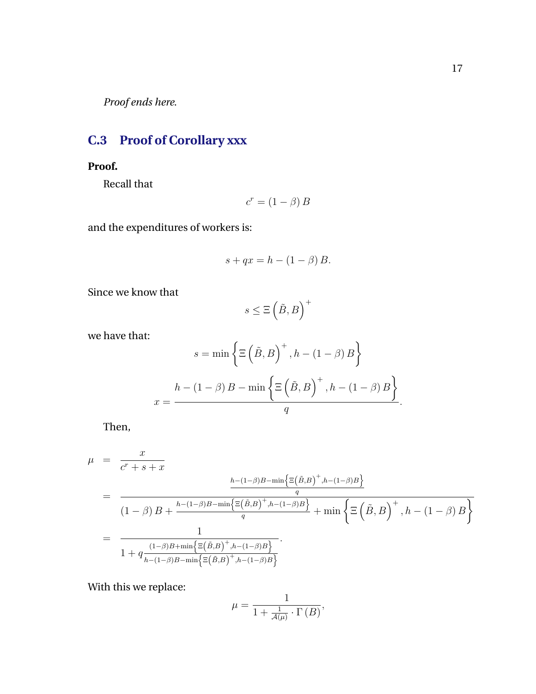<span id="page-63-0"></span>*Proof ends here*.

# **C.3 Proof of Corollary xxx**

### **Proof.**

Recall that

$$
c^r = (1 - \beta) B
$$

and the expenditures of workers is:

$$
s + qx = h - (1 - \beta) B.
$$

Since we know that

$$
s\leq \Xi\left(\tilde{B},B\right)^+
$$

we have that:

$$
s = \min \left\{ \Xi \left( \tilde{B}, B \right)^+, h - (1 - \beta) B \right\}
$$

$$
x = \frac{h - (1 - \beta) B - \min \left\{ \Xi \left( \tilde{B}, B \right)^+, h - (1 - \beta) B \right\}}{q}.
$$

Then,

$$
\mu = \frac{x}{c^r + s + x}
$$
\n
$$
= \frac{h - (1 - \beta)B - \min\left\{\Xi(\tilde{B}, B)^+, h - (1 - \beta)B\right\}}{q}
$$
\n
$$
= \frac{1}{1 + q \frac{(1 - \beta)B + \min\left\{\Xi(\tilde{B}, B)^+, h - (1 - \beta)B\right\}}{1 + \min\left\{\Xi(\tilde{B}, B)^+, h - (1 - \beta)B\right\}}}
$$
\n
$$
= \frac{1}{1 + q \frac{(1 - \beta)B + \min\left\{\Xi(\tilde{B}, B)^+, h - (1 - \beta)B\right\}}{1 + \min\left\{\Xi(\tilde{B}, B)^+, h - (1 - \beta)B\right\}}}
$$

With this we replace:

$$
\mu=\frac{1}{1+\frac{1}{\mathcal{A}(\mu)}\cdot\Gamma\left(B\right)},
$$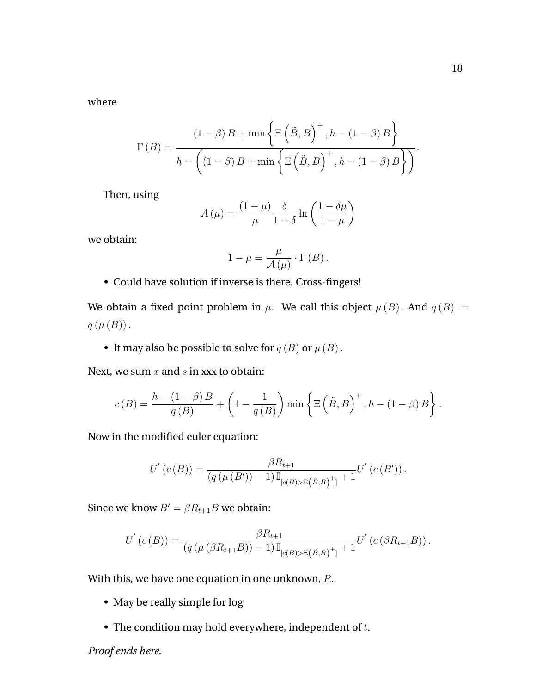where

$$
\Gamma(B) = \frac{(1-\beta)B + \min\left\{\Xi\left(\tilde{B},B\right)^+, h - (1-\beta)B\right\}}{h - \left((1-\beta)B + \min\left\{\Xi\left(\tilde{B},B\right)^+, h - (1-\beta)B\right\}\right)}.
$$

Then, using

$$
A(\mu) = \frac{(1-\mu)}{\mu} \frac{\delta}{1-\delta} \ln\left(\frac{1-\delta\mu}{1-\mu}\right)
$$

we obtain:

$$
1 - \mu = \frac{\mu}{\mathcal{A}(\mu)} \cdot \Gamma(B).
$$

• Could have solution if inverse is there. Cross-fingers!

We obtain a fixed point problem in  $\mu$ . We call this object  $\mu(B)$ . And  $q(B)$  =  $q(\mu(B))$ .

• It may also be possible to solve for  $q(B)$  or  $\mu(B)$ .

Next, we sum  $x$  and  $s$  in xxx to obtain:

$$
c(B) = \frac{h - (1 - \beta)B}{q(B)} + \left(1 - \frac{1}{q(B)}\right) \min\left\{\Xi\left(\tilde{B}, B\right)^+, h - (1 - \beta)B\right\}.
$$

Now in the modified euler equation:

$$
U^{'}(c(B)) = \frac{\beta R_{t+1}}{(q(\mu(B'))-1) \mathbb{I}_{[c(B)>\Xi(\tilde{B},B)^{+}]}} U^{'}(c(B')).
$$

Since we know  $B' = \beta R_{t+1}B$  we obtain:

$$
U^{'}(c(B)) = \frac{\beta R_{t+1}}{(q(\mu(\beta R_{t+1}B)) - 1) \mathbb{I}_{[c(B) > \Xi(\tilde{B},B)^{+}] + 1}} U^{'}(c(\beta R_{t+1}B)).
$$

With this, we have one equation in one unknown, R.

- May be really simple for log
- The condition may hold everywhere, independent of  $t$ .

*Proof ends here*.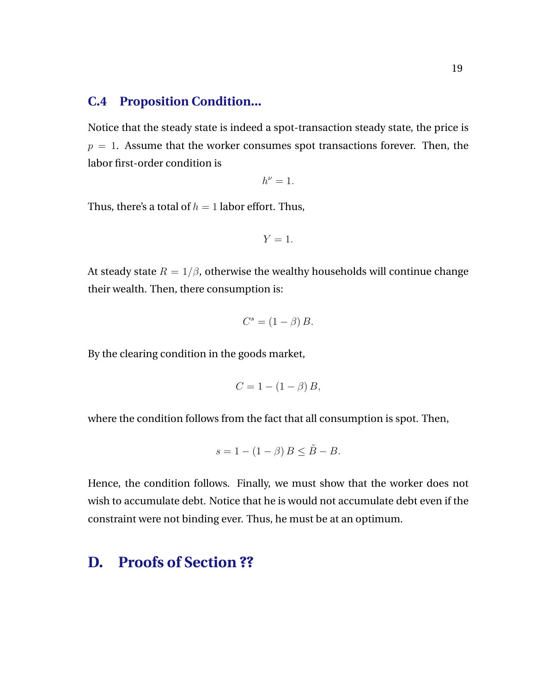### <span id="page-65-0"></span>**C.4 Proposition Condition...**

Notice that the steady state is indeed a spot-transaction steady state, the price is  $p = 1$ . Assume that the worker consumes spot transactions forever. Then, the labor first-order condition is

$$
h^{\nu}=1.
$$

Thus, there's a total of  $h = 1$  labor effort. Thus,

$$
Y=1.
$$

At steady state  $R = 1/\beta$ , otherwise the wealthy households will continue change their wealth. Then, there consumption is:

$$
C^s = (1 - \beta) B.
$$

By the clearing condition in the goods market,

$$
C = 1 - (1 - \beta) B,
$$

where the condition follows from the fact that all consumption is spot. Then,

$$
s = 1 - (1 - \beta) B \le \tilde{B} - B.
$$

Hence, the condition follows. Finally, we must show that the worker does not wish to accumulate debt. Notice that he is would not accumulate debt even if the constraint were not binding ever. Thus, he must be at an optimum.

# **D. Proofs of Section ??**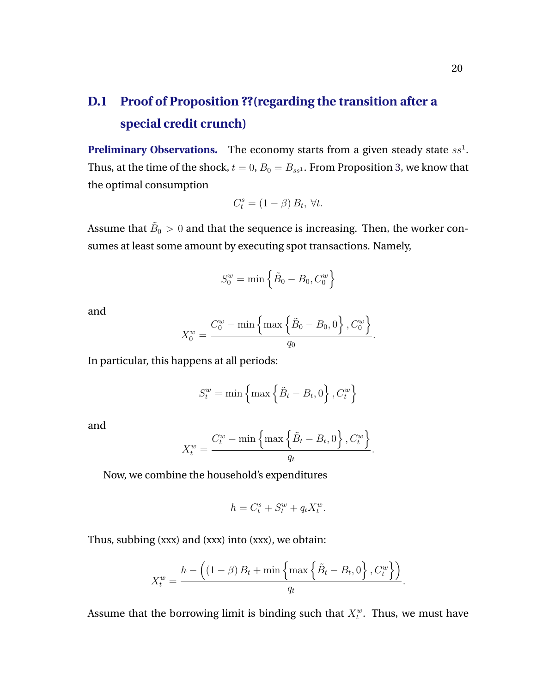# **D.1 Proof of Proposition ??(regarding the transition after a special credit crunch)**

**Preliminary Observations.** The economy starts from a given steady state  $ss<sup>1</sup>$ . Thus, at the time of the shock,  $t = 0$ ,  $B_0 = B_{ss}$ . From Proposition [3,](#page-24-0) we know that the optimal consumption

$$
C_t^s = (1 - \beta) B_t, \,\forall t.
$$

Assume that  $\tilde{B}_0>0$  and that the sequence is increasing. Then, the worker consumes at least some amount by executing spot transactions. Namely,

$$
S_0^w = \min\left\{\tilde{B}_0 - B_0, C_0^w\right\}
$$

and

$$
X_0^w = \frac{C_0^w - \min\left\{\max\left\{\tilde{B}_0 - B_0, 0\right\}, C_0^w\right\}}{q_0}.
$$

In particular, this happens at all periods:

$$
S_t^w = \min\left\{\max\left\{\tilde{B}_t - B_t, 0\right\}, C_t^w\right\}
$$

and

$$
X_t^w = \frac{C_t^w - \min\left\{\max\left\{\tilde{B}_t - B_t, 0\right\}, C_t^w\right\}}{q_t}.
$$

Now, we combine the household's expenditures

$$
h = C_t^s + S_t^w + q_t X_t^w.
$$

Thus, subbing (xxx) and (xxx) into (xxx), we obtain:

$$
X_t^w = \frac{h - \left( (1 - \beta) B_t + \min \left\{ \max \left\{ \tilde{B}_t - B_t, 0 \right\}, C_t^w \right\} \right)}{q_t}.
$$

Assume that the borrowing limit is binding such that  $X_t^w$ . Thus, we must have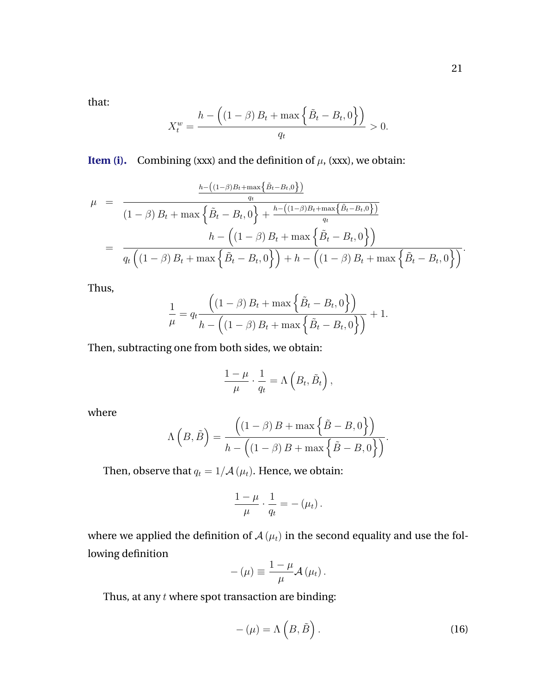<span id="page-67-0"></span>that:

$$
X_t^w = \frac{h - \left( (1 - \beta) B_t + \max\left\{ \tilde{B}_t - B_t, 0 \right\} \right)}{q_t} > 0.
$$

**Item (i).** Combining (xxx) and the definition of  $\mu$ , (xxx), we obtain:

$$
\mu = \frac{\frac{h - ((1 - \beta)B_t + \max\{\tilde{B}_t - B_t, 0\})}{q_t}}{(1 - \beta)B_t + \max\{\tilde{B}_t - B_t, 0\} + \frac{h - ((1 - \beta)B_t + \max\{\tilde{B}_t - B_t, 0\})}{q_t}}{h - ((1 - \beta)B_t + \max\{\tilde{B}_t - B_t, 0\})}
$$
\n
$$
= \frac{h - ((1 - \beta)B_t + \max\{\tilde{B}_t - B_t, 0\}) + h - ((1 - \beta)B_t + \max\{\tilde{B}_t - B_t, 0\})}{\left(\frac{(1 - \beta)B_t + \max\{\tilde{B}_t - B_t, 0\}\}\right) + h - ((1 - \beta)B_t + \max\{\tilde{B}_t - B_t, 0\})}.
$$

Thus,

$$
\frac{1}{\mu} = q_t \frac{((1 - \beta) B_t + \max \{ \tilde{B}_t - B_t, 0 \})}{h - ((1 - \beta) B_t + \max \{ \tilde{B}_t - B_t, 0 \})} + 1.
$$

Then, subtracting one from both sides, we obtain:

$$
\frac{1-\mu}{\mu} \cdot \frac{1}{q_t} = \Lambda \left( B_t, \tilde{B}_t \right),
$$

where

$$
\Lambda\left(B,\tilde{B}\right) = \frac{\left((1-\beta)B + \max\left\{\tilde{B}-B,0\right\}\right)}{h - \left((1-\beta)B + \max\left\{\tilde{B}-B,0\right\}\right)}.
$$

Then, observe that  $q_t = 1/\mathcal{A}(\mu_t)$ . Hence, we obtain:

$$
\frac{1-\mu}{\mu}\cdot\frac{1}{q_t}=-\left(\mu_t\right).
$$

where we applied the definition of  $\mathcal{A}(\mu_t)$  in the second equality and use the following definition

$$
-(\mu) \equiv \frac{1-\mu}{\mu} \mathcal{A}(\mu_t).
$$

Thus, at any  $t$  where spot transaction are binding:

$$
-(\mu) = \Lambda\left(B, \tilde{B}\right). \tag{16}
$$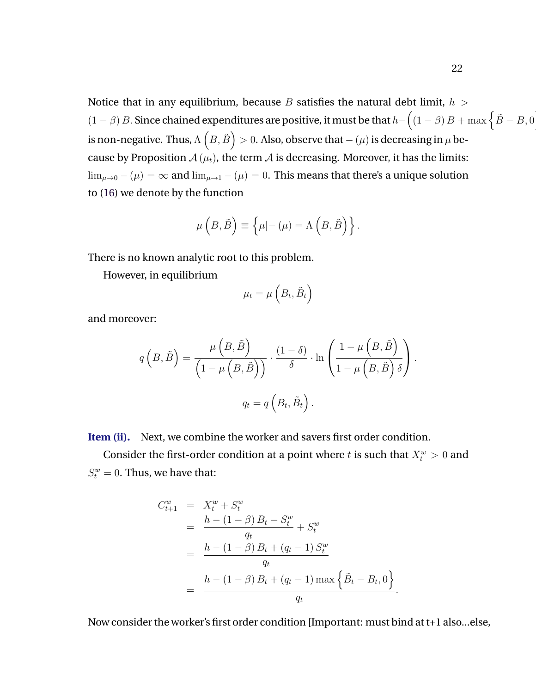Notice that in any equilibrium, because B satisfies the natural debt limit,  $h >$  $(1 - \beta) B$ . Since chained expenditures are positive, it must be that  $h - ((1 - \beta) B + \max \{\tilde{B} - B, 0\})$ is non-negative. Thus,  $\Lambda\left(B,\tilde{B}\right)>0.$  Also, observe that  $(\mu)$  is decreasing in  $\mu$  because by Proposition  $A(\mu_t)$ , the term  $A$  is decreasing. Moreover, it has the limits:  $\lim_{\mu \to 0} -(\mu) = \infty$  and  $\lim_{\mu \to 1} -(\mu) = 0$ . This means that there's a unique solution to [\(16\)](#page-67-0) we denote by the function

$$
\mu\left(B,\tilde{B}\right) \equiv \left\{\mu|-(\mu) = \Lambda\left(B,\tilde{B}\right)\right\}.
$$

There is no known analytic root to this problem.

However, in equilibrium

$$
\mu_t = \mu\left(B_t, \tilde{B}_t\right)
$$

and moreover:

$$
q\left(B,\tilde{B}\right) = \frac{\mu\left(B,\tilde{B}\right)}{\left(1-\mu\left(B,\tilde{B}\right)\right)} \cdot \frac{\left(1-\delta\right)}{\delta} \cdot \ln\left(\frac{1-\mu\left(B,\tilde{B}\right)}{1-\mu\left(B,\tilde{B}\right)\delta}\right).
$$

$$
q_t = q\left(B_t, \tilde{B}_t\right).
$$

**Item (ii).** Next, we combine the worker and savers first order condition.

Consider the first-order condition at a point where t is such that  $X_t^w > 0$  and  $S_t^w = 0$ . Thus, we have that:

$$
C_{t+1}^{w} = X_{t}^{w} + S_{t}^{w}
$$
  
= 
$$
\frac{h - (1 - \beta) B_{t} - S_{t}^{w}}{q_{t}}
$$
  
= 
$$
\frac{h - (1 - \beta) B_{t} + (q_{t} - 1) S_{t}^{w}}{q_{t}}
$$
  
= 
$$
\frac{h - (1 - \beta) B_{t} + (q_{t} - 1) \max \left\{\tilde{B}_{t} - B_{t}, 0\right\}}{q_{t}}.
$$

Now consider the worker's first order condition [Important: must bind at t+1 also...else,